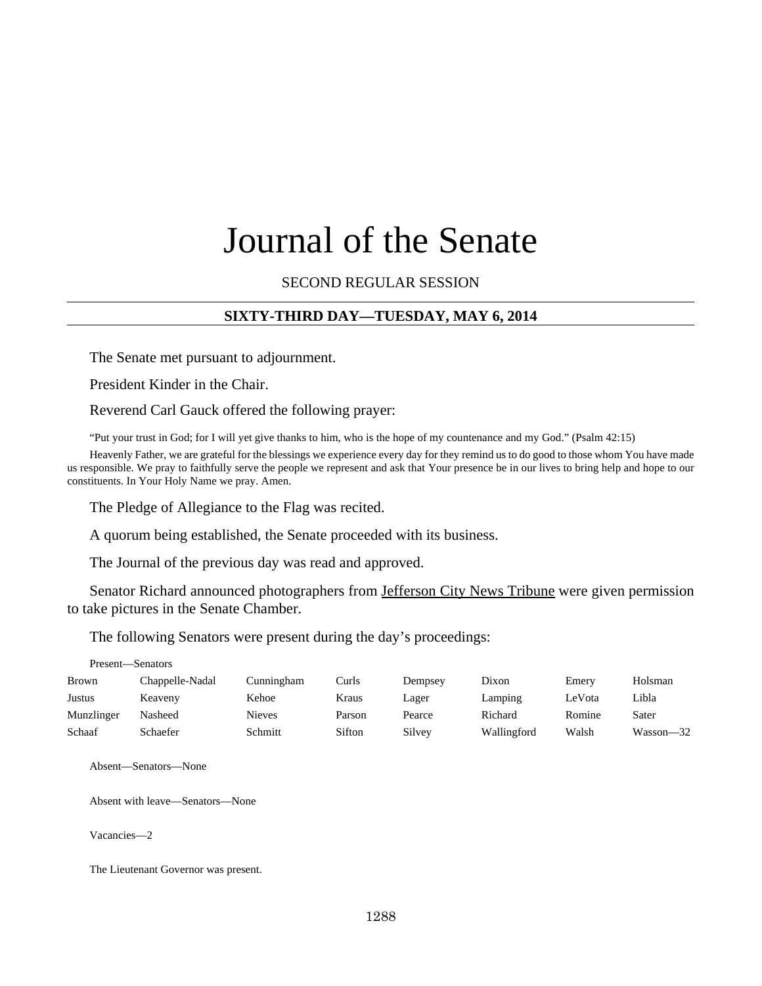# Journal of the Senate

SECOND REGULAR SESSION

## **SIXTY-THIRD DAY—TUESDAY, MAY 6, 2014**

The Senate met pursuant to adjournment.

President Kinder in the Chair.

Reverend Carl Gauck offered the following prayer:

"Put your trust in God; for I will yet give thanks to him, who is the hope of my countenance and my God." (Psalm 42:15)

Heavenly Father, we are grateful for the blessings we experience every day for they remind us to do good to those whom You have made us responsible. We pray to faithfully serve the people we represent and ask that Your presence be in our lives to bring help and hope to our constituents. In Your Holy Name we pray. Amen.

The Pledge of Allegiance to the Flag was recited.

A quorum being established, the Senate proceeded with its business.

The Journal of the previous day was read and approved.

Senator Richard announced photographers from Jefferson City News Tribune were given permission to take pictures in the Senate Chamber.

The following Senators were present during the day's proceedings:

| Present—Senators |                 |               |        |         |             |        |               |  |
|------------------|-----------------|---------------|--------|---------|-------------|--------|---------------|--|
| <b>Brown</b>     | Chappelle-Nadal | Cunningham    | Curls  | Dempsey | Dixon       | Emery  | Holsman       |  |
| Justus           | Keaveny         | Kehoe         | Kraus  | Lager   | Lamping     | LeVota | Libla         |  |
| Munzlinger       | Nasheed         | <b>Nieves</b> | Parson | Pearce  | Richard     | Romine | Sater         |  |
| Schaaf           | Schaefer        | Schmitt       | Sifton | Silvey  | Wallingford | Walsh  | $Wasson - 32$ |  |

Absent—Senators—None

Absent with leave—Senators—None

Vacancies—2

The Lieutenant Governor was present.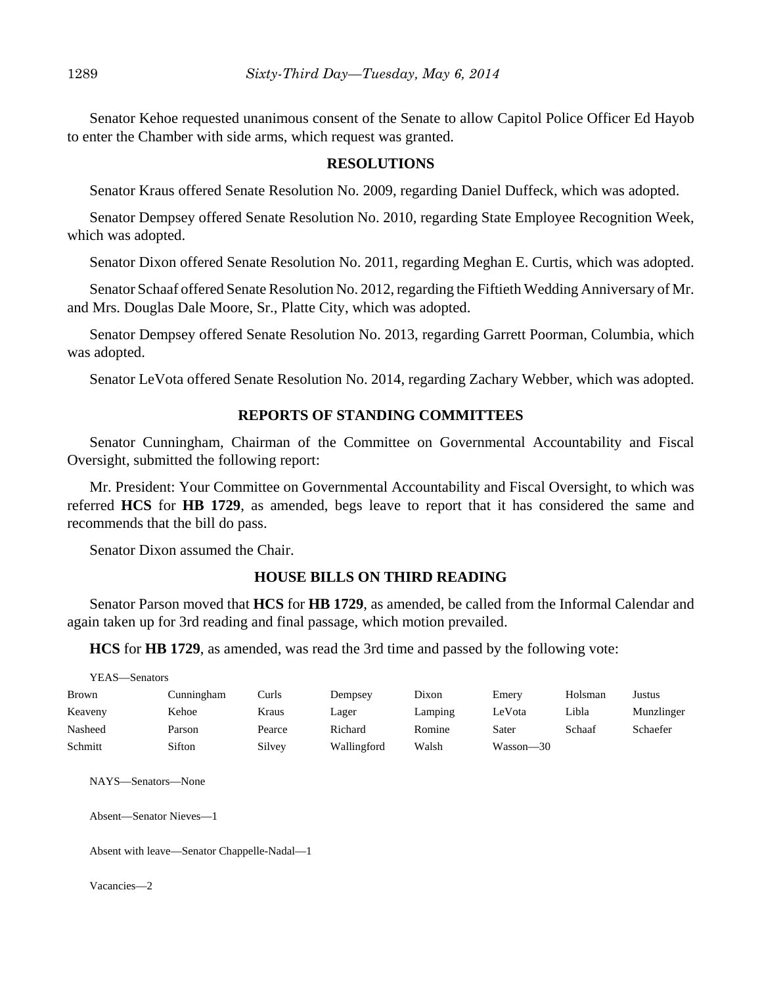Senator Kehoe requested unanimous consent of the Senate to allow Capitol Police Officer Ed Hayob to enter the Chamber with side arms, which request was granted.

#### **RESOLUTIONS**

Senator Kraus offered Senate Resolution No. 2009, regarding Daniel Duffeck, which was adopted.

Senator Dempsey offered Senate Resolution No. 2010, regarding State Employee Recognition Week, which was adopted.

Senator Dixon offered Senate Resolution No. 2011, regarding Meghan E. Curtis, which was adopted.

Senator Schaaf offered Senate Resolution No. 2012, regarding the Fiftieth Wedding Anniversary of Mr. and Mrs. Douglas Dale Moore, Sr., Platte City, which was adopted.

Senator Dempsey offered Senate Resolution No. 2013, regarding Garrett Poorman, Columbia, which was adopted.

Senator LeVota offered Senate Resolution No. 2014, regarding Zachary Webber, which was adopted.

## **REPORTS OF STANDING COMMITTEES**

Senator Cunningham, Chairman of the Committee on Governmental Accountability and Fiscal Oversight, submitted the following report:

Mr. President: Your Committee on Governmental Accountability and Fiscal Oversight, to which was referred **HCS** for **HB 1729**, as amended, begs leave to report that it has considered the same and recommends that the bill do pass.

Senator Dixon assumed the Chair.

## **HOUSE BILLS ON THIRD READING**

Senator Parson moved that **HCS** for **HB 1729**, as amended, be called from the Informal Calendar and again taken up for 3rd reading and final passage, which motion prevailed.

**HCS** for **HB 1729**, as amended, was read the 3rd time and passed by the following vote:

| YEAS—Senators |            |        |             |         |           |         |            |
|---------------|------------|--------|-------------|---------|-----------|---------|------------|
| <b>Brown</b>  | Cunningham | Curls  | Dempsey     | Dixon   | Emery     | Holsman | Justus     |
| Keaveny       | Kehoe      | Kraus  | Lager       | Lamping | LeVota    | Libla   | Munzlinger |
| Nasheed       | Parson     | Pearce | Richard     | Romine  | Sater     | Schaaf  | Schaefer   |
| Schmitt       | Sifton     | Silvey | Wallingford | Walsh   | Wasson—30 |         |            |

NAYS—Senators—None

Absent—Senator Nieves—1

Absent with leave—Senator Chappelle-Nadal—1

Vacancies—2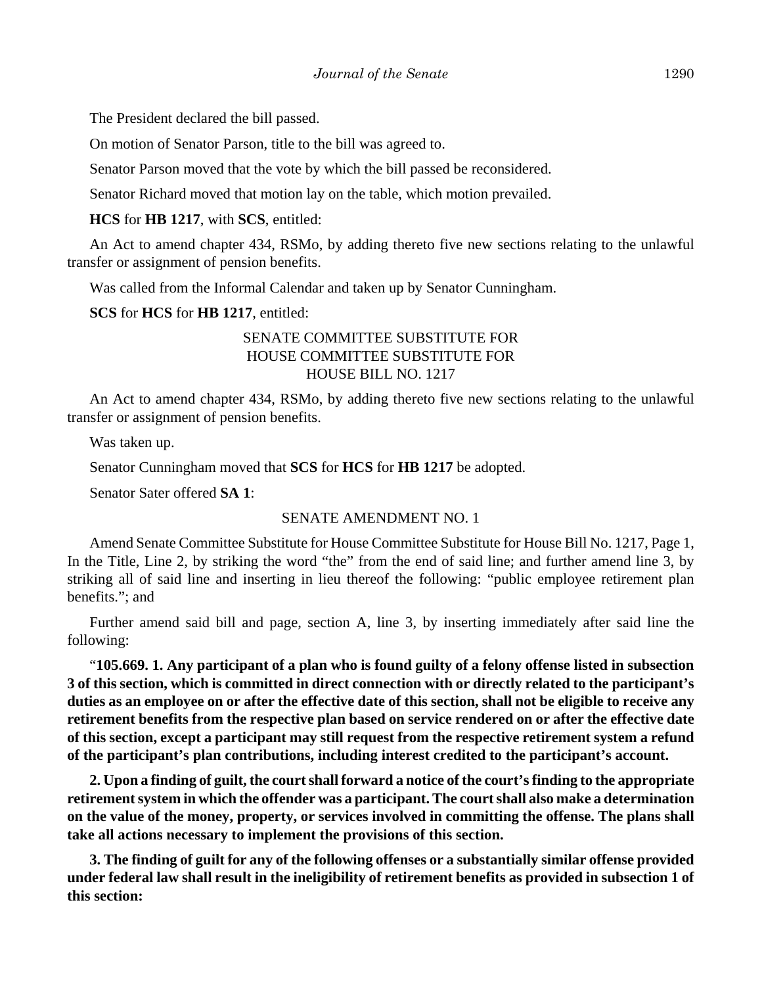The President declared the bill passed.

On motion of Senator Parson, title to the bill was agreed to.

Senator Parson moved that the vote by which the bill passed be reconsidered.

Senator Richard moved that motion lay on the table, which motion prevailed.

**HCS** for **HB 1217**, with **SCS**, entitled:

An Act to amend chapter 434, RSMo, by adding thereto five new sections relating to the unlawful transfer or assignment of pension benefits.

Was called from the Informal Calendar and taken up by Senator Cunningham.

**SCS** for **HCS** for **HB 1217**, entitled:

# SENATE COMMITTEE SUBSTITUTE FOR HOUSE COMMITTEE SUBSTITUTE FOR HOUSE BILL NO. 1217

An Act to amend chapter 434, RSMo, by adding thereto five new sections relating to the unlawful transfer or assignment of pension benefits.

Was taken up.

Senator Cunningham moved that **SCS** for **HCS** for **HB 1217** be adopted.

Senator Sater offered **SA 1**:

#### SENATE AMENDMENT NO. 1

Amend Senate Committee Substitute for House Committee Substitute for House Bill No. 1217, Page 1, In the Title, Line 2, by striking the word "the" from the end of said line; and further amend line 3, by striking all of said line and inserting in lieu thereof the following: "public employee retirement plan benefits."; and

Further amend said bill and page, section A, line 3, by inserting immediately after said line the following:

"**105.669. 1. Any participant of a plan who is found guilty of a felony offense listed in subsection 3 of this section, which is committed in direct connection with or directly related to the participant's duties as an employee on or after the effective date of this section, shall not be eligible to receive any retirement benefits from the respective plan based on service rendered on or after the effective date of this section, except a participant may still request from the respective retirement system a refund of the participant's plan contributions, including interest credited to the participant's account.**

**2. Upon a finding of guilt, the court shall forward a notice of the court's finding to the appropriate retirement system in which the offender was a participant. The court shall also make a determination on the value of the money, property, or services involved in committing the offense. The plans shall take all actions necessary to implement the provisions of this section.**

**3. The finding of guilt for any of the following offenses or a substantially similar offense provided under federal law shall result in the ineligibility of retirement benefits as provided in subsection 1 of this section:**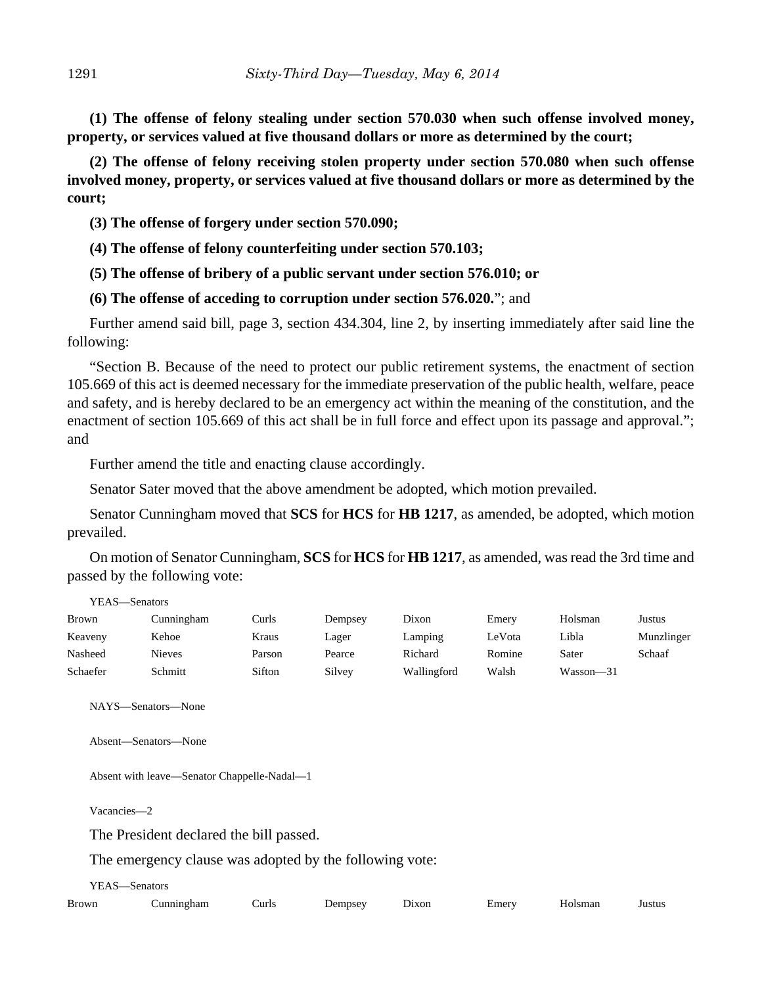**(1) The offense of felony stealing under section 570.030 when such offense involved money, property, or services valued at five thousand dollars or more as determined by the court;**

**(2) The offense of felony receiving stolen property under section 570.080 when such offense involved money, property, or services valued at five thousand dollars or more as determined by the court;**

- **(3) The offense of forgery under section 570.090;**
- **(4) The offense of felony counterfeiting under section 570.103;**
- **(5) The offense of bribery of a public servant under section 576.010; or**
- **(6) The offense of acceding to corruption under section 576.020.**"; and

Further amend said bill, page 3, section 434.304, line 2, by inserting immediately after said line the following:

"Section B. Because of the need to protect our public retirement systems, the enactment of section 105.669 of this act is deemed necessary for the immediate preservation of the public health, welfare, peace and safety, and is hereby declared to be an emergency act within the meaning of the constitution, and the enactment of section 105.669 of this act shall be in full force and effect upon its passage and approval."; and

Further amend the title and enacting clause accordingly.

Senator Sater moved that the above amendment be adopted, which motion prevailed.

Senator Cunningham moved that **SCS** for **HCS** for **HB 1217**, as amended, be adopted, which motion prevailed.

On motion of Senator Cunningham, **SCS** for **HCS** for **HB 1217**, as amended, was read the 3rd time and passed by the following vote:

| YEAS—Senators |               |        |         |             |        |           |            |  |
|---------------|---------------|--------|---------|-------------|--------|-----------|------------|--|
| <b>Brown</b>  | Cunningham    | Curls: | Dempsey | Dixon       | Emery  | Holsman   | Justus     |  |
| Keaveny       | Kehoe         | Kraus  | Lager   | Lamping     | LeVota | Libla     | Munzlinger |  |
| Nasheed       | <b>Nieves</b> | Parson | Pearce  | Richard     | Romine | Sater     | Schaaf     |  |
| Schaefer      | Schmitt       | Sifton | Silvey  | Wallingford | Walsh  | Wasson-31 |            |  |

NAYS—Senators—None

Absent—Senators—None

Absent with leave—Senator Chappelle-Nadal—1

Vacancies—2

The President declared the bill passed.

The emergency clause was adopted by the following vote:

YEAS—Senators

| <b>Brown</b> | rham | `urls | Jemnsev | лхоr | ±merv | lamar | 11 e f11 1 |
|--------------|------|-------|---------|------|-------|-------|------------|
|              |      |       |         |      | _____ | ша    | ustu.      |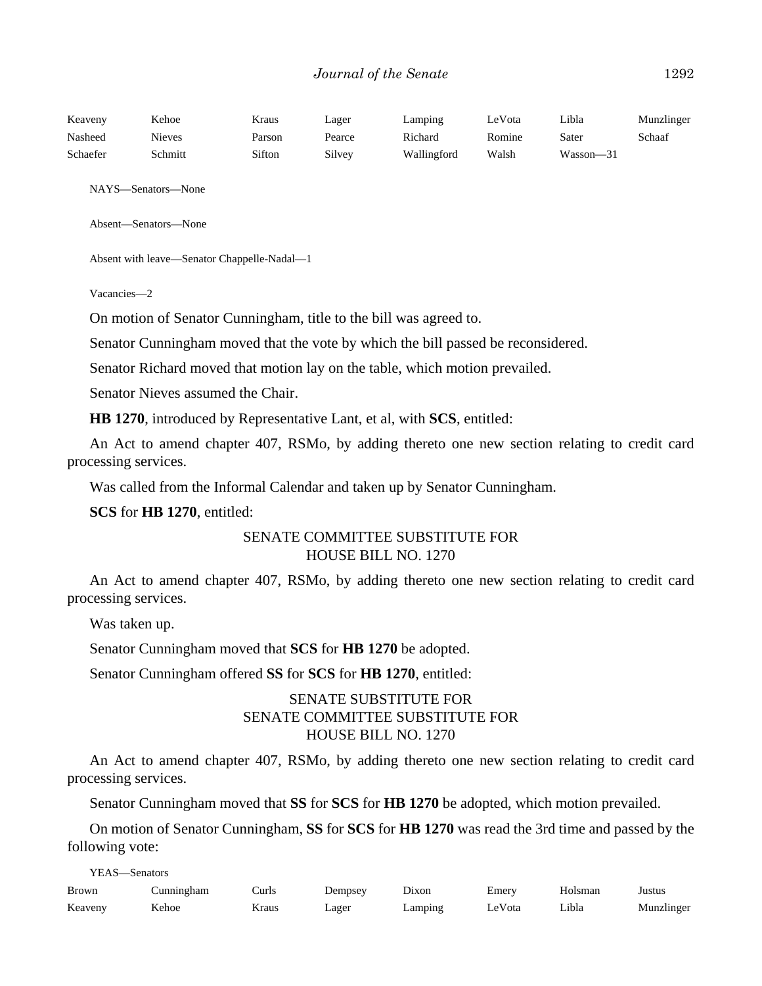| Keaveny  | Kehoe   | Kraus  | Lager  | Lamping     | LeVota | Libla         | Munzlinger |
|----------|---------|--------|--------|-------------|--------|---------------|------------|
| Nasheed  | Nieves  | Parson | Pearce | Richard     | Romine | Sater         | Schaaf     |
| Schaefer | Schmitt | Sifton | Silvev | Wallingford | Walsh  | $Wasson - 31$ |            |

NAYS—Senators—None

Absent—Senators—None

```
Absent with leave—Senator Chappelle-Nadal—1
```
Vacancies—2

On motion of Senator Cunningham, title to the bill was agreed to.

Senator Cunningham moved that the vote by which the bill passed be reconsidered.

Senator Richard moved that motion lay on the table, which motion prevailed.

Senator Nieves assumed the Chair.

**HB 1270**, introduced by Representative Lant, et al, with **SCS**, entitled:

An Act to amend chapter 407, RSMo, by adding thereto one new section relating to credit card processing services.

Was called from the Informal Calendar and taken up by Senator Cunningham.

**SCS** for **HB 1270**, entitled:

## SENATE COMMITTEE SUBSTITUTE FOR HOUSE BILL NO. 1270

An Act to amend chapter 407, RSMo, by adding thereto one new section relating to credit card processing services.

Was taken up.

Senator Cunningham moved that **SCS** for **HB 1270** be adopted.

Senator Cunningham offered **SS** for **SCS** for **HB 1270**, entitled:

# SENATE SUBSTITUTE FOR SENATE COMMITTEE SUBSTITUTE FOR HOUSE BILL NO. 1270

An Act to amend chapter 407, RSMo, by adding thereto one new section relating to credit card processing services.

Senator Cunningham moved that **SS** for **SCS** for **HB 1270** be adopted, which motion prevailed.

On motion of Senator Cunningham, **SS** for **SCS** for **HB 1270** was read the 3rd time and passed by the following vote:

YEAS—Senators

| <b>Brown</b> | Cunningham | Curls | Dempsey | Dixon      | Emery  | Holsman | Justus     |
|--------------|------------|-------|---------|------------|--------|---------|------------|
| Keaveny      | Kehoe      | Kraus | Lager   | $L$ amping | LeVota | Libla   | Munzlinger |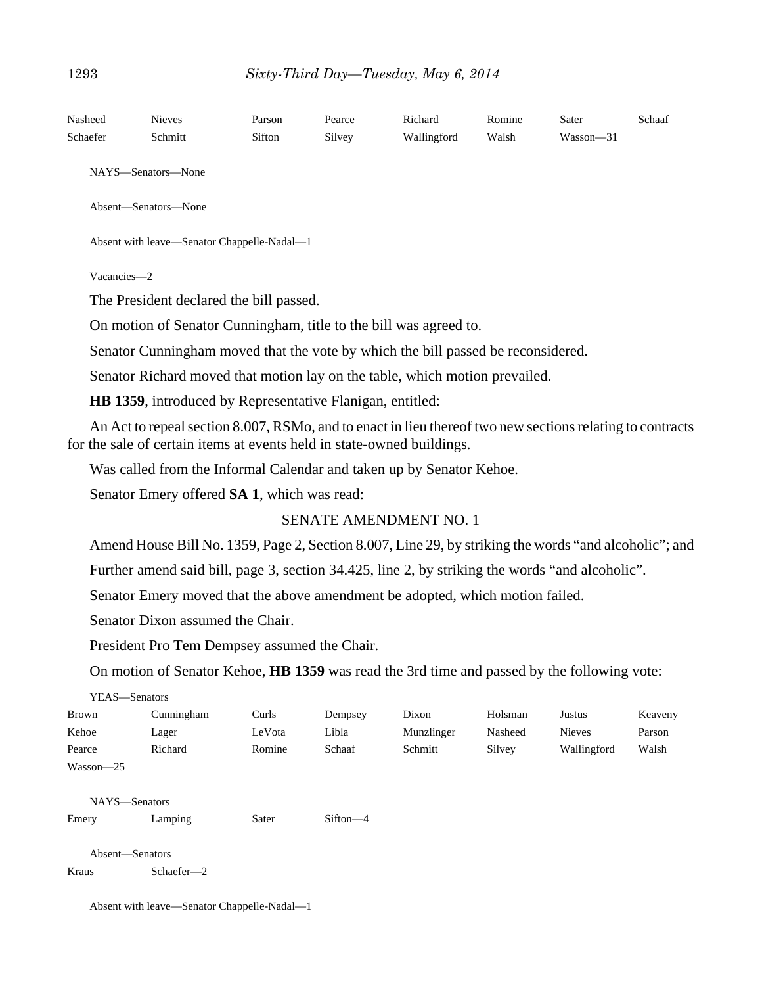| Nasheed     | <b>Nieves</b>                                                                                                                                                                       | Parson | Pearce | Richard                       | Romine | Sater     | Schaaf |
|-------------|-------------------------------------------------------------------------------------------------------------------------------------------------------------------------------------|--------|--------|-------------------------------|--------|-----------|--------|
| Schaefer    | Schmitt                                                                                                                                                                             | Sifton | Silvey | Wallingford                   | Walsh  | Wasson-31 |        |
|             | NAYS-Senators-None                                                                                                                                                                  |        |        |                               |        |           |        |
|             | Absent-Senators-None                                                                                                                                                                |        |        |                               |        |           |        |
|             | Absent with leave-Senator Chappelle-Nadal-1                                                                                                                                         |        |        |                               |        |           |        |
| Vacancies-2 |                                                                                                                                                                                     |        |        |                               |        |           |        |
|             | The President declared the bill passed.                                                                                                                                             |        |        |                               |        |           |        |
|             | On motion of Senator Cunningham, title to the bill was agreed to.                                                                                                                   |        |        |                               |        |           |        |
|             | Senator Cunningham moved that the vote by which the bill passed be reconsidered.                                                                                                    |        |        |                               |        |           |        |
|             | Senator Richard moved that motion lay on the table, which motion prevailed.                                                                                                         |        |        |                               |        |           |        |
|             | HB 1359, introduced by Representative Flanigan, entitled:                                                                                                                           |        |        |                               |        |           |        |
|             | An Act to repeal section 8.007, RSMo, and to enact in lieu thereof two new sections relating to contracts<br>for the sale of certain items at events held in state-owned buildings. |        |        |                               |        |           |        |
|             | Was called from the Informal Calendar and taken up by Senator Kehoe.                                                                                                                |        |        |                               |        |           |        |
|             | Senator Emery offered SA 1, which was read:                                                                                                                                         |        |        |                               |        |           |        |
|             |                                                                                                                                                                                     |        |        | <b>SENATE AMENDMENT NO. 1</b> |        |           |        |
|             | Amend House Bill No. 1359, Page 2, Section 8.007, Line 29, by striking the words "and alcoholic"; and                                                                               |        |        |                               |        |           |        |
|             | Further amend said bill, page 3, section 34.425, line 2, by striking the words "and alcoholic".                                                                                     |        |        |                               |        |           |        |
|             | Senator Emery moved that the above amendment be adopted, which motion failed.                                                                                                       |        |        |                               |        |           |        |
|             | Senator Dixon assumed the Chair.                                                                                                                                                    |        |        |                               |        |           |        |

President Pro Tem Dempsey assumed the Chair.

On motion of Senator Kehoe, **HB 1359** was read the 3rd time and passed by the following vote:

| YEAS—Senators   |            |        |            |            |         |               |         |
|-----------------|------------|--------|------------|------------|---------|---------------|---------|
| <b>Brown</b>    | Cunningham | Curls  | Dempsey    | Dixon      | Holsman | Justus        | Keaveny |
| Kehoe           | Lager      | LeVota | Libla      | Munzlinger | Nasheed | <b>Nieves</b> | Parson  |
| Pearce          | Richard    | Romine | Schaaf     | Schmitt    | Silvey  | Wallingford   | Walsh   |
| $Wasson - 25$   |            |        |            |            |         |               |         |
| NAYS-Senators   |            |        |            |            |         |               |         |
| Emery           | Lamping    | Sater  | $Sifton-4$ |            |         |               |         |
| Absent-Senators |            |        |            |            |         |               |         |
|                 |            |        |            |            |         |               |         |
| Kraus           | Schaefer-2 |        |            |            |         |               |         |

Absent with leave—Senator Chappelle-Nadal—1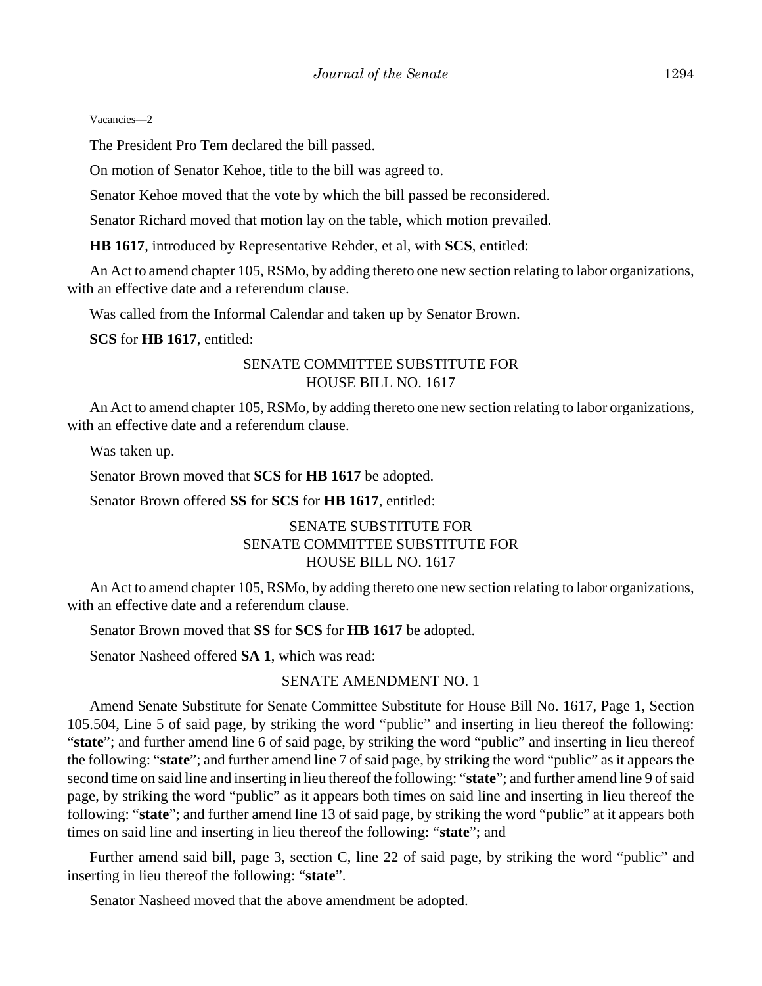Vacancies—2

The President Pro Tem declared the bill passed.

On motion of Senator Kehoe, title to the bill was agreed to.

Senator Kehoe moved that the vote by which the bill passed be reconsidered.

Senator Richard moved that motion lay on the table, which motion prevailed.

**HB 1617**, introduced by Representative Rehder, et al, with **SCS**, entitled:

An Act to amend chapter 105, RSMo, by adding thereto one new section relating to labor organizations, with an effective date and a referendum clause.

Was called from the Informal Calendar and taken up by Senator Brown.

**SCS** for **HB 1617**, entitled:

## SENATE COMMITTEE SUBSTITUTE FOR HOUSE BILL NO. 1617

An Act to amend chapter 105, RSMo, by adding thereto one new section relating to labor organizations, with an effective date and a referendum clause.

Was taken up.

Senator Brown moved that **SCS** for **HB 1617** be adopted.

Senator Brown offered **SS** for **SCS** for **HB 1617**, entitled:

## SENATE SUBSTITUTE FOR SENATE COMMITTEE SUBSTITUTE FOR HOUSE BILL NO. 1617

An Act to amend chapter 105, RSMo, by adding thereto one new section relating to labor organizations, with an effective date and a referendum clause.

Senator Brown moved that **SS** for **SCS** for **HB 1617** be adopted.

Senator Nasheed offered **SA 1**, which was read:

#### SENATE AMENDMENT NO. 1

Amend Senate Substitute for Senate Committee Substitute for House Bill No. 1617, Page 1, Section 105.504, Line 5 of said page, by striking the word "public" and inserting in lieu thereof the following: "state"; and further amend line 6 of said page, by striking the word "public" and inserting in lieu thereof the following: "**state**"; and further amend line 7 of said page, by striking the word "public" as it appears the second time on said line and inserting in lieu thereof the following: "**state**"; and further amend line 9 of said page, by striking the word "public" as it appears both times on said line and inserting in lieu thereof the following: "**state**"; and further amend line 13 of said page, by striking the word "public" at it appears both times on said line and inserting in lieu thereof the following: "**state**"; and

Further amend said bill, page 3, section C, line 22 of said page, by striking the word "public" and inserting in lieu thereof the following: "**state**".

Senator Nasheed moved that the above amendment be adopted.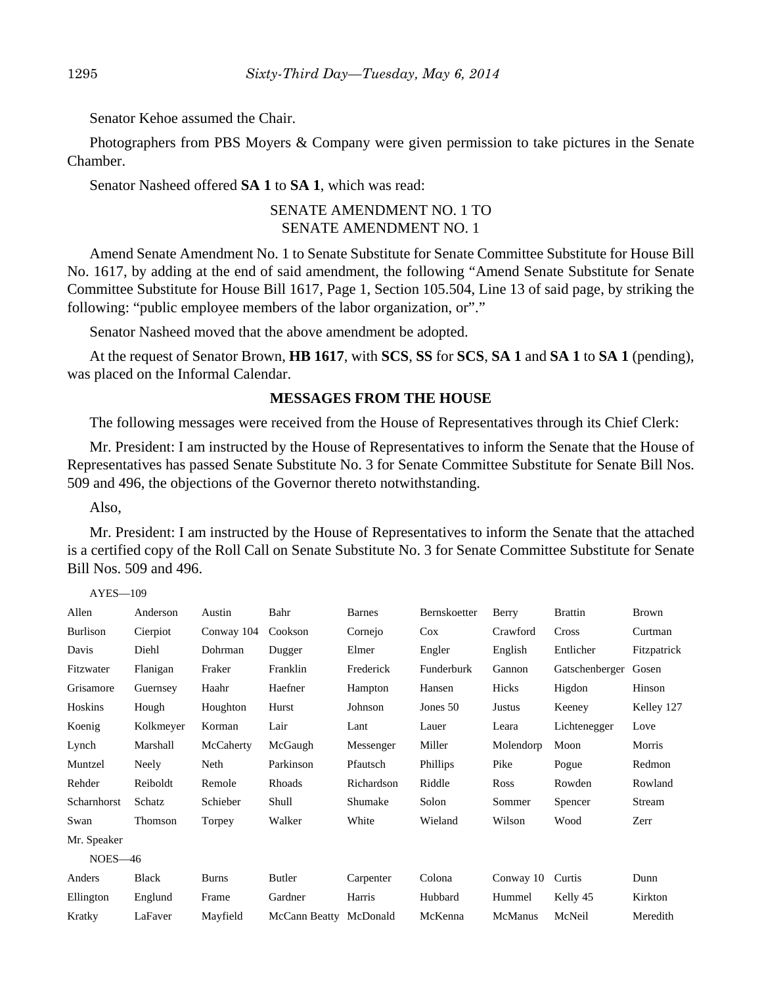Senator Kehoe assumed the Chair.

Photographers from PBS Moyers & Company were given permission to take pictures in the Senate Chamber.

Senator Nasheed offered **SA 1** to **SA 1**, which was read:

## SENATE AMENDMENT NO. 1 TO SENATE AMENDMENT NO. 1

Amend Senate Amendment No. 1 to Senate Substitute for Senate Committee Substitute for House Bill No. 1617, by adding at the end of said amendment, the following "Amend Senate Substitute for Senate Committee Substitute for House Bill 1617, Page 1, Section 105.504, Line 13 of said page, by striking the following: "public employee members of the labor organization, or"."

Senator Nasheed moved that the above amendment be adopted.

At the request of Senator Brown, **HB 1617**, with **SCS**, **SS** for **SCS**, **SA 1** and **SA 1** to **SA 1** (pending), was placed on the Informal Calendar.

#### **MESSAGES FROM THE HOUSE**

The following messages were received from the House of Representatives through its Chief Clerk:

Mr. President: I am instructed by the House of Representatives to inform the Senate that the House of Representatives has passed Senate Substitute No. 3 for Senate Committee Substitute for Senate Bill Nos. 509 and 496, the objections of the Governor thereto notwithstanding.

Also,

AYES—109

Mr. President: I am instructed by the House of Representatives to inform the Senate that the attached is a certified copy of the Roll Call on Senate Substitute No. 3 for Senate Committee Substitute for Senate Bill Nos. 509 and 496.

| Allen           | Anderson     | Austin       | Bahr          | <b>Barnes</b> | Bernskoetter | Berry     | <b>Brattin</b> | Brown       |
|-----------------|--------------|--------------|---------------|---------------|--------------|-----------|----------------|-------------|
| <b>Burlison</b> | Cierpiot     | Conway 104   | Cookson       | Cornejo       | $\cos$       | Crawford  | Cross          | Curtman     |
| Davis           | Diehl        | Dohrman      | Dugger        | Elmer         | Engler       | English   | Entlicher      | Fitzpatrick |
| Fitzwater       | Flanigan     | Fraker       | Franklin      | Frederick     | Funderburk   | Gannon    | Gatschenberger | Gosen       |
| Grisamore       | Guernsey     | Haahr        | Haefner       | Hampton       | Hansen       | Hicks     | Higdon         | Hinson      |
| Hoskins         | Hough        | Houghton     | Hurst         | Johnson       | Jones 50     | Justus    | Keeney         | Kelley 127  |
| Koenig          | Kolkmeyer    | Korman       | Lair          | Lant          | Lauer        | Leara     | Lichtenegger   | Love        |
| Lynch           | Marshall     | McCaherty    | McGaugh       | Messenger     | Miller       | Molendorp | Moon           | Morris      |
| Muntzel         | Neely        | Neth         | Parkinson     | Pfautsch      | Phillips     | Pike      | Pogue          | Redmon      |
| Rehder          | Reiboldt     | Remole       | Rhoads        | Richardson    | Riddle       | Ross      | Rowden         | Rowland     |
| Scharnhorst     | Schatz       | Schieber     | Shull         | Shumake       | Solon        | Sommer    | Spencer        | Stream      |
| Swan            | Thomson      | Torpey       | Walker        | White         | Wieland      | Wilson    | Wood           | Zerr        |
| Mr. Speaker     |              |              |               |               |              |           |                |             |
| $NOES-46$       |              |              |               |               |              |           |                |             |
| Anders          | <b>Black</b> | <b>Burns</b> | <b>Butler</b> | Carpenter     | Colona       | Conway 10 | Curtis         | Dunn        |
| Ellington       | Englund      | Frame        | Gardner       | Harris        | Hubbard      | Hummel    | Kelly 45       | Kirkton     |
| Kratky          | LaFaver      | Mayfield     | McCann Beatty | McDonald      | McKenna      | McManus   | McNeil         | Meredith    |
|                 |              |              |               |               |              |           |                |             |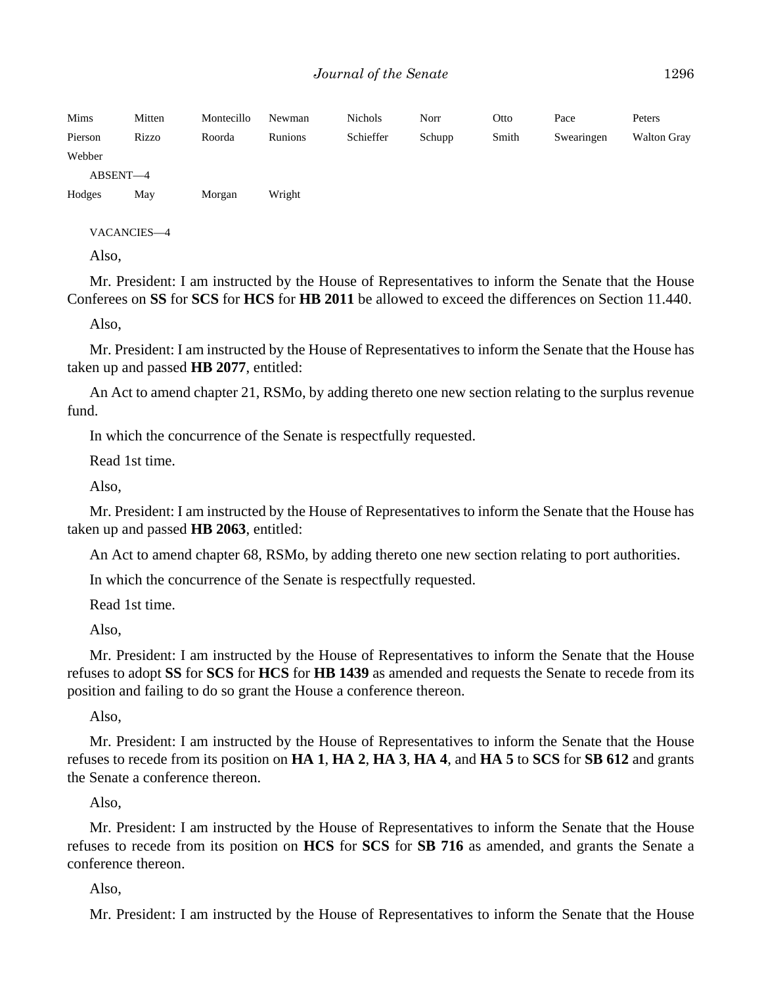| Mims     | Mitten | Montecillo | Newman  | <b>Nichols</b> | Norr   | Otto  | Pace       | Peters      |
|----------|--------|------------|---------|----------------|--------|-------|------------|-------------|
| Pierson  | Rizzo  | Roorda     | Runions | Schieffer      | Schupp | Smith | Swearingen | Walton Gray |
| Webber   |        |            |         |                |        |       |            |             |
| ABSENT-4 |        |            |         |                |        |       |            |             |
| Hodges   | May    | Morgan     | Wright  |                |        |       |            |             |

VACANCIES—4

Also,

Mr. President: I am instructed by the House of Representatives to inform the Senate that the House Conferees on **SS** for **SCS** for **HCS** for **HB 2011** be allowed to exceed the differences on Section 11.440.

Also,

Mr. President: I am instructed by the House of Representatives to inform the Senate that the House has taken up and passed **HB 2077**, entitled:

An Act to amend chapter 21, RSMo, by adding thereto one new section relating to the surplus revenue fund.

In which the concurrence of the Senate is respectfully requested.

Read 1st time.

Also,

Mr. President: I am instructed by the House of Representatives to inform the Senate that the House has taken up and passed **HB 2063**, entitled:

An Act to amend chapter 68, RSMo, by adding thereto one new section relating to port authorities.

In which the concurrence of the Senate is respectfully requested.

Read 1st time.

Also,

Mr. President: I am instructed by the House of Representatives to inform the Senate that the House refuses to adopt **SS** for **SCS** for **HCS** for **HB 1439** as amended and requests the Senate to recede from its position and failing to do so grant the House a conference thereon.

Also,

Mr. President: I am instructed by the House of Representatives to inform the Senate that the House refuses to recede from its position on **HA 1**, **HA 2**, **HA 3**, **HA 4**, and **HA 5** to **SCS** for **SB 612** and grants the Senate a conference thereon.

Also,

Mr. President: I am instructed by the House of Representatives to inform the Senate that the House refuses to recede from its position on **HCS** for **SCS** for **SB 716** as amended, and grants the Senate a conference thereon.

Also,

Mr. President: I am instructed by the House of Representatives to inform the Senate that the House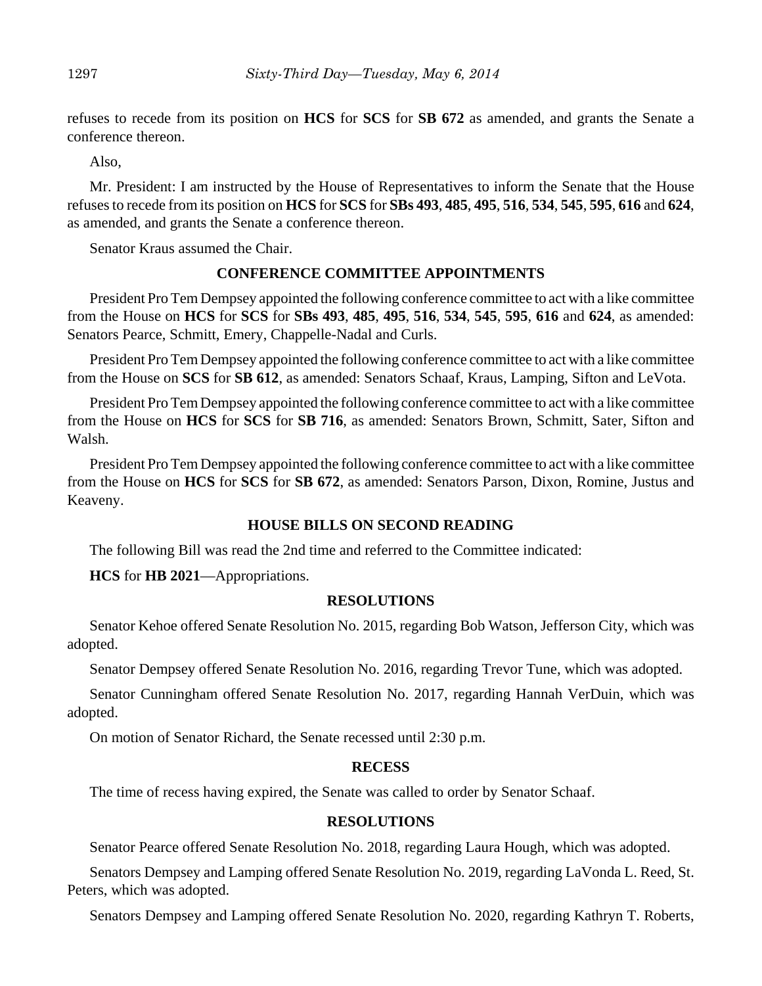refuses to recede from its position on **HCS** for **SCS** for **SB 672** as amended, and grants the Senate a conference thereon.

Also,

Mr. President: I am instructed by the House of Representatives to inform the Senate that the House refuses to recede from its position on **HCS** for **SCS** for **SBs 493**, **485**, **495**, **516**, **534**, **545**, **595**, **616** and **624**, as amended, and grants the Senate a conference thereon.

Senator Kraus assumed the Chair.

#### **CONFERENCE COMMITTEE APPOINTMENTS**

President Pro Tem Dempsey appointed the following conference committee to act with a like committee from the House on **HCS** for **SCS** for **SBs 493**, **485**, **495**, **516**, **534**, **545**, **595**, **616** and **624**, as amended: Senators Pearce, Schmitt, Emery, Chappelle-Nadal and Curls.

President Pro Tem Dempsey appointed the following conference committee to act with a like committee from the House on **SCS** for **SB 612**, as amended: Senators Schaaf, Kraus, Lamping, Sifton and LeVota.

President Pro Tem Dempsey appointed the following conference committee to act with a like committee from the House on **HCS** for **SCS** for **SB 716**, as amended: Senators Brown, Schmitt, Sater, Sifton and Walsh.

President Pro Tem Dempsey appointed the following conference committee to act with a like committee from the House on **HCS** for **SCS** for **SB 672**, as amended: Senators Parson, Dixon, Romine, Justus and Keaveny.

## **HOUSE BILLS ON SECOND READING**

The following Bill was read the 2nd time and referred to the Committee indicated:

**HCS** for **HB 2021**––Appropriations.

#### **RESOLUTIONS**

Senator Kehoe offered Senate Resolution No. 2015, regarding Bob Watson, Jefferson City, which was adopted.

Senator Dempsey offered Senate Resolution No. 2016, regarding Trevor Tune, which was adopted.

Senator Cunningham offered Senate Resolution No. 2017, regarding Hannah VerDuin, which was adopted.

On motion of Senator Richard, the Senate recessed until 2:30 p.m.

#### **RECESS**

The time of recess having expired, the Senate was called to order by Senator Schaaf.

#### **RESOLUTIONS**

Senator Pearce offered Senate Resolution No. 2018, regarding Laura Hough, which was adopted.

Senators Dempsey and Lamping offered Senate Resolution No. 2019, regarding LaVonda L. Reed, St. Peters, which was adopted.

Senators Dempsey and Lamping offered Senate Resolution No. 2020, regarding Kathryn T. Roberts,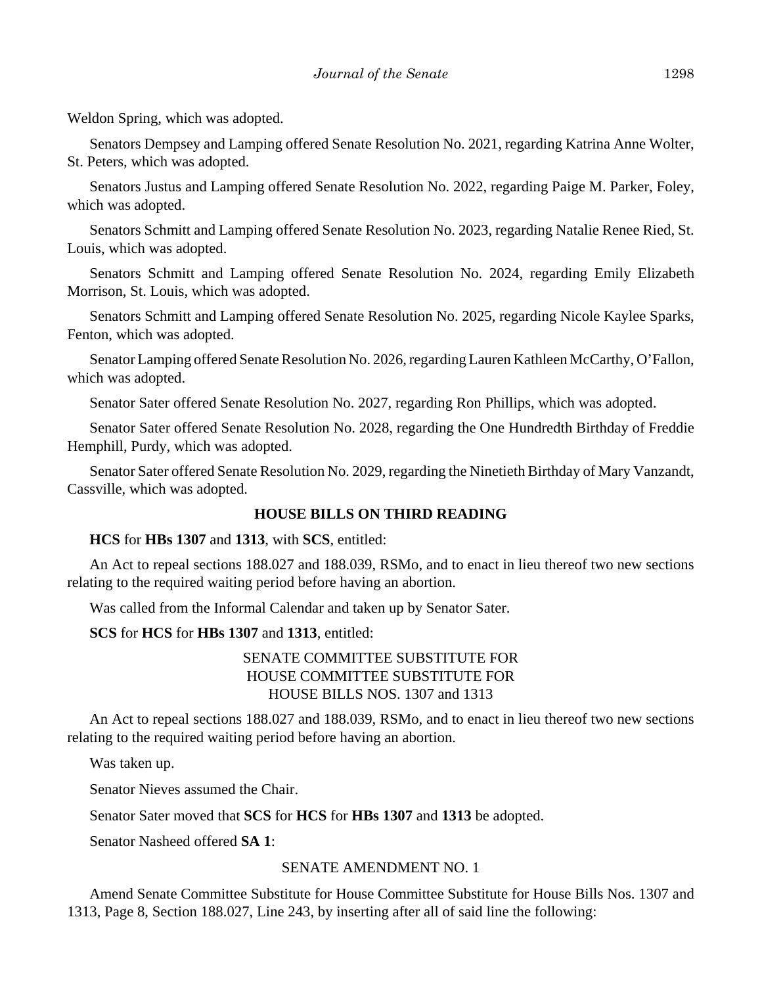Weldon Spring, which was adopted.

Senators Dempsey and Lamping offered Senate Resolution No. 2021, regarding Katrina Anne Wolter, St. Peters, which was adopted.

Senators Justus and Lamping offered Senate Resolution No. 2022, regarding Paige M. Parker, Foley, which was adopted.

Senators Schmitt and Lamping offered Senate Resolution No. 2023, regarding Natalie Renee Ried, St. Louis, which was adopted.

Senators Schmitt and Lamping offered Senate Resolution No. 2024, regarding Emily Elizabeth Morrison, St. Louis, which was adopted.

Senators Schmitt and Lamping offered Senate Resolution No. 2025, regarding Nicole Kaylee Sparks, Fenton, which was adopted.

Senator Lamping offered Senate Resolution No. 2026, regarding Lauren Kathleen McCarthy, O'Fallon, which was adopted.

Senator Sater offered Senate Resolution No. 2027, regarding Ron Phillips, which was adopted.

Senator Sater offered Senate Resolution No. 2028, regarding the One Hundredth Birthday of Freddie Hemphill, Purdy, which was adopted.

Senator Sater offered Senate Resolution No. 2029, regarding the Ninetieth Birthday of Mary Vanzandt, Cassville, which was adopted.

## **HOUSE BILLS ON THIRD READING**

**HCS** for **HBs 1307** and **1313**, with **SCS**, entitled:

An Act to repeal sections 188.027 and 188.039, RSMo, and to enact in lieu thereof two new sections relating to the required waiting period before having an abortion.

Was called from the Informal Calendar and taken up by Senator Sater.

#### **SCS** for **HCS** for **HBs 1307** and **1313**, entitled:

# SENATE COMMITTEE SUBSTITUTE FOR HOUSE COMMITTEE SUBSTITUTE FOR HOUSE BILLS NOS. 1307 and 1313

An Act to repeal sections 188.027 and 188.039, RSMo, and to enact in lieu thereof two new sections relating to the required waiting period before having an abortion.

Was taken up.

Senator Nieves assumed the Chair.

Senator Sater moved that **SCS** for **HCS** for **HBs 1307** and **1313** be adopted.

Senator Nasheed offered **SA 1**:

#### SENATE AMENDMENT NO. 1

Amend Senate Committee Substitute for House Committee Substitute for House Bills Nos. 1307 and 1313, Page 8, Section 188.027, Line 243, by inserting after all of said line the following: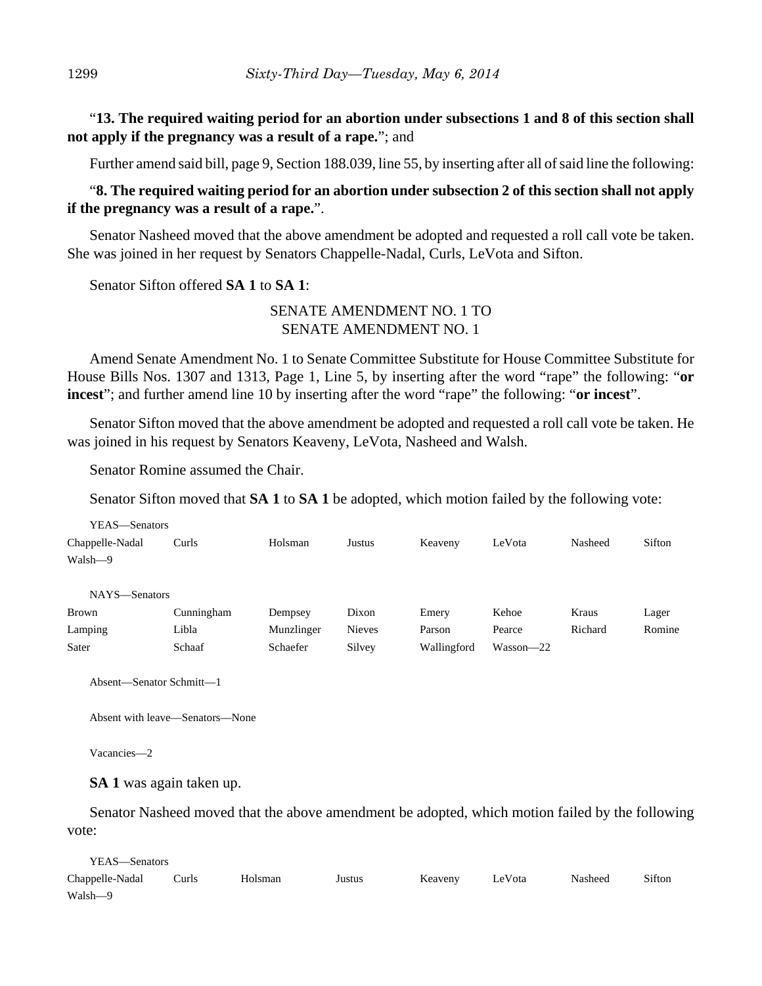"**13. The required waiting period for an abortion under subsections 1 and 8 of this section shall not apply if the pregnancy was a result of a rape.**"; and

Further amend said bill, page 9, Section 188.039, line 55, by inserting after all of said line the following:

## "**8. The required waiting period for an abortion under subsection 2 of this section shall not apply if the pregnancy was a result of a rape.**".

Senator Nasheed moved that the above amendment be adopted and requested a roll call vote be taken. She was joined in her request by Senators Chappelle-Nadal, Curls, LeVota and Sifton.

Senator Sifton offered **SA 1** to **SA 1**:

## SENATE AMENDMENT NO. 1 TO SENATE AMENDMENT NO. 1

Amend Senate Amendment No. 1 to Senate Committee Substitute for House Committee Substitute for House Bills Nos. 1307 and 1313, Page 1, Line 5, by inserting after the word "rape" the following: "**or incest**"; and further amend line 10 by inserting after the word "rape" the following: "**or incest**".

Senator Sifton moved that the above amendment be adopted and requested a roll call vote be taken. He was joined in his request by Senators Keaveny, LeVota, Nasheed and Walsh.

Senator Romine assumed the Chair.

Senator Sifton moved that **SA 1** to **SA 1** be adopted, which motion failed by the following vote:

| YEAS—Senators   |            |            |               |             |               |         |        |
|-----------------|------------|------------|---------------|-------------|---------------|---------|--------|
| Chappelle-Nadal | Curls      | Holsman    | Justus        | Keaveny     | LeVota        | Nasheed | Sifton |
| Walsh-9         |            |            |               |             |               |         |        |
|                 |            |            |               |             |               |         |        |
| NAYS-Senators   |            |            |               |             |               |         |        |
| <b>Brown</b>    | Cunningham | Dempsey    | Dixon         | Emery       | Kehoe         | Kraus   | Lager  |
| Lamping         | Libla      | Munzlinger | <b>Nieves</b> | Parson      | Pearce        | Richard | Romine |
| Sater           | Schaaf     | Schaefer   | Silvey        | Wallingford | $Wasson - 22$ |         |        |
|                 |            |            |               |             |               |         |        |

Absent—Senator Schmitt—1

Absent with leave—Senators—None

Vacancies—2

**SA 1** was again taken up.

Senator Nasheed moved that the above amendment be adopted, which motion failed by the following vote:

YEAS—Senators Chappelle-Nadal Curls Holsman Justus Keaveny LeVota Nasheed Sifton Walsh—9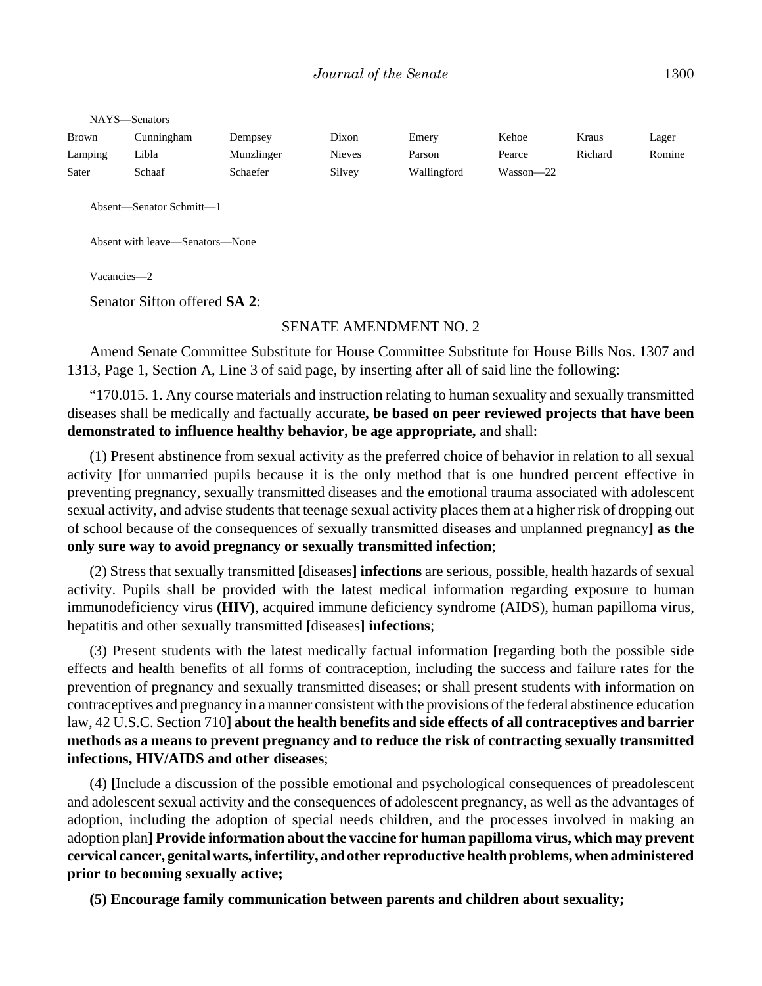| NAYS-Senators |            |            |               |             |           |         |        |  |  |
|---------------|------------|------------|---------------|-------------|-----------|---------|--------|--|--|
| <b>Brown</b>  | Cunningham | Dempsey    | Dixon         | Emery       | Kehoe     | Kraus   | Lager  |  |  |
| Lamping       | Libla      | Munzlinger | <b>Nieves</b> | Parson      | Pearce    | Richard | Romine |  |  |
| Sater         | Schaaf     | Schaefer   | Silvey        | Wallingford | Wasson-22 |         |        |  |  |

Absent—Senator Schmitt—1

Absent with leave—Senators—None

Vacancies—2

Senator Sifton offered **SA 2**:

#### SENATE AMENDMENT NO. 2

Amend Senate Committee Substitute for House Committee Substitute for House Bills Nos. 1307 and 1313, Page 1, Section A, Line 3 of said page, by inserting after all of said line the following:

"170.015. 1. Any course materials and instruction relating to human sexuality and sexually transmitted diseases shall be medically and factually accurate**, be based on peer reviewed projects that have been demonstrated to influence healthy behavior, be age appropriate,** and shall:

(1) Present abstinence from sexual activity as the preferred choice of behavior in relation to all sexual activity **[**for unmarried pupils because it is the only method that is one hundred percent effective in preventing pregnancy, sexually transmitted diseases and the emotional trauma associated with adolescent sexual activity, and advise students that teenage sexual activity places them at a higher risk of dropping out of school because of the consequences of sexually transmitted diseases and unplanned pregnancy**] as the only sure way to avoid pregnancy or sexually transmitted infection**;

(2) Stress that sexually transmitted **[**diseases**] infections** are serious, possible, health hazards of sexual activity. Pupils shall be provided with the latest medical information regarding exposure to human immunodeficiency virus **(HIV)**, acquired immune deficiency syndrome (AIDS), human papilloma virus, hepatitis and other sexually transmitted **[**diseases**] infections**;

(3) Present students with the latest medically factual information **[**regarding both the possible side effects and health benefits of all forms of contraception, including the success and failure rates for the prevention of pregnancy and sexually transmitted diseases; or shall present students with information on contraceptives and pregnancy in a manner consistent with the provisions of the federal abstinence education law, 42 U.S.C. Section 710**] about the health benefits and side effects of all contraceptives and barrier methods as a means to prevent pregnancy and to reduce the risk of contracting sexually transmitted infections, HIV/AIDS and other diseases**;

(4) **[**Include a discussion of the possible emotional and psychological consequences of preadolescent and adolescent sexual activity and the consequences of adolescent pregnancy, as well as the advantages of adoption, including the adoption of special needs children, and the processes involved in making an adoption plan**] Provide information about the vaccine for human papilloma virus, which may prevent cervical cancer, genital warts, infertility, and other reproductive health problems, when administered prior to becoming sexually active;**

**(5) Encourage family communication between parents and children about sexuality;**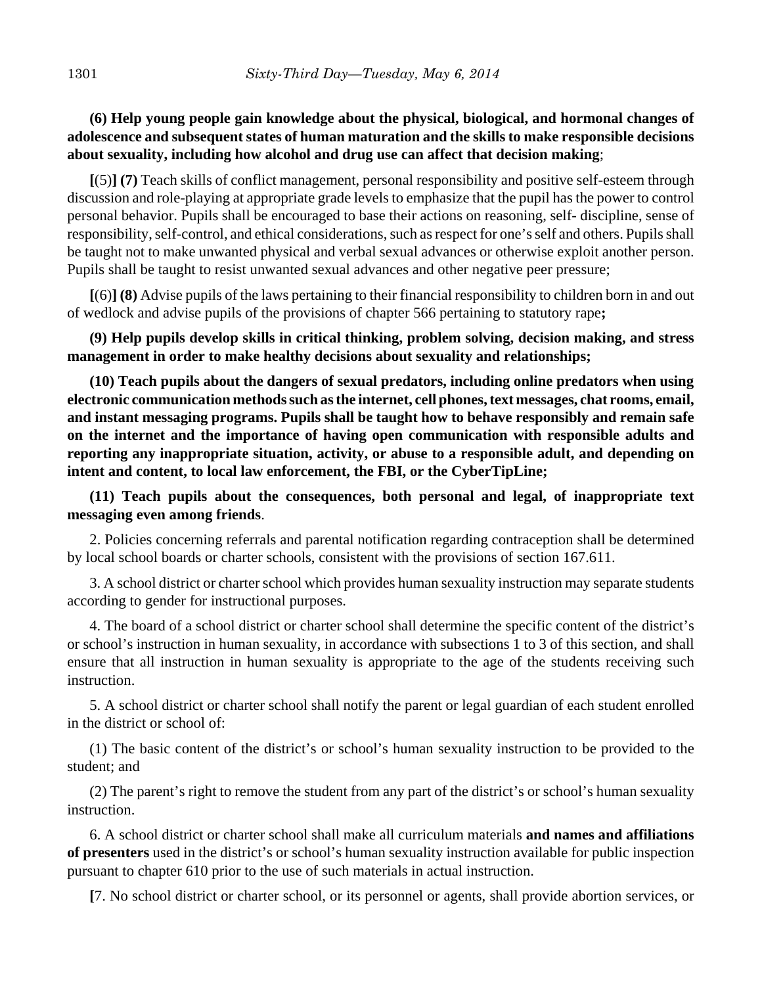# **(6) Help young people gain knowledge about the physical, biological, and hormonal changes of adolescence and subsequent states of human maturation and the skills to make responsible decisions about sexuality, including how alcohol and drug use can affect that decision making**;

**[**(5)**] (7)** Teach skills of conflict management, personal responsibility and positive self-esteem through discussion and role-playing at appropriate grade levels to emphasize that the pupil has the power to control personal behavior. Pupils shall be encouraged to base their actions on reasoning, self- discipline, sense of responsibility, self-control, and ethical considerations, such as respect for one's self and others. Pupils shall be taught not to make unwanted physical and verbal sexual advances or otherwise exploit another person. Pupils shall be taught to resist unwanted sexual advances and other negative peer pressure;

**[**(6)**] (8)** Advise pupils of the laws pertaining to their financial responsibility to children born in and out of wedlock and advise pupils of the provisions of chapter 566 pertaining to statutory rape**;**

**(9) Help pupils develop skills in critical thinking, problem solving, decision making, and stress management in order to make healthy decisions about sexuality and relationships;**

**(10) Teach pupils about the dangers of sexual predators, including online predators when using electronic communication methods such as the internet, cell phones, text messages, chat rooms, email, and instant messaging programs. Pupils shall be taught how to behave responsibly and remain safe on the internet and the importance of having open communication with responsible adults and reporting any inappropriate situation, activity, or abuse to a responsible adult, and depending on intent and content, to local law enforcement, the FBI, or the CyberTipLine;**

**(11) Teach pupils about the consequences, both personal and legal, of inappropriate text messaging even among friends**.

2. Policies concerning referrals and parental notification regarding contraception shall be determined by local school boards or charter schools, consistent with the provisions of section 167.611.

3. A school district or charter school which provides human sexuality instruction may separate students according to gender for instructional purposes.

4. The board of a school district or charter school shall determine the specific content of the district's or school's instruction in human sexuality, in accordance with subsections 1 to 3 of this section, and shall ensure that all instruction in human sexuality is appropriate to the age of the students receiving such instruction.

5. A school district or charter school shall notify the parent or legal guardian of each student enrolled in the district or school of:

(1) The basic content of the district's or school's human sexuality instruction to be provided to the student; and

(2) The parent's right to remove the student from any part of the district's or school's human sexuality instruction.

6. A school district or charter school shall make all curriculum materials **and names and affiliations of presenters** used in the district's or school's human sexuality instruction available for public inspection pursuant to chapter 610 prior to the use of such materials in actual instruction.

**[**7. No school district or charter school, or its personnel or agents, shall provide abortion services, or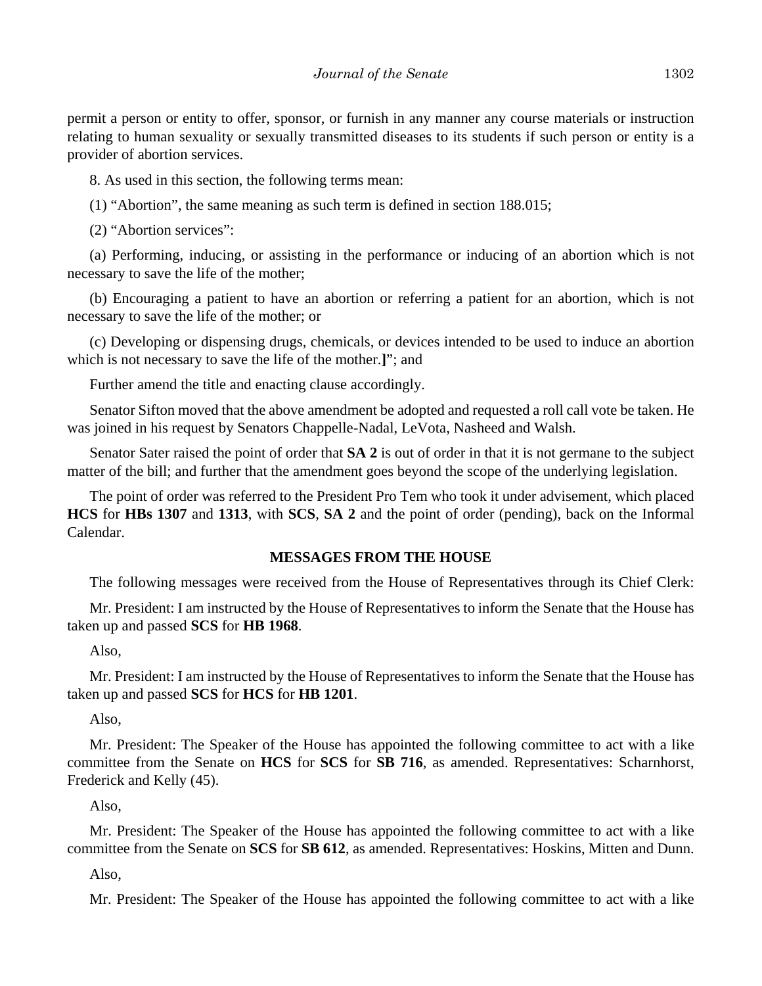permit a person or entity to offer, sponsor, or furnish in any manner any course materials or instruction relating to human sexuality or sexually transmitted diseases to its students if such person or entity is a provider of abortion services.

8. As used in this section, the following terms mean:

(1) "Abortion", the same meaning as such term is defined in section 188.015;

(2) "Abortion services":

(a) Performing, inducing, or assisting in the performance or inducing of an abortion which is not necessary to save the life of the mother;

(b) Encouraging a patient to have an abortion or referring a patient for an abortion, which is not necessary to save the life of the mother; or

(c) Developing or dispensing drugs, chemicals, or devices intended to be used to induce an abortion which is not necessary to save the life of the mother.**]**"; and

Further amend the title and enacting clause accordingly.

Senator Sifton moved that the above amendment be adopted and requested a roll call vote be taken. He was joined in his request by Senators Chappelle-Nadal, LeVota, Nasheed and Walsh.

Senator Sater raised the point of order that **SA 2** is out of order in that it is not germane to the subject matter of the bill; and further that the amendment goes beyond the scope of the underlying legislation.

The point of order was referred to the President Pro Tem who took it under advisement, which placed **HCS** for **HBs 1307** and **1313**, with **SCS**, **SA 2** and the point of order (pending), back on the Informal Calendar.

## **MESSAGES FROM THE HOUSE**

The following messages were received from the House of Representatives through its Chief Clerk:

Mr. President: I am instructed by the House of Representatives to inform the Senate that the House has taken up and passed **SCS** for **HB 1968**.

Also,

Mr. President: I am instructed by the House of Representatives to inform the Senate that the House has taken up and passed **SCS** for **HCS** for **HB 1201**.

Also,

Mr. President: The Speaker of the House has appointed the following committee to act with a like committee from the Senate on **HCS** for **SCS** for **SB 716**, as amended. Representatives: Scharnhorst, Frederick and Kelly (45).

Also,

Mr. President: The Speaker of the House has appointed the following committee to act with a like committee from the Senate on **SCS** for **SB 612**, as amended. Representatives: Hoskins, Mitten and Dunn.

Also,

Mr. President: The Speaker of the House has appointed the following committee to act with a like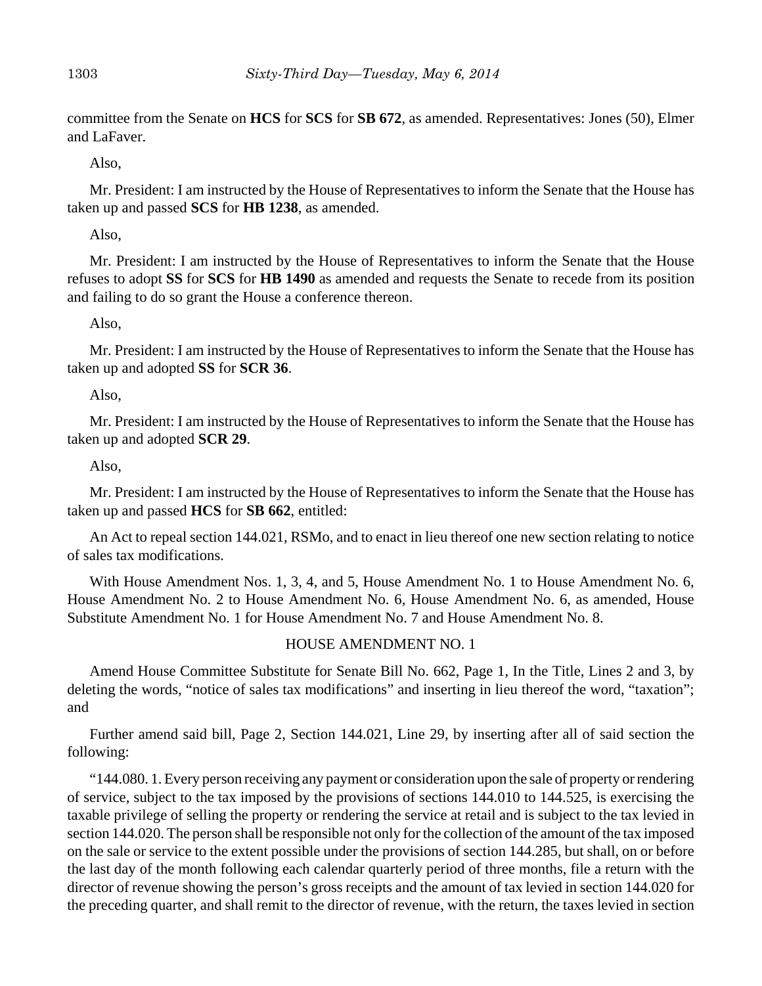committee from the Senate on **HCS** for **SCS** for **SB 672**, as amended. Representatives: Jones (50), Elmer and LaFaver.

Also,

Mr. President: I am instructed by the House of Representatives to inform the Senate that the House has taken up and passed **SCS** for **HB 1238**, as amended.

Also,

Mr. President: I am instructed by the House of Representatives to inform the Senate that the House refuses to adopt **SS** for **SCS** for **HB 1490** as amended and requests the Senate to recede from its position and failing to do so grant the House a conference thereon.

Also,

Mr. President: I am instructed by the House of Representatives to inform the Senate that the House has taken up and adopted **SS** for **SCR 36**.

Also,

Mr. President: I am instructed by the House of Representatives to inform the Senate that the House has taken up and adopted **SCR 29**.

## Also,

Mr. President: I am instructed by the House of Representatives to inform the Senate that the House has taken up and passed **HCS** for **SB 662**, entitled:

An Act to repeal section 144.021, RSMo, and to enact in lieu thereof one new section relating to notice of sales tax modifications.

With House Amendment Nos. 1, 3, 4, and 5, House Amendment No. 1 to House Amendment No. 6, House Amendment No. 2 to House Amendment No. 6, House Amendment No. 6, as amended, House Substitute Amendment No. 1 for House Amendment No. 7 and House Amendment No. 8.

## HOUSE AMENDMENT NO. 1

Amend House Committee Substitute for Senate Bill No. 662, Page 1, In the Title, Lines 2 and 3, by deleting the words, "notice of sales tax modifications" and inserting in lieu thereof the word, "taxation"; and

Further amend said bill, Page 2, Section 144.021, Line 29, by inserting after all of said section the following:

"144.080. 1. Every person receiving any payment or consideration upon the sale of property or rendering of service, subject to the tax imposed by the provisions of sections 144.010 to 144.525, is exercising the taxable privilege of selling the property or rendering the service at retail and is subject to the tax levied in section 144.020. The person shall be responsible not only for the collection of the amount of the tax imposed on the sale or service to the extent possible under the provisions of section 144.285, but shall, on or before the last day of the month following each calendar quarterly period of three months, file a return with the director of revenue showing the person's gross receipts and the amount of tax levied in section 144.020 for the preceding quarter, and shall remit to the director of revenue, with the return, the taxes levied in section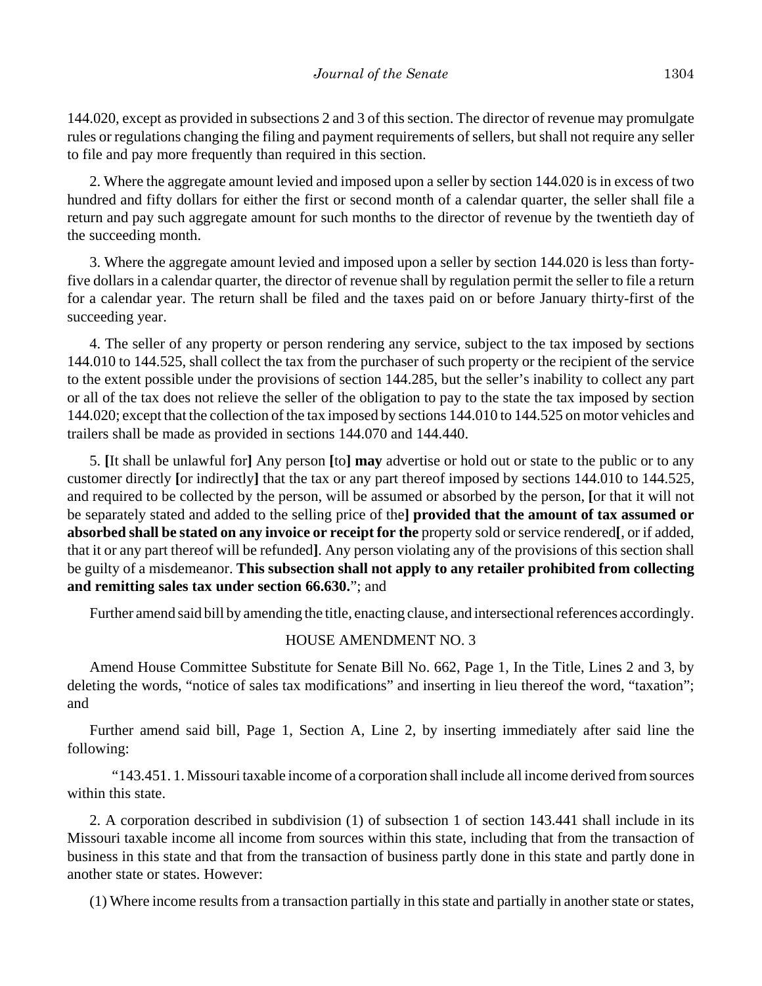144.020, except as provided in subsections 2 and 3 of this section. The director of revenue may promulgate rules or regulations changing the filing and payment requirements of sellers, but shall not require any seller to file and pay more frequently than required in this section.

2. Where the aggregate amount levied and imposed upon a seller by section 144.020 is in excess of two hundred and fifty dollars for either the first or second month of a calendar quarter, the seller shall file a return and pay such aggregate amount for such months to the director of revenue by the twentieth day of the succeeding month.

3. Where the aggregate amount levied and imposed upon a seller by section 144.020 is less than fortyfive dollars in a calendar quarter, the director of revenue shall by regulation permit the seller to file a return for a calendar year. The return shall be filed and the taxes paid on or before January thirty-first of the succeeding year.

4. The seller of any property or person rendering any service, subject to the tax imposed by sections 144.010 to 144.525, shall collect the tax from the purchaser of such property or the recipient of the service to the extent possible under the provisions of section 144.285, but the seller's inability to collect any part or all of the tax does not relieve the seller of the obligation to pay to the state the tax imposed by section 144.020; except that the collection of the tax imposed by sections 144.010 to 144.525 on motor vehicles and trailers shall be made as provided in sections 144.070 and 144.440.

5. **[**It shall be unlawful for**]** Any person **[**to**] may** advertise or hold out or state to the public or to any customer directly **[**or indirectly**]** that the tax or any part thereof imposed by sections 144.010 to 144.525, and required to be collected by the person, will be assumed or absorbed by the person, **[**or that it will not be separately stated and added to the selling price of the**] provided that the amount of tax assumed or absorbed shall be stated on any invoice or receipt for the** property sold or service rendered**[**, or if added, that it or any part thereof will be refunded**]**. Any person violating any of the provisions of this section shall be guilty of a misdemeanor. **This subsection shall not apply to any retailer prohibited from collecting and remitting sales tax under section 66.630.**"; and

Further amend said bill by amending the title, enacting clause, and intersectional references accordingly.

## HOUSE AMENDMENT NO. 3

Amend House Committee Substitute for Senate Bill No. 662, Page 1, In the Title, Lines 2 and 3, by deleting the words, "notice of sales tax modifications" and inserting in lieu thereof the word, "taxation"; and

Further amend said bill, Page 1, Section A, Line 2, by inserting immediately after said line the following:

"143.451. 1. Missouri taxable income of a corporation shall include all income derived from sources within this state.

2. A corporation described in subdivision (1) of subsection 1 of section 143.441 shall include in its Missouri taxable income all income from sources within this state, including that from the transaction of business in this state and that from the transaction of business partly done in this state and partly done in another state or states. However:

(1) Where income results from a transaction partially in this state and partially in another state or states,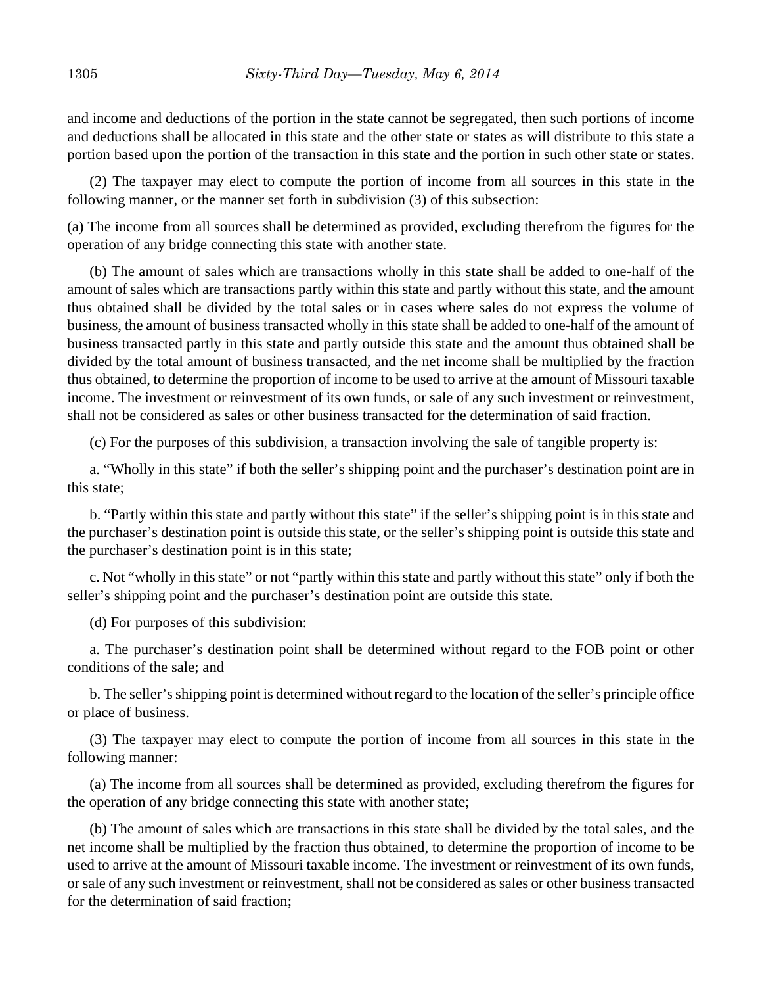and income and deductions of the portion in the state cannot be segregated, then such portions of income and deductions shall be allocated in this state and the other state or states as will distribute to this state a portion based upon the portion of the transaction in this state and the portion in such other state or states.

(2) The taxpayer may elect to compute the portion of income from all sources in this state in the following manner, or the manner set forth in subdivision (3) of this subsection:

(a) The income from all sources shall be determined as provided, excluding therefrom the figures for the operation of any bridge connecting this state with another state.

(b) The amount of sales which are transactions wholly in this state shall be added to one-half of the amount of sales which are transactions partly within this state and partly without this state, and the amount thus obtained shall be divided by the total sales or in cases where sales do not express the volume of business, the amount of business transacted wholly in this state shall be added to one-half of the amount of business transacted partly in this state and partly outside this state and the amount thus obtained shall be divided by the total amount of business transacted, and the net income shall be multiplied by the fraction thus obtained, to determine the proportion of income to be used to arrive at the amount of Missouri taxable income. The investment or reinvestment of its own funds, or sale of any such investment or reinvestment, shall not be considered as sales or other business transacted for the determination of said fraction.

(c) For the purposes of this subdivision, a transaction involving the sale of tangible property is:

a. "Wholly in this state" if both the seller's shipping point and the purchaser's destination point are in this state;

b. "Partly within this state and partly without this state" if the seller's shipping point is in this state and the purchaser's destination point is outside this state, or the seller's shipping point is outside this state and the purchaser's destination point is in this state;

c. Not "wholly in this state" or not "partly within this state and partly without this state" only if both the seller's shipping point and the purchaser's destination point are outside this state.

(d) For purposes of this subdivision:

a. The purchaser's destination point shall be determined without regard to the FOB point or other conditions of the sale; and

b. The seller's shipping point is determined without regard to the location of the seller's principle office or place of business.

(3) The taxpayer may elect to compute the portion of income from all sources in this state in the following manner:

(a) The income from all sources shall be determined as provided, excluding therefrom the figures for the operation of any bridge connecting this state with another state;

(b) The amount of sales which are transactions in this state shall be divided by the total sales, and the net income shall be multiplied by the fraction thus obtained, to determine the proportion of income to be used to arrive at the amount of Missouri taxable income. The investment or reinvestment of its own funds, or sale of any such investment or reinvestment, shall not be considered as sales or other business transacted for the determination of said fraction;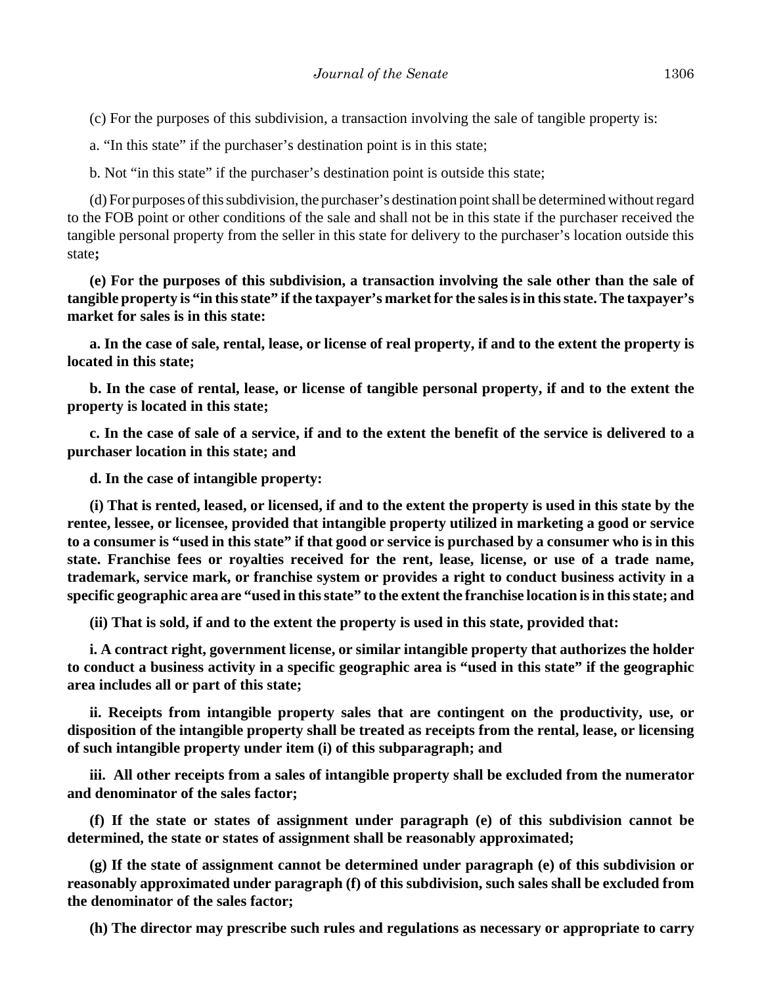(c) For the purposes of this subdivision, a transaction involving the sale of tangible property is:

a. "In this state" if the purchaser's destination point is in this state;

b. Not "in this state" if the purchaser's destination point is outside this state;

(d) For purposes of this subdivision, the purchaser's destination point shall be determined without regard to the FOB point or other conditions of the sale and shall not be in this state if the purchaser received the tangible personal property from the seller in this state for delivery to the purchaser's location outside this state**;**

**(e) For the purposes of this subdivision, a transaction involving the sale other than the sale of tangible property is "in this state" if the taxpayer's market for the sales is in this state. The taxpayer's market for sales is in this state:**

**a. In the case of sale, rental, lease, or license of real property, if and to the extent the property is located in this state;**

**b. In the case of rental, lease, or license of tangible personal property, if and to the extent the property is located in this state;**

**c. In the case of sale of a service, if and to the extent the benefit of the service is delivered to a purchaser location in this state; and**

**d. In the case of intangible property:**

**(i) That is rented, leased, or licensed, if and to the extent the property is used in this state by the rentee, lessee, or licensee, provided that intangible property utilized in marketing a good or service to a consumer is "used in this state" if that good or service is purchased by a consumer who is in this state. Franchise fees or royalties received for the rent, lease, license, or use of a trade name, trademark, service mark, or franchise system or provides a right to conduct business activity in a specific geographic area are "used in this state" to the extent the franchise location is in this state; and**

**(ii) That is sold, if and to the extent the property is used in this state, provided that:**

**i. A contract right, government license, or similar intangible property that authorizes the holder to conduct a business activity in a specific geographic area is "used in this state" if the geographic area includes all or part of this state;**

**ii. Receipts from intangible property sales that are contingent on the productivity, use, or disposition of the intangible property shall be treated as receipts from the rental, lease, or licensing of such intangible property under item (i) of this subparagraph; and** 

**iii. All other receipts from a sales of intangible property shall be excluded from the numerator and denominator of the sales factor;**

**(f) If the state or states of assignment under paragraph (e) of this subdivision cannot be determined, the state or states of assignment shall be reasonably approximated;**

**(g) If the state of assignment cannot be determined under paragraph (e) of this subdivision or reasonably approximated under paragraph (f) of this subdivision, such sales shall be excluded from the denominator of the sales factor;**

**(h) The director may prescribe such rules and regulations as necessary or appropriate to carry**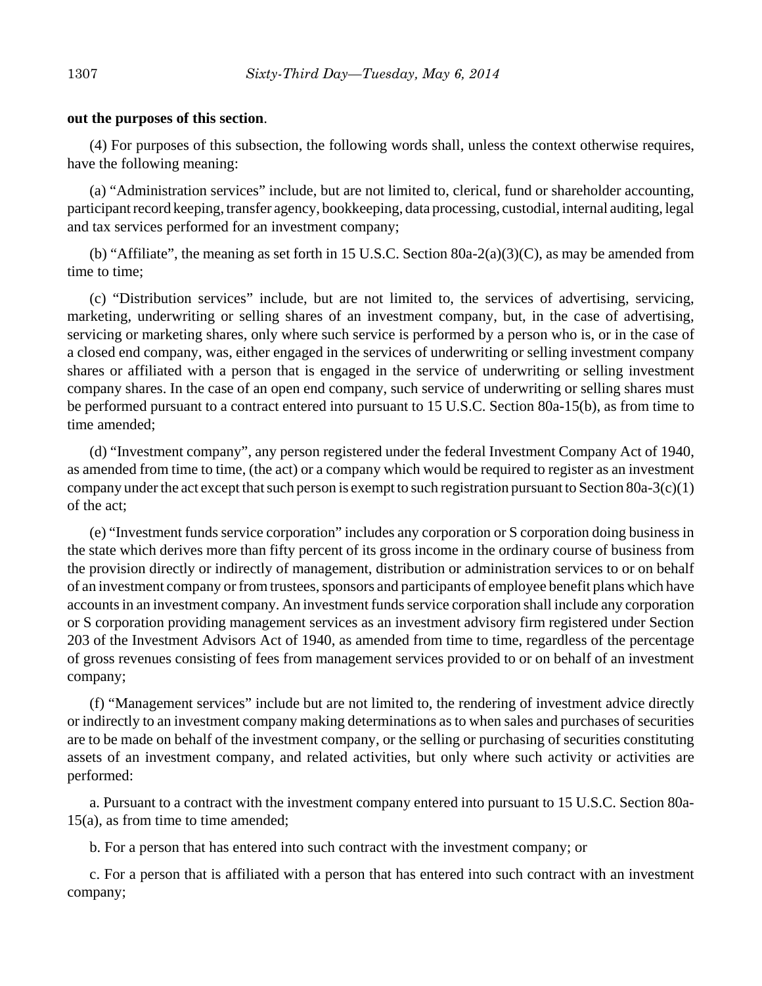#### **out the purposes of this section**.

(4) For purposes of this subsection, the following words shall, unless the context otherwise requires, have the following meaning:

(a) "Administration services" include, but are not limited to, clerical, fund or shareholder accounting, participant record keeping, transfer agency, bookkeeping, data processing, custodial, internal auditing, legal and tax services performed for an investment company;

(b) "Affiliate", the meaning as set forth in 15 U.S.C. Section 80a-2(a)(3)(C), as may be amended from time to time;

(c) "Distribution services" include, but are not limited to, the services of advertising, servicing, marketing, underwriting or selling shares of an investment company, but, in the case of advertising, servicing or marketing shares, only where such service is performed by a person who is, or in the case of a closed end company, was, either engaged in the services of underwriting or selling investment company shares or affiliated with a person that is engaged in the service of underwriting or selling investment company shares. In the case of an open end company, such service of underwriting or selling shares must be performed pursuant to a contract entered into pursuant to 15 U.S.C. Section 80a-15(b), as from time to time amended;

(d) "Investment company", any person registered under the federal Investment Company Act of 1940, as amended from time to time, (the act) or a company which would be required to register as an investment company under the act except that such person is exempt to such registration pursuant to Section 80a-3(c)(1) of the act;

(e) "Investment funds service corporation" includes any corporation or S corporation doing business in the state which derives more than fifty percent of its gross income in the ordinary course of business from the provision directly or indirectly of management, distribution or administration services to or on behalf of an investment company or from trustees, sponsors and participants of employee benefit plans which have accounts in an investment company. An investment funds service corporation shall include any corporation or S corporation providing management services as an investment advisory firm registered under Section 203 of the Investment Advisors Act of 1940, as amended from time to time, regardless of the percentage of gross revenues consisting of fees from management services provided to or on behalf of an investment company;

(f) "Management services" include but are not limited to, the rendering of investment advice directly or indirectly to an investment company making determinations as to when sales and purchases of securities are to be made on behalf of the investment company, or the selling or purchasing of securities constituting assets of an investment company, and related activities, but only where such activity or activities are performed:

a. Pursuant to a contract with the investment company entered into pursuant to 15 U.S.C. Section 80a-15(a), as from time to time amended;

b. For a person that has entered into such contract with the investment company; or

c. For a person that is affiliated with a person that has entered into such contract with an investment company;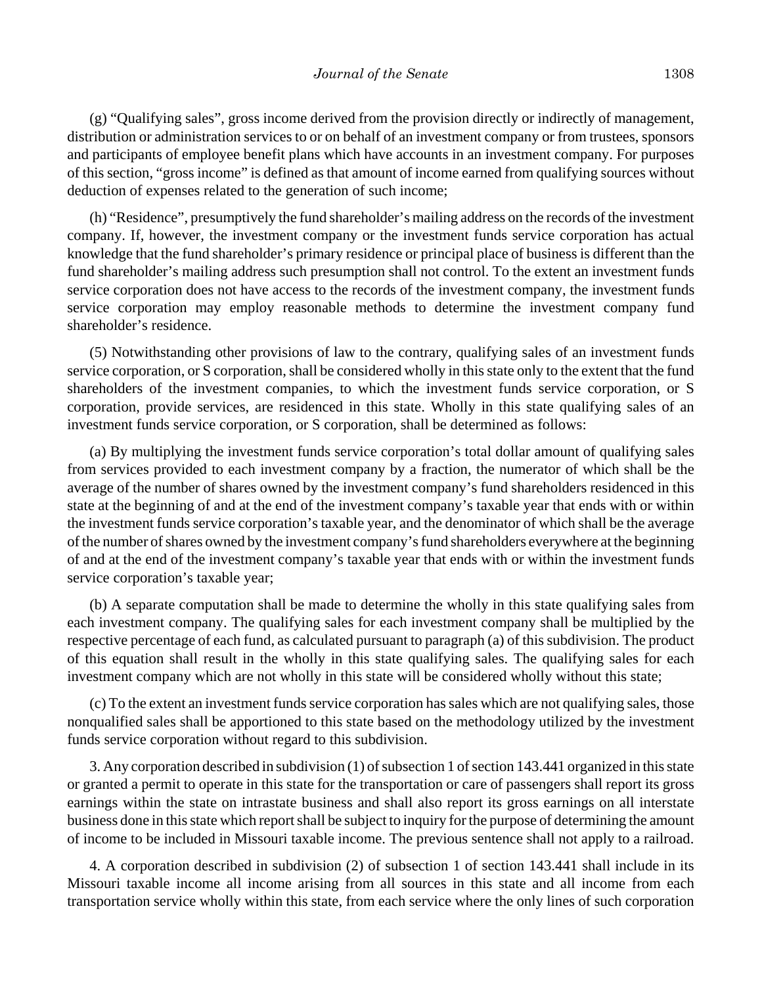(g) "Qualifying sales", gross income derived from the provision directly or indirectly of management, distribution or administration services to or on behalf of an investment company or from trustees, sponsors and participants of employee benefit plans which have accounts in an investment company. For purposes of this section, "gross income" is defined as that amount of income earned from qualifying sources without deduction of expenses related to the generation of such income;

(h) "Residence", presumptively the fund shareholder's mailing address on the records of the investment company. If, however, the investment company or the investment funds service corporation has actual knowledge that the fund shareholder's primary residence or principal place of business is different than the fund shareholder's mailing address such presumption shall not control. To the extent an investment funds service corporation does not have access to the records of the investment company, the investment funds service corporation may employ reasonable methods to determine the investment company fund shareholder's residence.

(5) Notwithstanding other provisions of law to the contrary, qualifying sales of an investment funds service corporation, or S corporation, shall be considered wholly in this state only to the extent that the fund shareholders of the investment companies, to which the investment funds service corporation, or S corporation, provide services, are residenced in this state. Wholly in this state qualifying sales of an investment funds service corporation, or S corporation, shall be determined as follows:

(a) By multiplying the investment funds service corporation's total dollar amount of qualifying sales from services provided to each investment company by a fraction, the numerator of which shall be the average of the number of shares owned by the investment company's fund shareholders residenced in this state at the beginning of and at the end of the investment company's taxable year that ends with or within the investment funds service corporation's taxable year, and the denominator of which shall be the average of the number of shares owned by the investment company's fund shareholders everywhere at the beginning of and at the end of the investment company's taxable year that ends with or within the investment funds service corporation's taxable year;

(b) A separate computation shall be made to determine the wholly in this state qualifying sales from each investment company. The qualifying sales for each investment company shall be multiplied by the respective percentage of each fund, as calculated pursuant to paragraph (a) of this subdivision. The product of this equation shall result in the wholly in this state qualifying sales. The qualifying sales for each investment company which are not wholly in this state will be considered wholly without this state;

(c) To the extent an investment funds service corporation has sales which are not qualifying sales, those nonqualified sales shall be apportioned to this state based on the methodology utilized by the investment funds service corporation without regard to this subdivision.

3. Any corporation described in subdivision (1) of subsection 1 of section 143.441 organized in this state or granted a permit to operate in this state for the transportation or care of passengers shall report its gross earnings within the state on intrastate business and shall also report its gross earnings on all interstate business done in this state which report shall be subject to inquiry for the purpose of determining the amount of income to be included in Missouri taxable income. The previous sentence shall not apply to a railroad.

4. A corporation described in subdivision (2) of subsection 1 of section 143.441 shall include in its Missouri taxable income all income arising from all sources in this state and all income from each transportation service wholly within this state, from each service where the only lines of such corporation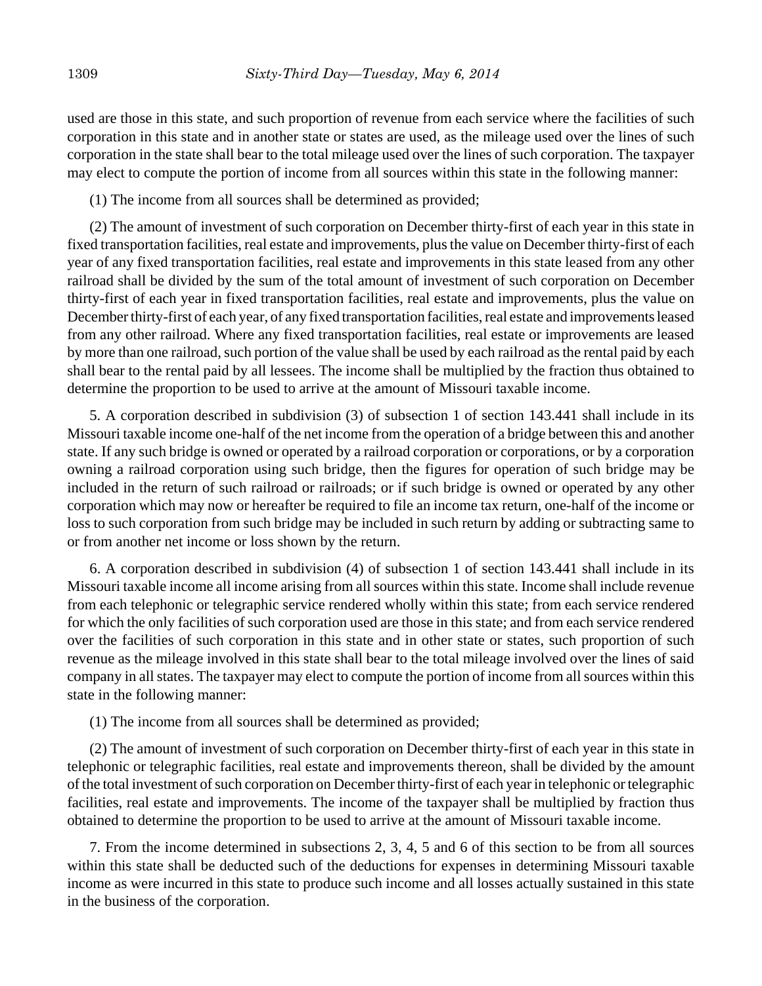used are those in this state, and such proportion of revenue from each service where the facilities of such corporation in this state and in another state or states are used, as the mileage used over the lines of such corporation in the state shall bear to the total mileage used over the lines of such corporation. The taxpayer may elect to compute the portion of income from all sources within this state in the following manner:

(1) The income from all sources shall be determined as provided;

(2) The amount of investment of such corporation on December thirty-first of each year in this state in fixed transportation facilities, real estate and improvements, plus the value on December thirty-first of each year of any fixed transportation facilities, real estate and improvements in this state leased from any other railroad shall be divided by the sum of the total amount of investment of such corporation on December thirty-first of each year in fixed transportation facilities, real estate and improvements, plus the value on December thirty-first of each year, of any fixed transportation facilities, real estate and improvements leased from any other railroad. Where any fixed transportation facilities, real estate or improvements are leased by more than one railroad, such portion of the value shall be used by each railroad as the rental paid by each shall bear to the rental paid by all lessees. The income shall be multiplied by the fraction thus obtained to determine the proportion to be used to arrive at the amount of Missouri taxable income.

5. A corporation described in subdivision (3) of subsection 1 of section 143.441 shall include in its Missouri taxable income one-half of the net income from the operation of a bridge between this and another state. If any such bridge is owned or operated by a railroad corporation or corporations, or by a corporation owning a railroad corporation using such bridge, then the figures for operation of such bridge may be included in the return of such railroad or railroads; or if such bridge is owned or operated by any other corporation which may now or hereafter be required to file an income tax return, one-half of the income or loss to such corporation from such bridge may be included in such return by adding or subtracting same to or from another net income or loss shown by the return.

6. A corporation described in subdivision (4) of subsection 1 of section 143.441 shall include in its Missouri taxable income all income arising from all sources within this state. Income shall include revenue from each telephonic or telegraphic service rendered wholly within this state; from each service rendered for which the only facilities of such corporation used are those in this state; and from each service rendered over the facilities of such corporation in this state and in other state or states, such proportion of such revenue as the mileage involved in this state shall bear to the total mileage involved over the lines of said company in all states. The taxpayer may elect to compute the portion of income from all sources within this state in the following manner:

(1) The income from all sources shall be determined as provided;

(2) The amount of investment of such corporation on December thirty-first of each year in this state in telephonic or telegraphic facilities, real estate and improvements thereon, shall be divided by the amount of the total investment of such corporation on December thirty-first of each year in telephonic or telegraphic facilities, real estate and improvements. The income of the taxpayer shall be multiplied by fraction thus obtained to determine the proportion to be used to arrive at the amount of Missouri taxable income.

7. From the income determined in subsections 2, 3, 4, 5 and 6 of this section to be from all sources within this state shall be deducted such of the deductions for expenses in determining Missouri taxable income as were incurred in this state to produce such income and all losses actually sustained in this state in the business of the corporation.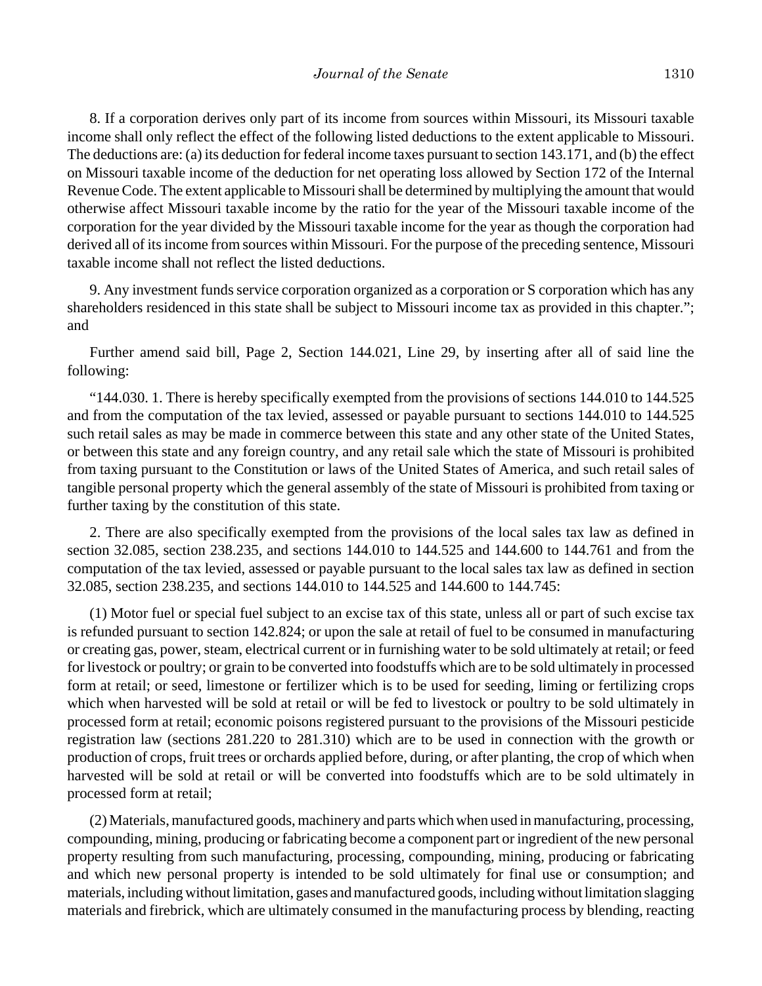8. If a corporation derives only part of its income from sources within Missouri, its Missouri taxable income shall only reflect the effect of the following listed deductions to the extent applicable to Missouri. The deductions are: (a) its deduction for federal income taxes pursuant to section 143.171, and (b) the effect on Missouri taxable income of the deduction for net operating loss allowed by Section 172 of the Internal Revenue Code. The extent applicable to Missouri shall be determined by multiplying the amount that would otherwise affect Missouri taxable income by the ratio for the year of the Missouri taxable income of the corporation for the year divided by the Missouri taxable income for the year as though the corporation had derived all of its income from sources within Missouri. For the purpose of the preceding sentence, Missouri taxable income shall not reflect the listed deductions.

9. Any investment funds service corporation organized as a corporation or S corporation which has any shareholders residenced in this state shall be subject to Missouri income tax as provided in this chapter."; and

Further amend said bill, Page 2, Section 144.021, Line 29, by inserting after all of said line the following:

"144.030. 1. There is hereby specifically exempted from the provisions of sections 144.010 to 144.525 and from the computation of the tax levied, assessed or payable pursuant to sections 144.010 to 144.525 such retail sales as may be made in commerce between this state and any other state of the United States, or between this state and any foreign country, and any retail sale which the state of Missouri is prohibited from taxing pursuant to the Constitution or laws of the United States of America, and such retail sales of tangible personal property which the general assembly of the state of Missouri is prohibited from taxing or further taxing by the constitution of this state.

2. There are also specifically exempted from the provisions of the local sales tax law as defined in section 32.085, section 238.235, and sections 144.010 to 144.525 and 144.600 to 144.761 and from the computation of the tax levied, assessed or payable pursuant to the local sales tax law as defined in section 32.085, section 238.235, and sections 144.010 to 144.525 and 144.600 to 144.745:

(1) Motor fuel or special fuel subject to an excise tax of this state, unless all or part of such excise tax is refunded pursuant to section 142.824; or upon the sale at retail of fuel to be consumed in manufacturing or creating gas, power, steam, electrical current or in furnishing water to be sold ultimately at retail; or feed for livestock or poultry; or grain to be converted into foodstuffs which are to be sold ultimately in processed form at retail; or seed, limestone or fertilizer which is to be used for seeding, liming or fertilizing crops which when harvested will be sold at retail or will be fed to livestock or poultry to be sold ultimately in processed form at retail; economic poisons registered pursuant to the provisions of the Missouri pesticide registration law (sections 281.220 to 281.310) which are to be used in connection with the growth or production of crops, fruit trees or orchards applied before, during, or after planting, the crop of which when harvested will be sold at retail or will be converted into foodstuffs which are to be sold ultimately in processed form at retail;

(2) Materials, manufactured goods, machinery and parts which when used in manufacturing, processing, compounding, mining, producing or fabricating become a component part or ingredient of the new personal property resulting from such manufacturing, processing, compounding, mining, producing or fabricating and which new personal property is intended to be sold ultimately for final use or consumption; and materials, including without limitation, gases and manufactured goods, including without limitation slagging materials and firebrick, which are ultimately consumed in the manufacturing process by blending, reacting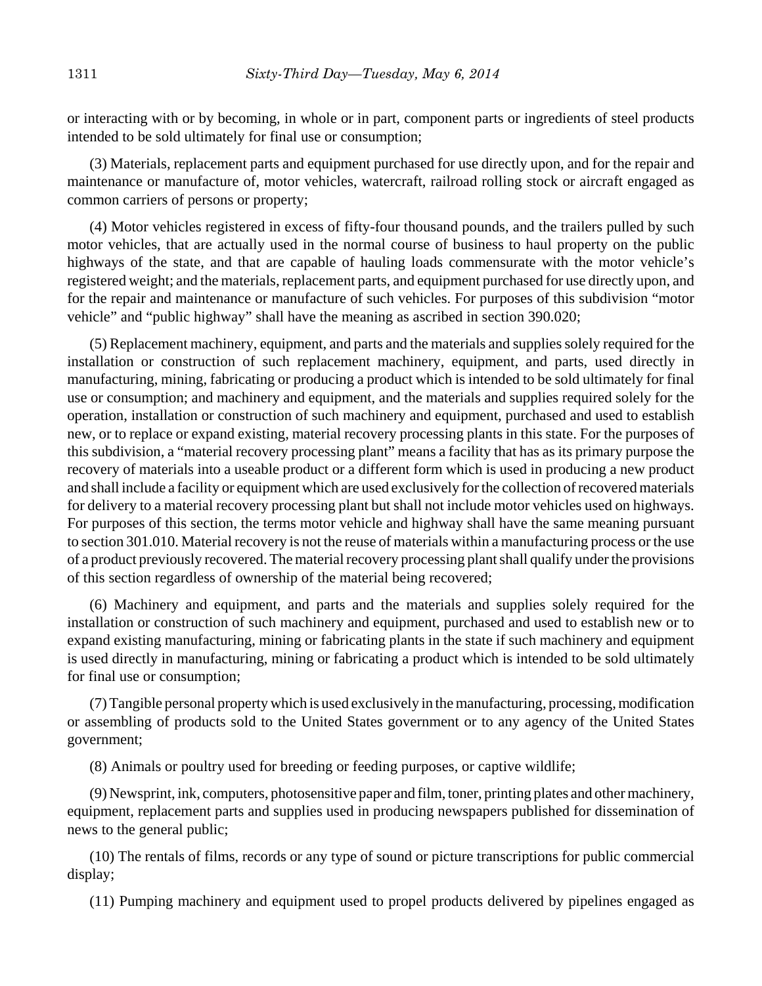or interacting with or by becoming, in whole or in part, component parts or ingredients of steel products intended to be sold ultimately for final use or consumption;

(3) Materials, replacement parts and equipment purchased for use directly upon, and for the repair and maintenance or manufacture of, motor vehicles, watercraft, railroad rolling stock or aircraft engaged as common carriers of persons or property;

(4) Motor vehicles registered in excess of fifty-four thousand pounds, and the trailers pulled by such motor vehicles, that are actually used in the normal course of business to haul property on the public highways of the state, and that are capable of hauling loads commensurate with the motor vehicle's registered weight; and the materials, replacement parts, and equipment purchased for use directly upon, and for the repair and maintenance or manufacture of such vehicles. For purposes of this subdivision "motor vehicle" and "public highway" shall have the meaning as ascribed in section 390.020;

(5) Replacement machinery, equipment, and parts and the materials and supplies solely required for the installation or construction of such replacement machinery, equipment, and parts, used directly in manufacturing, mining, fabricating or producing a product which is intended to be sold ultimately for final use or consumption; and machinery and equipment, and the materials and supplies required solely for the operation, installation or construction of such machinery and equipment, purchased and used to establish new, or to replace or expand existing, material recovery processing plants in this state. For the purposes of this subdivision, a "material recovery processing plant" means a facility that has as its primary purpose the recovery of materials into a useable product or a different form which is used in producing a new product and shall include a facility or equipment which are used exclusively for the collection of recovered materials for delivery to a material recovery processing plant but shall not include motor vehicles used on highways. For purposes of this section, the terms motor vehicle and highway shall have the same meaning pursuant to section 301.010. Material recovery is not the reuse of materials within a manufacturing process or the use of a product previously recovered. The material recovery processing plant shall qualify under the provisions of this section regardless of ownership of the material being recovered;

(6) Machinery and equipment, and parts and the materials and supplies solely required for the installation or construction of such machinery and equipment, purchased and used to establish new or to expand existing manufacturing, mining or fabricating plants in the state if such machinery and equipment is used directly in manufacturing, mining or fabricating a product which is intended to be sold ultimately for final use or consumption;

(7) Tangible personal property which is used exclusively in the manufacturing, processing, modification or assembling of products sold to the United States government or to any agency of the United States government;

(8) Animals or poultry used for breeding or feeding purposes, or captive wildlife;

(9) Newsprint, ink, computers, photosensitive paper and film, toner, printing plates and other machinery, equipment, replacement parts and supplies used in producing newspapers published for dissemination of news to the general public;

(10) The rentals of films, records or any type of sound or picture transcriptions for public commercial display;

(11) Pumping machinery and equipment used to propel products delivered by pipelines engaged as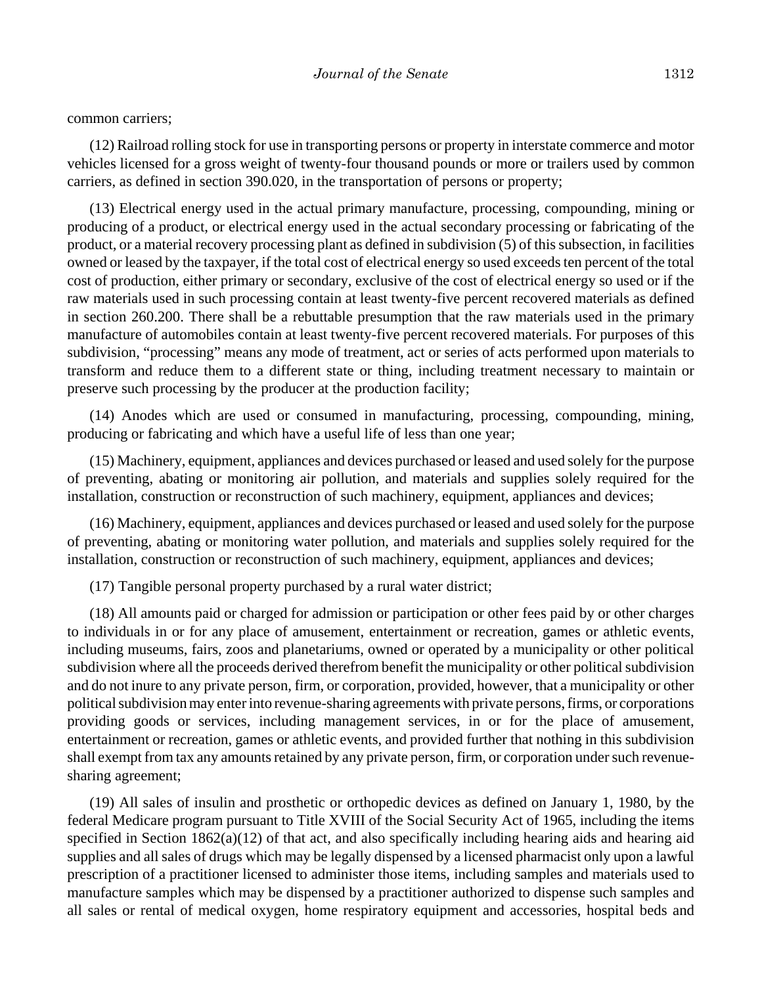common carriers;

(12) Railroad rolling stock for use in transporting persons or property in interstate commerce and motor vehicles licensed for a gross weight of twenty-four thousand pounds or more or trailers used by common carriers, as defined in section 390.020, in the transportation of persons or property;

(13) Electrical energy used in the actual primary manufacture, processing, compounding, mining or producing of a product, or electrical energy used in the actual secondary processing or fabricating of the product, or a material recovery processing plant as defined in subdivision (5) of this subsection, in facilities owned or leased by the taxpayer, if the total cost of electrical energy so used exceeds ten percent of the total cost of production, either primary or secondary, exclusive of the cost of electrical energy so used or if the raw materials used in such processing contain at least twenty-five percent recovered materials as defined in section 260.200. There shall be a rebuttable presumption that the raw materials used in the primary manufacture of automobiles contain at least twenty-five percent recovered materials. For purposes of this subdivision, "processing" means any mode of treatment, act or series of acts performed upon materials to transform and reduce them to a different state or thing, including treatment necessary to maintain or preserve such processing by the producer at the production facility;

(14) Anodes which are used or consumed in manufacturing, processing, compounding, mining, producing or fabricating and which have a useful life of less than one year;

(15) Machinery, equipment, appliances and devices purchased or leased and used solely for the purpose of preventing, abating or monitoring air pollution, and materials and supplies solely required for the installation, construction or reconstruction of such machinery, equipment, appliances and devices;

(16) Machinery, equipment, appliances and devices purchased or leased and used solely for the purpose of preventing, abating or monitoring water pollution, and materials and supplies solely required for the installation, construction or reconstruction of such machinery, equipment, appliances and devices;

(17) Tangible personal property purchased by a rural water district;

(18) All amounts paid or charged for admission or participation or other fees paid by or other charges to individuals in or for any place of amusement, entertainment or recreation, games or athletic events, including museums, fairs, zoos and planetariums, owned or operated by a municipality or other political subdivision where all the proceeds derived therefrom benefit the municipality or other political subdivision and do not inure to any private person, firm, or corporation, provided, however, that a municipality or other political subdivision may enter into revenue-sharing agreements with private persons, firms, or corporations providing goods or services, including management services, in or for the place of amusement, entertainment or recreation, games or athletic events, and provided further that nothing in this subdivision shall exempt from tax any amounts retained by any private person, firm, or corporation under such revenuesharing agreement;

(19) All sales of insulin and prosthetic or orthopedic devices as defined on January 1, 1980, by the federal Medicare program pursuant to Title XVIII of the Social Security Act of 1965, including the items specified in Section 1862(a)(12) of that act, and also specifically including hearing aids and hearing aid supplies and all sales of drugs which may be legally dispensed by a licensed pharmacist only upon a lawful prescription of a practitioner licensed to administer those items, including samples and materials used to manufacture samples which may be dispensed by a practitioner authorized to dispense such samples and all sales or rental of medical oxygen, home respiratory equipment and accessories, hospital beds and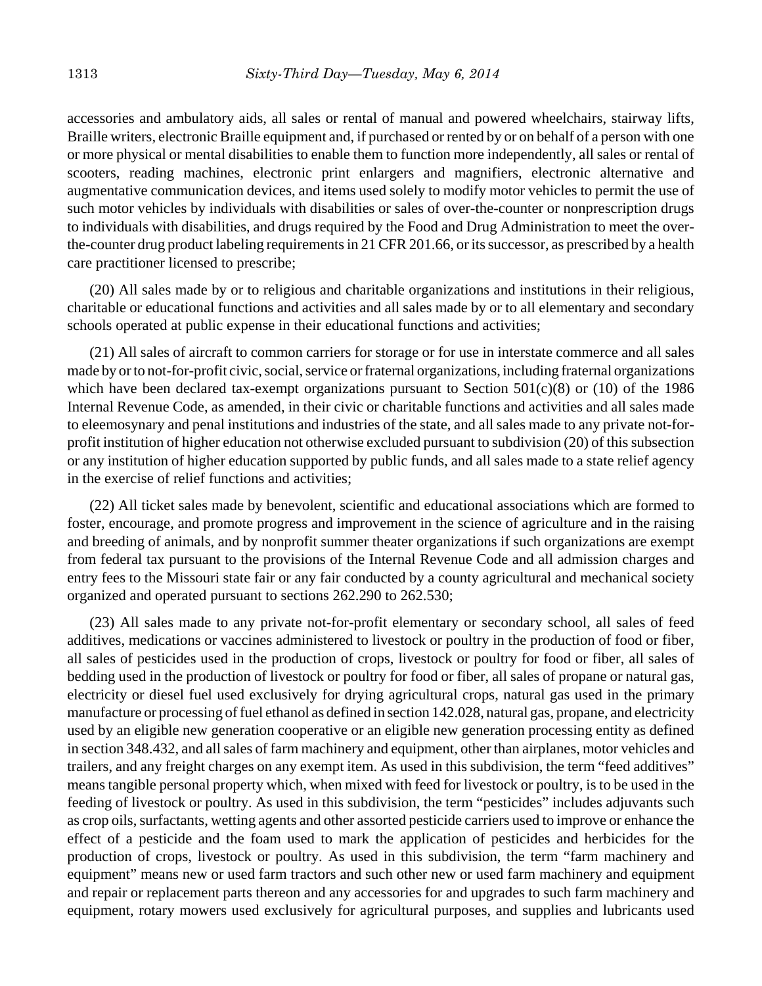accessories and ambulatory aids, all sales or rental of manual and powered wheelchairs, stairway lifts, Braille writers, electronic Braille equipment and, if purchased or rented by or on behalf of a person with one or more physical or mental disabilities to enable them to function more independently, all sales or rental of scooters, reading machines, electronic print enlargers and magnifiers, electronic alternative and augmentative communication devices, and items used solely to modify motor vehicles to permit the use of such motor vehicles by individuals with disabilities or sales of over-the-counter or nonprescription drugs to individuals with disabilities, and drugs required by the Food and Drug Administration to meet the overthe-counter drug product labeling requirements in 21 CFR 201.66, or its successor, as prescribed by a health care practitioner licensed to prescribe;

(20) All sales made by or to religious and charitable organizations and institutions in their religious, charitable or educational functions and activities and all sales made by or to all elementary and secondary schools operated at public expense in their educational functions and activities;

(21) All sales of aircraft to common carriers for storage or for use in interstate commerce and all sales made by or to not-for-profit civic, social, service or fraternal organizations, including fraternal organizations which have been declared tax-exempt organizations pursuant to Section 501(c)(8) or (10) of the 1986 Internal Revenue Code, as amended, in their civic or charitable functions and activities and all sales made to eleemosynary and penal institutions and industries of the state, and all sales made to any private not-forprofit institution of higher education not otherwise excluded pursuant to subdivision (20) of this subsection or any institution of higher education supported by public funds, and all sales made to a state relief agency in the exercise of relief functions and activities;

(22) All ticket sales made by benevolent, scientific and educational associations which are formed to foster, encourage, and promote progress and improvement in the science of agriculture and in the raising and breeding of animals, and by nonprofit summer theater organizations if such organizations are exempt from federal tax pursuant to the provisions of the Internal Revenue Code and all admission charges and entry fees to the Missouri state fair or any fair conducted by a county agricultural and mechanical society organized and operated pursuant to sections 262.290 to 262.530;

(23) All sales made to any private not-for-profit elementary or secondary school, all sales of feed additives, medications or vaccines administered to livestock or poultry in the production of food or fiber, all sales of pesticides used in the production of crops, livestock or poultry for food or fiber, all sales of bedding used in the production of livestock or poultry for food or fiber, all sales of propane or natural gas, electricity or diesel fuel used exclusively for drying agricultural crops, natural gas used in the primary manufacture or processing of fuel ethanol as defined in section 142.028, natural gas, propane, and electricity used by an eligible new generation cooperative or an eligible new generation processing entity as defined in section 348.432, and all sales of farm machinery and equipment, other than airplanes, motor vehicles and trailers, and any freight charges on any exempt item. As used in this subdivision, the term "feed additives" means tangible personal property which, when mixed with feed for livestock or poultry, is to be used in the feeding of livestock or poultry. As used in this subdivision, the term "pesticides" includes adjuvants such as crop oils, surfactants, wetting agents and other assorted pesticide carriers used to improve or enhance the effect of a pesticide and the foam used to mark the application of pesticides and herbicides for the production of crops, livestock or poultry. As used in this subdivision, the term "farm machinery and equipment" means new or used farm tractors and such other new or used farm machinery and equipment and repair or replacement parts thereon and any accessories for and upgrades to such farm machinery and equipment, rotary mowers used exclusively for agricultural purposes, and supplies and lubricants used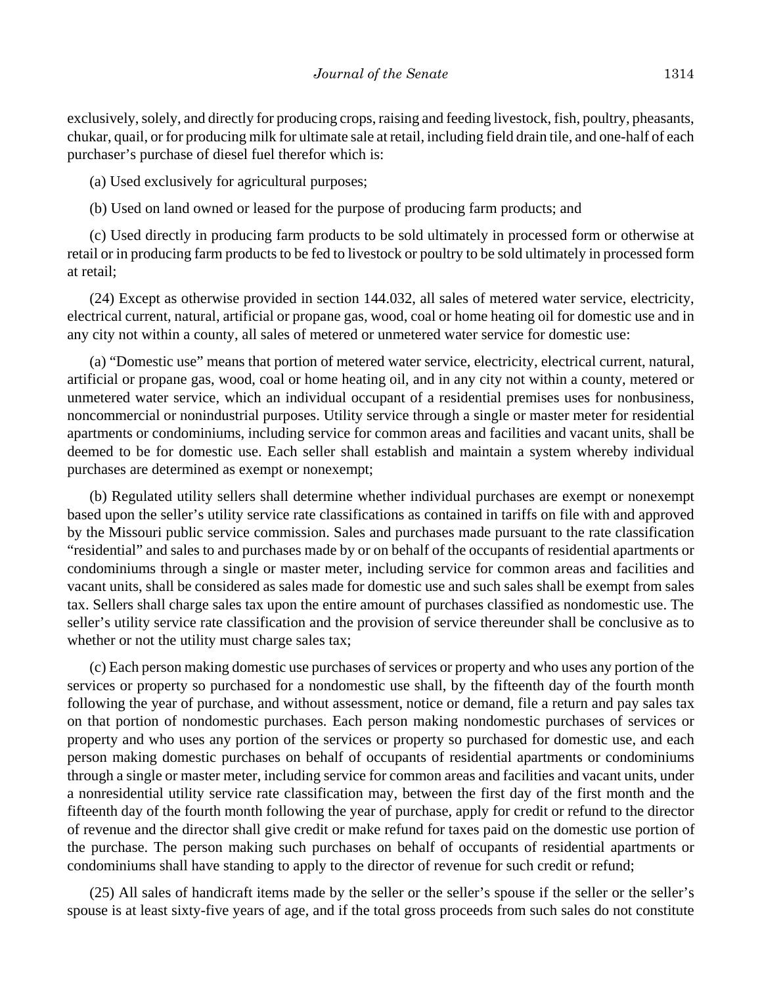exclusively, solely, and directly for producing crops, raising and feeding livestock, fish, poultry, pheasants, chukar, quail, or for producing milk for ultimate sale at retail, including field drain tile, and one-half of each purchaser's purchase of diesel fuel therefor which is:

(a) Used exclusively for agricultural purposes;

(b) Used on land owned or leased for the purpose of producing farm products; and

(c) Used directly in producing farm products to be sold ultimately in processed form or otherwise at retail or in producing farm products to be fed to livestock or poultry to be sold ultimately in processed form at retail;

(24) Except as otherwise provided in section 144.032, all sales of metered water service, electricity, electrical current, natural, artificial or propane gas, wood, coal or home heating oil for domestic use and in any city not within a county, all sales of metered or unmetered water service for domestic use:

(a) "Domestic use" means that portion of metered water service, electricity, electrical current, natural, artificial or propane gas, wood, coal or home heating oil, and in any city not within a county, metered or unmetered water service, which an individual occupant of a residential premises uses for nonbusiness, noncommercial or nonindustrial purposes. Utility service through a single or master meter for residential apartments or condominiums, including service for common areas and facilities and vacant units, shall be deemed to be for domestic use. Each seller shall establish and maintain a system whereby individual purchases are determined as exempt or nonexempt;

(b) Regulated utility sellers shall determine whether individual purchases are exempt or nonexempt based upon the seller's utility service rate classifications as contained in tariffs on file with and approved by the Missouri public service commission. Sales and purchases made pursuant to the rate classification "residential" and sales to and purchases made by or on behalf of the occupants of residential apartments or condominiums through a single or master meter, including service for common areas and facilities and vacant units, shall be considered as sales made for domestic use and such sales shall be exempt from sales tax. Sellers shall charge sales tax upon the entire amount of purchases classified as nondomestic use. The seller's utility service rate classification and the provision of service thereunder shall be conclusive as to whether or not the utility must charge sales tax;

(c) Each person making domestic use purchases of services or property and who uses any portion of the services or property so purchased for a nondomestic use shall, by the fifteenth day of the fourth month following the year of purchase, and without assessment, notice or demand, file a return and pay sales tax on that portion of nondomestic purchases. Each person making nondomestic purchases of services or property and who uses any portion of the services or property so purchased for domestic use, and each person making domestic purchases on behalf of occupants of residential apartments or condominiums through a single or master meter, including service for common areas and facilities and vacant units, under a nonresidential utility service rate classification may, between the first day of the first month and the fifteenth day of the fourth month following the year of purchase, apply for credit or refund to the director of revenue and the director shall give credit or make refund for taxes paid on the domestic use portion of the purchase. The person making such purchases on behalf of occupants of residential apartments or condominiums shall have standing to apply to the director of revenue for such credit or refund;

(25) All sales of handicraft items made by the seller or the seller's spouse if the seller or the seller's spouse is at least sixty-five years of age, and if the total gross proceeds from such sales do not constitute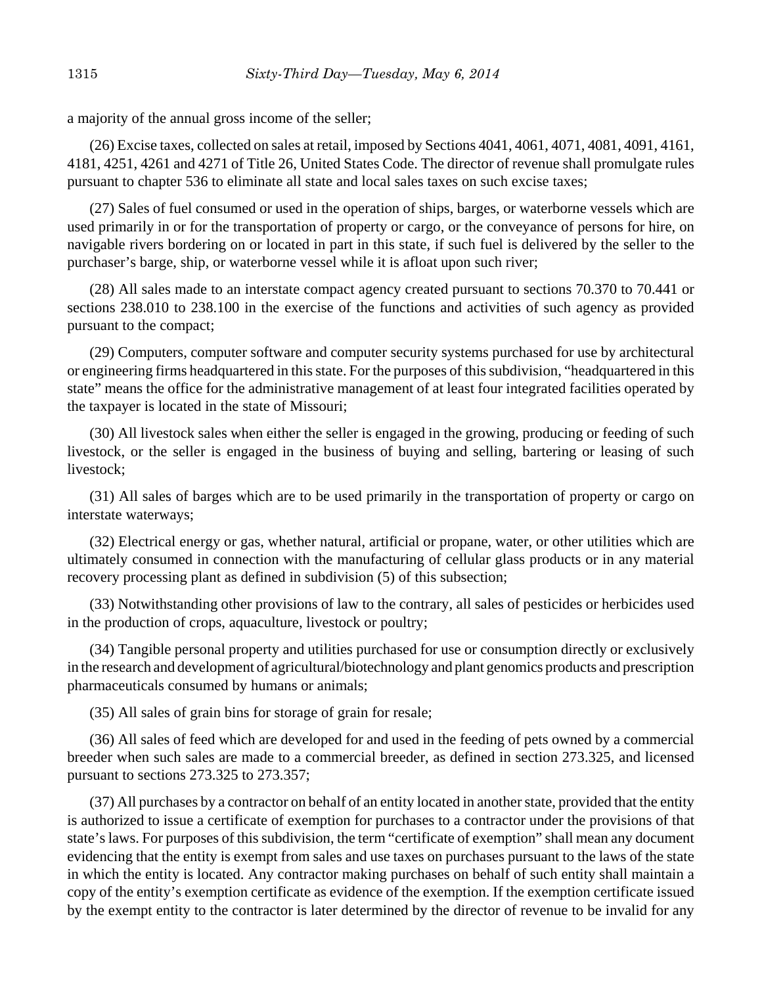a majority of the annual gross income of the seller;

(26) Excise taxes, collected on sales at retail, imposed by Sections 4041, 4061, 4071, 4081, 4091, 4161, 4181, 4251, 4261 and 4271 of Title 26, United States Code. The director of revenue shall promulgate rules pursuant to chapter 536 to eliminate all state and local sales taxes on such excise taxes;

(27) Sales of fuel consumed or used in the operation of ships, barges, or waterborne vessels which are used primarily in or for the transportation of property or cargo, or the conveyance of persons for hire, on navigable rivers bordering on or located in part in this state, if such fuel is delivered by the seller to the purchaser's barge, ship, or waterborne vessel while it is afloat upon such river;

(28) All sales made to an interstate compact agency created pursuant to sections 70.370 to 70.441 or sections 238.010 to 238.100 in the exercise of the functions and activities of such agency as provided pursuant to the compact;

(29) Computers, computer software and computer security systems purchased for use by architectural or engineering firms headquartered in this state. For the purposes of this subdivision, "headquartered in this state" means the office for the administrative management of at least four integrated facilities operated by the taxpayer is located in the state of Missouri;

(30) All livestock sales when either the seller is engaged in the growing, producing or feeding of such livestock, or the seller is engaged in the business of buying and selling, bartering or leasing of such livestock;

(31) All sales of barges which are to be used primarily in the transportation of property or cargo on interstate waterways;

(32) Electrical energy or gas, whether natural, artificial or propane, water, or other utilities which are ultimately consumed in connection with the manufacturing of cellular glass products or in any material recovery processing plant as defined in subdivision (5) of this subsection;

(33) Notwithstanding other provisions of law to the contrary, all sales of pesticides or herbicides used in the production of crops, aquaculture, livestock or poultry;

(34) Tangible personal property and utilities purchased for use or consumption directly or exclusively in the research and development of agricultural/biotechnology and plant genomics products and prescription pharmaceuticals consumed by humans or animals;

(35) All sales of grain bins for storage of grain for resale;

(36) All sales of feed which are developed for and used in the feeding of pets owned by a commercial breeder when such sales are made to a commercial breeder, as defined in section 273.325, and licensed pursuant to sections 273.325 to 273.357;

(37) All purchases by a contractor on behalf of an entity located in another state, provided that the entity is authorized to issue a certificate of exemption for purchases to a contractor under the provisions of that state's laws. For purposes of this subdivision, the term "certificate of exemption" shall mean any document evidencing that the entity is exempt from sales and use taxes on purchases pursuant to the laws of the state in which the entity is located. Any contractor making purchases on behalf of such entity shall maintain a copy of the entity's exemption certificate as evidence of the exemption. If the exemption certificate issued by the exempt entity to the contractor is later determined by the director of revenue to be invalid for any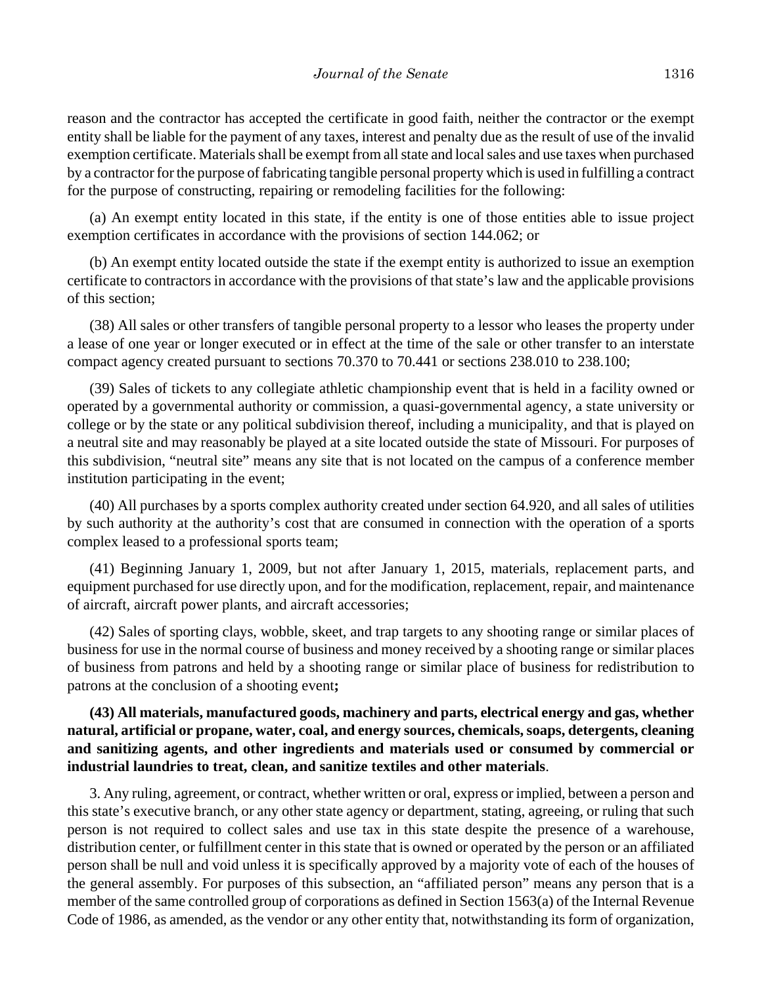reason and the contractor has accepted the certificate in good faith, neither the contractor or the exempt entity shall be liable for the payment of any taxes, interest and penalty due as the result of use of the invalid exemption certificate. Materials shall be exempt from all state and local sales and use taxes when purchased by a contractor for the purpose of fabricating tangible personal property which is used in fulfilling a contract for the purpose of constructing, repairing or remodeling facilities for the following:

(a) An exempt entity located in this state, if the entity is one of those entities able to issue project exemption certificates in accordance with the provisions of section 144.062; or

(b) An exempt entity located outside the state if the exempt entity is authorized to issue an exemption certificate to contractors in accordance with the provisions of that state's law and the applicable provisions of this section;

(38) All sales or other transfers of tangible personal property to a lessor who leases the property under a lease of one year or longer executed or in effect at the time of the sale or other transfer to an interstate compact agency created pursuant to sections 70.370 to 70.441 or sections 238.010 to 238.100;

(39) Sales of tickets to any collegiate athletic championship event that is held in a facility owned or operated by a governmental authority or commission, a quasi-governmental agency, a state university or college or by the state or any political subdivision thereof, including a municipality, and that is played on a neutral site and may reasonably be played at a site located outside the state of Missouri. For purposes of this subdivision, "neutral site" means any site that is not located on the campus of a conference member institution participating in the event;

(40) All purchases by a sports complex authority created under section 64.920, and all sales of utilities by such authority at the authority's cost that are consumed in connection with the operation of a sports complex leased to a professional sports team;

(41) Beginning January 1, 2009, but not after January 1, 2015, materials, replacement parts, and equipment purchased for use directly upon, and for the modification, replacement, repair, and maintenance of aircraft, aircraft power plants, and aircraft accessories;

(42) Sales of sporting clays, wobble, skeet, and trap targets to any shooting range or similar places of business for use in the normal course of business and money received by a shooting range or similar places of business from patrons and held by a shooting range or similar place of business for redistribution to patrons at the conclusion of a shooting event**;**

# **(43) All materials, manufactured goods, machinery and parts, electrical energy and gas, whether natural, artificial or propane, water, coal, and energy sources, chemicals, soaps, detergents, cleaning and sanitizing agents, and other ingredients and materials used or consumed by commercial or industrial laundries to treat, clean, and sanitize textiles and other materials**.

3. Any ruling, agreement, or contract, whether written or oral, express or implied, between a person and this state's executive branch, or any other state agency or department, stating, agreeing, or ruling that such person is not required to collect sales and use tax in this state despite the presence of a warehouse, distribution center, or fulfillment center in this state that is owned or operated by the person or an affiliated person shall be null and void unless it is specifically approved by a majority vote of each of the houses of the general assembly. For purposes of this subsection, an "affiliated person" means any person that is a member of the same controlled group of corporations as defined in Section 1563(a) of the Internal Revenue Code of 1986, as amended, as the vendor or any other entity that, notwithstanding its form of organization,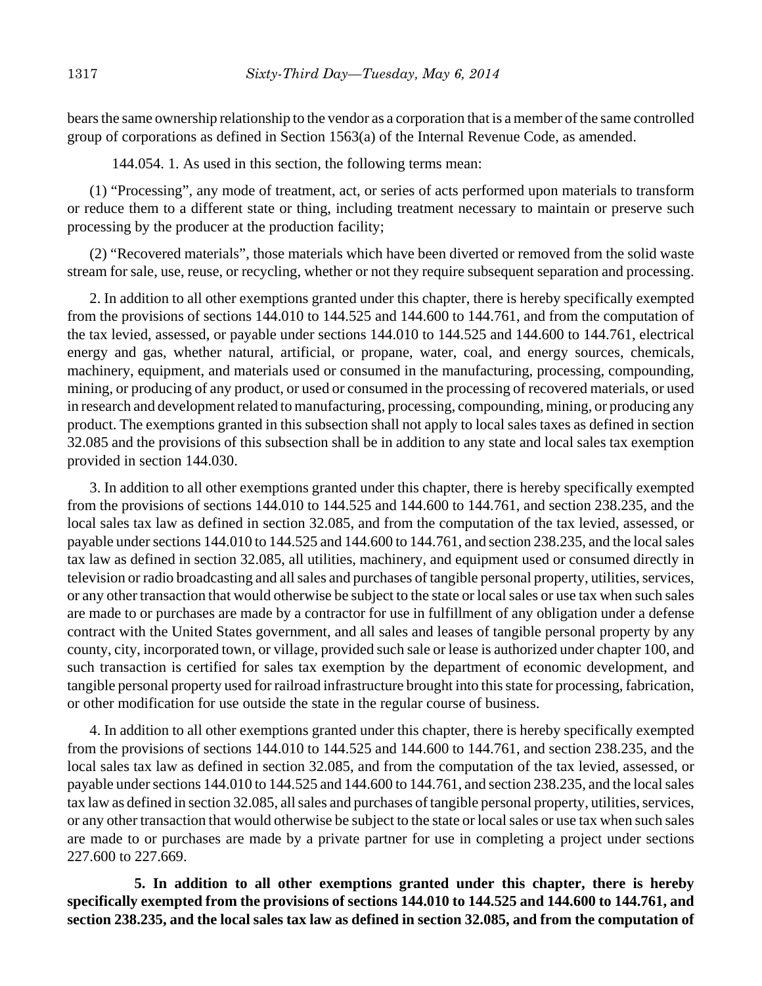bears the same ownership relationship to the vendor as a corporation that is a member of the same controlled group of corporations as defined in Section 1563(a) of the Internal Revenue Code, as amended.

144.054. 1. As used in this section, the following terms mean:

(1) "Processing", any mode of treatment, act, or series of acts performed upon materials to transform or reduce them to a different state or thing, including treatment necessary to maintain or preserve such processing by the producer at the production facility;

(2) "Recovered materials", those materials which have been diverted or removed from the solid waste stream for sale, use, reuse, or recycling, whether or not they require subsequent separation and processing.

2. In addition to all other exemptions granted under this chapter, there is hereby specifically exempted from the provisions of sections 144.010 to 144.525 and 144.600 to 144.761, and from the computation of the tax levied, assessed, or payable under sections 144.010 to 144.525 and 144.600 to 144.761, electrical energy and gas, whether natural, artificial, or propane, water, coal, and energy sources, chemicals, machinery, equipment, and materials used or consumed in the manufacturing, processing, compounding, mining, or producing of any product, or used or consumed in the processing of recovered materials, or used in research and development related to manufacturing, processing, compounding, mining, or producing any product. The exemptions granted in this subsection shall not apply to local sales taxes as defined in section 32.085 and the provisions of this subsection shall be in addition to any state and local sales tax exemption provided in section 144.030.

3. In addition to all other exemptions granted under this chapter, there is hereby specifically exempted from the provisions of sections 144.010 to 144.525 and 144.600 to 144.761, and section 238.235, and the local sales tax law as defined in section 32.085, and from the computation of the tax levied, assessed, or payable under sections 144.010 to 144.525 and 144.600 to 144.761, and section 238.235, and the local sales tax law as defined in section 32.085, all utilities, machinery, and equipment used or consumed directly in television or radio broadcasting and all sales and purchases of tangible personal property, utilities, services, or any other transaction that would otherwise be subject to the state or local sales or use tax when such sales are made to or purchases are made by a contractor for use in fulfillment of any obligation under a defense contract with the United States government, and all sales and leases of tangible personal property by any county, city, incorporated town, or village, provided such sale or lease is authorized under chapter 100, and such transaction is certified for sales tax exemption by the department of economic development, and tangible personal property used for railroad infrastructure brought into this state for processing, fabrication, or other modification for use outside the state in the regular course of business.

4. In addition to all other exemptions granted under this chapter, there is hereby specifically exempted from the provisions of sections 144.010 to 144.525 and 144.600 to 144.761, and section 238.235, and the local sales tax law as defined in section 32.085, and from the computation of the tax levied, assessed, or payable under sections 144.010 to 144.525 and 144.600 to 144.761, and section 238.235, and the local sales tax law as defined in section 32.085, all sales and purchases of tangible personal property, utilities, services, or any other transaction that would otherwise be subject to the state or local sales or use tax when such sales are made to or purchases are made by a private partner for use in completing a project under sections 227.600 to 227.669.

**5. In addition to all other exemptions granted under this chapter, there is hereby specifically exempted from the provisions of sections 144.010 to 144.525 and 144.600 to 144.761, and section 238.235, and the local sales tax law as defined in section 32.085, and from the computation of**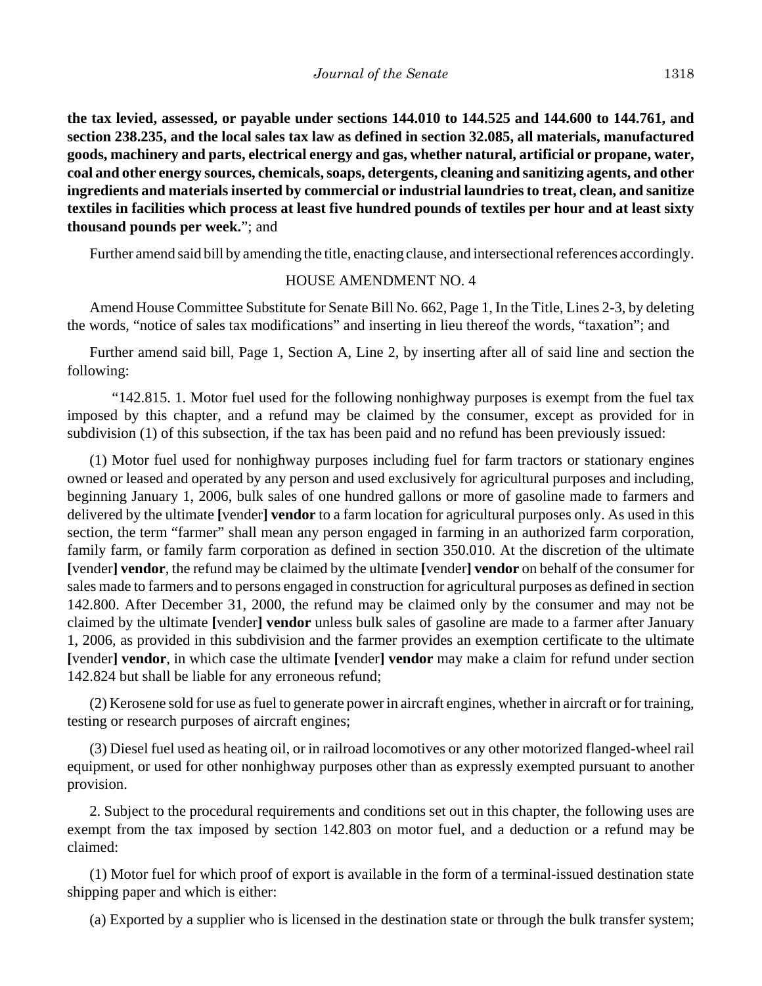**the tax levied, assessed, or payable under sections 144.010 to 144.525 and 144.600 to 144.761, and section 238.235, and the local sales tax law as defined in section 32.085, all materials, manufactured goods, machinery and parts, electrical energy and gas, whether natural, artificial or propane, water, coal and other energy sources, chemicals, soaps, detergents, cleaning and sanitizing agents, and other ingredients and materials inserted by commercial or industrial laundries to treat, clean, and sanitize textiles in facilities which process at least five hundred pounds of textiles per hour and at least sixty thousand pounds per week.**"; and

Further amend said bill by amending the title, enacting clause, and intersectional references accordingly.

## HOUSE AMENDMENT NO. 4

Amend House Committee Substitute for Senate Bill No. 662, Page 1, In the Title, Lines 2-3, by deleting the words, "notice of sales tax modifications" and inserting in lieu thereof the words, "taxation"; and

Further amend said bill, Page 1, Section A, Line 2, by inserting after all of said line and section the following:

"142.815. 1. Motor fuel used for the following nonhighway purposes is exempt from the fuel tax imposed by this chapter, and a refund may be claimed by the consumer, except as provided for in subdivision (1) of this subsection, if the tax has been paid and no refund has been previously issued:

(1) Motor fuel used for nonhighway purposes including fuel for farm tractors or stationary engines owned or leased and operated by any person and used exclusively for agricultural purposes and including, beginning January 1, 2006, bulk sales of one hundred gallons or more of gasoline made to farmers and delivered by the ultimate **[**vender**] vendor** to a farm location for agricultural purposes only. As used in this section, the term "farmer" shall mean any person engaged in farming in an authorized farm corporation, family farm, or family farm corporation as defined in section 350.010. At the discretion of the ultimate **[**vender**] vendor**, the refund may be claimed by the ultimate **[**vender**] vendor** on behalf of the consumer for sales made to farmers and to persons engaged in construction for agricultural purposes as defined in section 142.800. After December 31, 2000, the refund may be claimed only by the consumer and may not be claimed by the ultimate **[**vender**] vendor** unless bulk sales of gasoline are made to a farmer after January 1, 2006, as provided in this subdivision and the farmer provides an exemption certificate to the ultimate **[**vender**] vendor**, in which case the ultimate **[**vender**] vendor** may make a claim for refund under section 142.824 but shall be liable for any erroneous refund;

(2) Kerosene sold for use as fuel to generate power in aircraft engines, whether in aircraft or for training, testing or research purposes of aircraft engines;

(3) Diesel fuel used as heating oil, or in railroad locomotives or any other motorized flanged-wheel rail equipment, or used for other nonhighway purposes other than as expressly exempted pursuant to another provision.

2. Subject to the procedural requirements and conditions set out in this chapter, the following uses are exempt from the tax imposed by section 142.803 on motor fuel, and a deduction or a refund may be claimed:

(1) Motor fuel for which proof of export is available in the form of a terminal-issued destination state shipping paper and which is either:

(a) Exported by a supplier who is licensed in the destination state or through the bulk transfer system;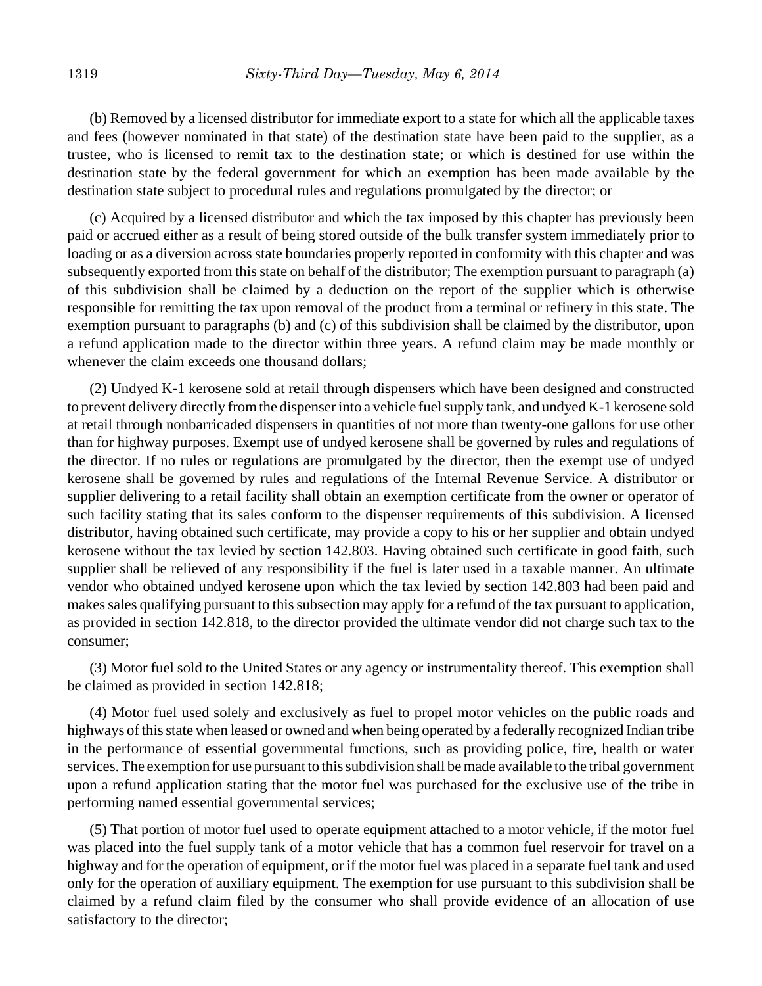(b) Removed by a licensed distributor for immediate export to a state for which all the applicable taxes and fees (however nominated in that state) of the destination state have been paid to the supplier, as a trustee, who is licensed to remit tax to the destination state; or which is destined for use within the destination state by the federal government for which an exemption has been made available by the destination state subject to procedural rules and regulations promulgated by the director; or

(c) Acquired by a licensed distributor and which the tax imposed by this chapter has previously been paid or accrued either as a result of being stored outside of the bulk transfer system immediately prior to loading or as a diversion across state boundaries properly reported in conformity with this chapter and was subsequently exported from this state on behalf of the distributor; The exemption pursuant to paragraph (a) of this subdivision shall be claimed by a deduction on the report of the supplier which is otherwise responsible for remitting the tax upon removal of the product from a terminal or refinery in this state. The exemption pursuant to paragraphs (b) and (c) of this subdivision shall be claimed by the distributor, upon a refund application made to the director within three years. A refund claim may be made monthly or whenever the claim exceeds one thousand dollars;

(2) Undyed K-1 kerosene sold at retail through dispensers which have been designed and constructed to prevent delivery directly from the dispenser into a vehicle fuel supply tank, and undyed K-1 kerosene sold at retail through nonbarricaded dispensers in quantities of not more than twenty-one gallons for use other than for highway purposes. Exempt use of undyed kerosene shall be governed by rules and regulations of the director. If no rules or regulations are promulgated by the director, then the exempt use of undyed kerosene shall be governed by rules and regulations of the Internal Revenue Service. A distributor or supplier delivering to a retail facility shall obtain an exemption certificate from the owner or operator of such facility stating that its sales conform to the dispenser requirements of this subdivision. A licensed distributor, having obtained such certificate, may provide a copy to his or her supplier and obtain undyed kerosene without the tax levied by section 142.803. Having obtained such certificate in good faith, such supplier shall be relieved of any responsibility if the fuel is later used in a taxable manner. An ultimate vendor who obtained undyed kerosene upon which the tax levied by section 142.803 had been paid and makes sales qualifying pursuant to this subsection may apply for a refund of the tax pursuant to application, as provided in section 142.818, to the director provided the ultimate vendor did not charge such tax to the consumer;

(3) Motor fuel sold to the United States or any agency or instrumentality thereof. This exemption shall be claimed as provided in section 142.818;

(4) Motor fuel used solely and exclusively as fuel to propel motor vehicles on the public roads and highways of this state when leased or owned and when being operated by a federally recognized Indian tribe in the performance of essential governmental functions, such as providing police, fire, health or water services. The exemption for use pursuant to this subdivision shall be made available to the tribal government upon a refund application stating that the motor fuel was purchased for the exclusive use of the tribe in performing named essential governmental services;

(5) That portion of motor fuel used to operate equipment attached to a motor vehicle, if the motor fuel was placed into the fuel supply tank of a motor vehicle that has a common fuel reservoir for travel on a highway and for the operation of equipment, or if the motor fuel was placed in a separate fuel tank and used only for the operation of auxiliary equipment. The exemption for use pursuant to this subdivision shall be claimed by a refund claim filed by the consumer who shall provide evidence of an allocation of use satisfactory to the director;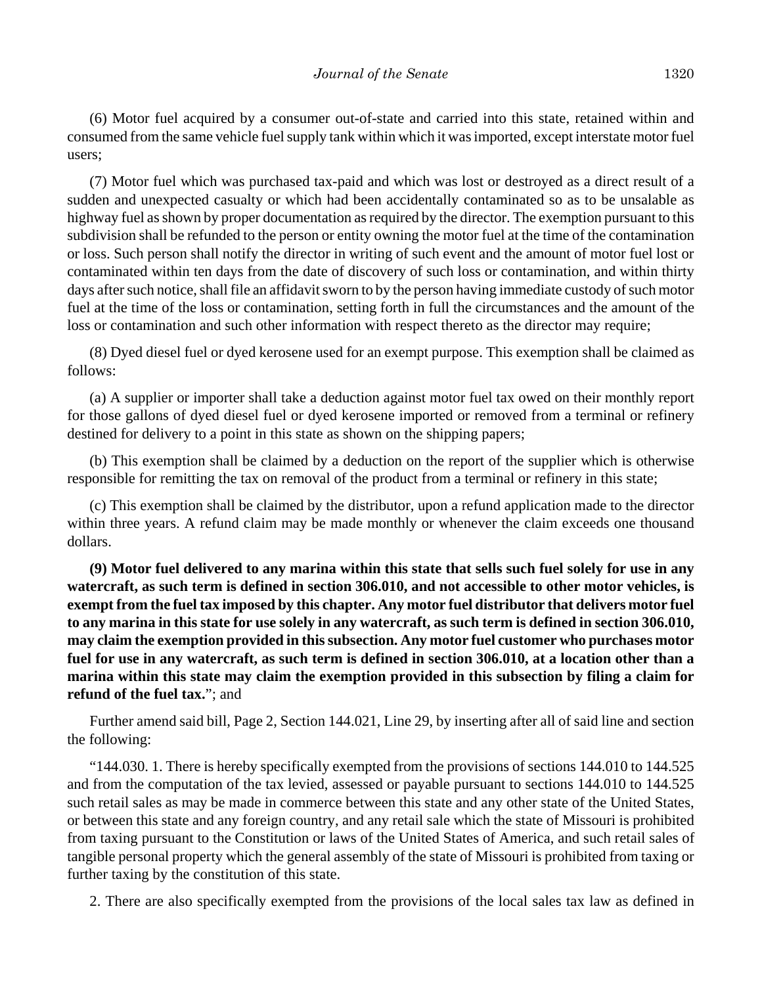(6) Motor fuel acquired by a consumer out-of-state and carried into this state, retained within and consumed from the same vehicle fuel supply tank within which it was imported, except interstate motor fuel users;

(7) Motor fuel which was purchased tax-paid and which was lost or destroyed as a direct result of a sudden and unexpected casualty or which had been accidentally contaminated so as to be unsalable as highway fuel as shown by proper documentation as required by the director. The exemption pursuant to this subdivision shall be refunded to the person or entity owning the motor fuel at the time of the contamination or loss. Such person shall notify the director in writing of such event and the amount of motor fuel lost or contaminated within ten days from the date of discovery of such loss or contamination, and within thirty days after such notice, shall file an affidavit sworn to by the person having immediate custody of such motor fuel at the time of the loss or contamination, setting forth in full the circumstances and the amount of the loss or contamination and such other information with respect thereto as the director may require;

(8) Dyed diesel fuel or dyed kerosene used for an exempt purpose. This exemption shall be claimed as follows:

(a) A supplier or importer shall take a deduction against motor fuel tax owed on their monthly report for those gallons of dyed diesel fuel or dyed kerosene imported or removed from a terminal or refinery destined for delivery to a point in this state as shown on the shipping papers;

(b) This exemption shall be claimed by a deduction on the report of the supplier which is otherwise responsible for remitting the tax on removal of the product from a terminal or refinery in this state;

(c) This exemption shall be claimed by the distributor, upon a refund application made to the director within three years. A refund claim may be made monthly or whenever the claim exceeds one thousand dollars.

**(9) Motor fuel delivered to any marina within this state that sells such fuel solely for use in any watercraft, as such term is defined in section 306.010, and not accessible to other motor vehicles, is exempt from the fuel tax imposed by this chapter. Any motor fuel distributor that delivers motor fuel to any marina in this state for use solely in any watercraft, as such term is defined in section 306.010, may claim the exemption provided in this subsection. Any motor fuel customer who purchases motor fuel for use in any watercraft, as such term is defined in section 306.010, at a location other than a marina within this state may claim the exemption provided in this subsection by filing a claim for refund of the fuel tax.**"; and

Further amend said bill, Page 2, Section 144.021, Line 29, by inserting after all of said line and section the following:

"144.030. 1. There is hereby specifically exempted from the provisions of sections 144.010 to 144.525 and from the computation of the tax levied, assessed or payable pursuant to sections 144.010 to 144.525 such retail sales as may be made in commerce between this state and any other state of the United States, or between this state and any foreign country, and any retail sale which the state of Missouri is prohibited from taxing pursuant to the Constitution or laws of the United States of America, and such retail sales of tangible personal property which the general assembly of the state of Missouri is prohibited from taxing or further taxing by the constitution of this state.

2. There are also specifically exempted from the provisions of the local sales tax law as defined in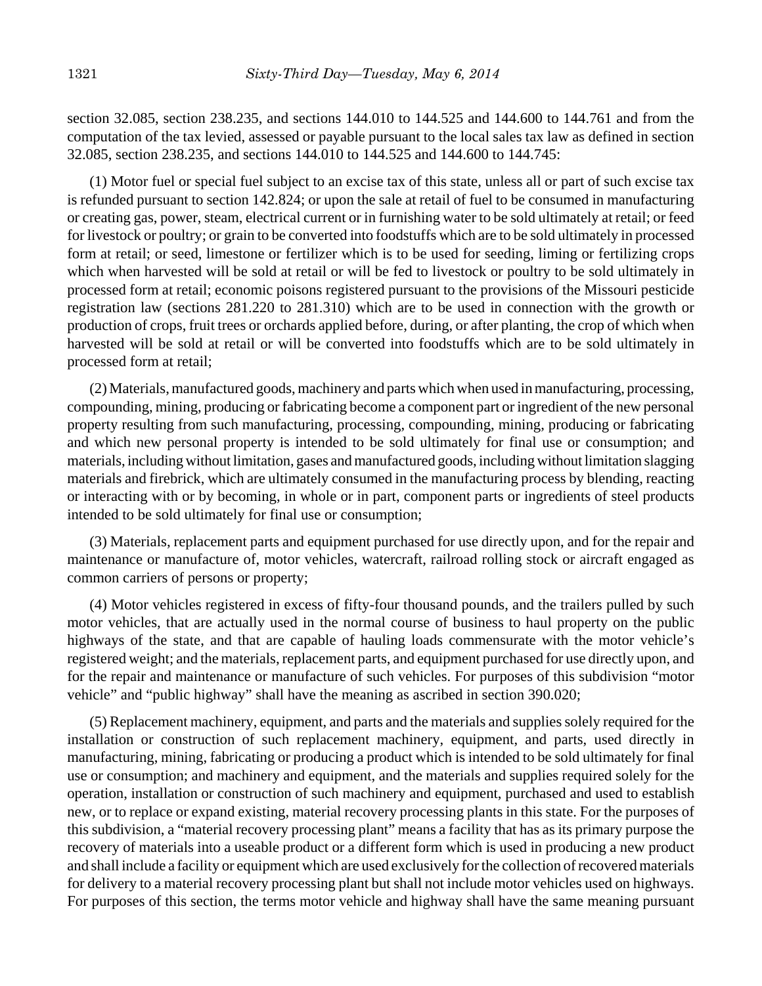section 32.085, section 238.235, and sections 144.010 to 144.525 and 144.600 to 144.761 and from the computation of the tax levied, assessed or payable pursuant to the local sales tax law as defined in section 32.085, section 238.235, and sections 144.010 to 144.525 and 144.600 to 144.745:

(1) Motor fuel or special fuel subject to an excise tax of this state, unless all or part of such excise tax is refunded pursuant to section 142.824; or upon the sale at retail of fuel to be consumed in manufacturing or creating gas, power, steam, electrical current or in furnishing water to be sold ultimately at retail; or feed for livestock or poultry; or grain to be converted into foodstuffs which are to be sold ultimately in processed form at retail; or seed, limestone or fertilizer which is to be used for seeding, liming or fertilizing crops which when harvested will be sold at retail or will be fed to livestock or poultry to be sold ultimately in processed form at retail; economic poisons registered pursuant to the provisions of the Missouri pesticide registration law (sections 281.220 to 281.310) which are to be used in connection with the growth or production of crops, fruit trees or orchards applied before, during, or after planting, the crop of which when harvested will be sold at retail or will be converted into foodstuffs which are to be sold ultimately in processed form at retail;

(2) Materials, manufactured goods, machinery and parts which when used in manufacturing, processing, compounding, mining, producing or fabricating become a component part or ingredient of the new personal property resulting from such manufacturing, processing, compounding, mining, producing or fabricating and which new personal property is intended to be sold ultimately for final use or consumption; and materials, including without limitation, gases and manufactured goods, including without limitation slagging materials and firebrick, which are ultimately consumed in the manufacturing process by blending, reacting or interacting with or by becoming, in whole or in part, component parts or ingredients of steel products intended to be sold ultimately for final use or consumption;

(3) Materials, replacement parts and equipment purchased for use directly upon, and for the repair and maintenance or manufacture of, motor vehicles, watercraft, railroad rolling stock or aircraft engaged as common carriers of persons or property;

(4) Motor vehicles registered in excess of fifty-four thousand pounds, and the trailers pulled by such motor vehicles, that are actually used in the normal course of business to haul property on the public highways of the state, and that are capable of hauling loads commensurate with the motor vehicle's registered weight; and the materials, replacement parts, and equipment purchased for use directly upon, and for the repair and maintenance or manufacture of such vehicles. For purposes of this subdivision "motor vehicle" and "public highway" shall have the meaning as ascribed in section 390.020;

(5) Replacement machinery, equipment, and parts and the materials and supplies solely required for the installation or construction of such replacement machinery, equipment, and parts, used directly in manufacturing, mining, fabricating or producing a product which is intended to be sold ultimately for final use or consumption; and machinery and equipment, and the materials and supplies required solely for the operation, installation or construction of such machinery and equipment, purchased and used to establish new, or to replace or expand existing, material recovery processing plants in this state. For the purposes of this subdivision, a "material recovery processing plant" means a facility that has as its primary purpose the recovery of materials into a useable product or a different form which is used in producing a new product and shall include a facility or equipment which are used exclusively for the collection of recovered materials for delivery to a material recovery processing plant but shall not include motor vehicles used on highways. For purposes of this section, the terms motor vehicle and highway shall have the same meaning pursuant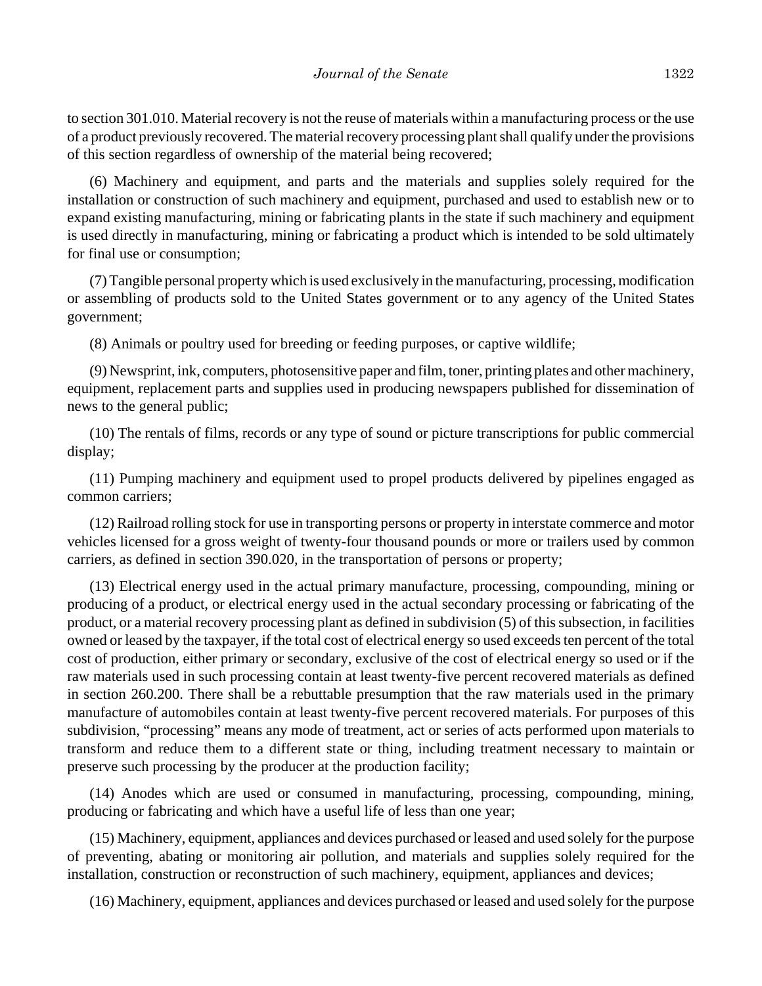to section 301.010. Material recovery is not the reuse of materials within a manufacturing process or the use of a product previously recovered. The material recovery processing plant shall qualify under the provisions of this section regardless of ownership of the material being recovered;

(6) Machinery and equipment, and parts and the materials and supplies solely required for the installation or construction of such machinery and equipment, purchased and used to establish new or to expand existing manufacturing, mining or fabricating plants in the state if such machinery and equipment is used directly in manufacturing, mining or fabricating a product which is intended to be sold ultimately for final use or consumption;

(7) Tangible personal property which is used exclusively in the manufacturing, processing, modification or assembling of products sold to the United States government or to any agency of the United States government;

(8) Animals or poultry used for breeding or feeding purposes, or captive wildlife;

(9) Newsprint, ink, computers, photosensitive paper and film, toner, printing plates and other machinery, equipment, replacement parts and supplies used in producing newspapers published for dissemination of news to the general public;

(10) The rentals of films, records or any type of sound or picture transcriptions for public commercial display;

(11) Pumping machinery and equipment used to propel products delivered by pipelines engaged as common carriers;

(12) Railroad rolling stock for use in transporting persons or property in interstate commerce and motor vehicles licensed for a gross weight of twenty-four thousand pounds or more or trailers used by common carriers, as defined in section 390.020, in the transportation of persons or property;

(13) Electrical energy used in the actual primary manufacture, processing, compounding, mining or producing of a product, or electrical energy used in the actual secondary processing or fabricating of the product, or a material recovery processing plant as defined in subdivision (5) of this subsection, in facilities owned or leased by the taxpayer, if the total cost of electrical energy so used exceeds ten percent of the total cost of production, either primary or secondary, exclusive of the cost of electrical energy so used or if the raw materials used in such processing contain at least twenty-five percent recovered materials as defined in section 260.200. There shall be a rebuttable presumption that the raw materials used in the primary manufacture of automobiles contain at least twenty-five percent recovered materials. For purposes of this subdivision, "processing" means any mode of treatment, act or series of acts performed upon materials to transform and reduce them to a different state or thing, including treatment necessary to maintain or preserve such processing by the producer at the production facility;

(14) Anodes which are used or consumed in manufacturing, processing, compounding, mining, producing or fabricating and which have a useful life of less than one year;

(15) Machinery, equipment, appliances and devices purchased or leased and used solely for the purpose of preventing, abating or monitoring air pollution, and materials and supplies solely required for the installation, construction or reconstruction of such machinery, equipment, appliances and devices;

(16) Machinery, equipment, appliances and devices purchased or leased and used solely for the purpose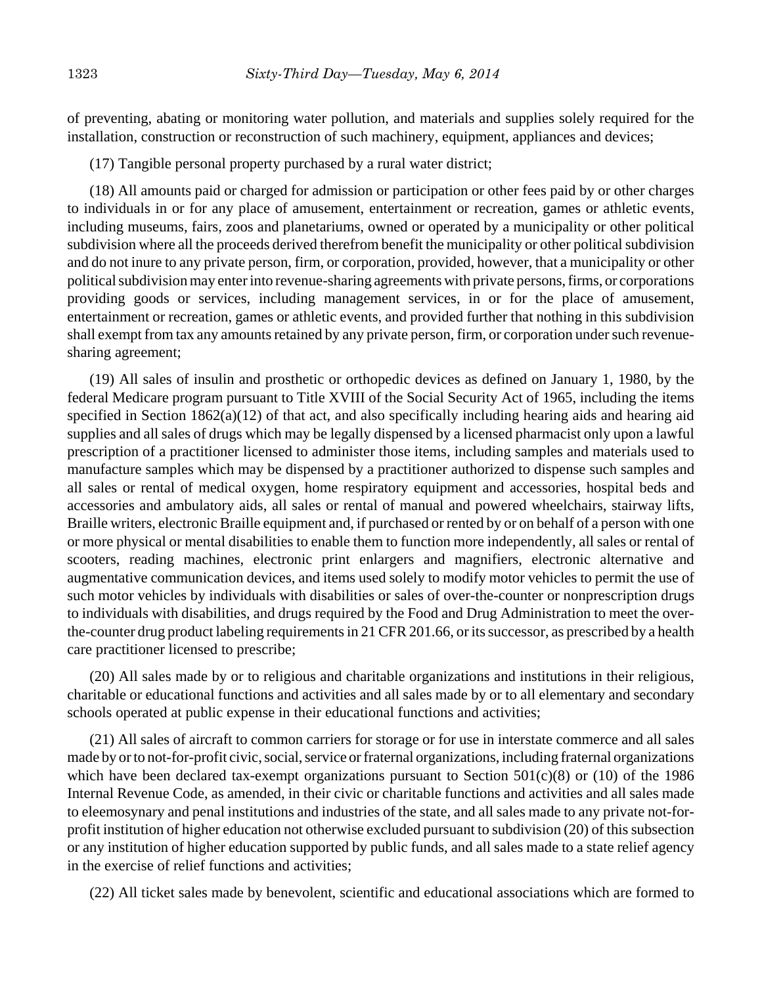of preventing, abating or monitoring water pollution, and materials and supplies solely required for the installation, construction or reconstruction of such machinery, equipment, appliances and devices;

(17) Tangible personal property purchased by a rural water district;

(18) All amounts paid or charged for admission or participation or other fees paid by or other charges to individuals in or for any place of amusement, entertainment or recreation, games or athletic events, including museums, fairs, zoos and planetariums, owned or operated by a municipality or other political subdivision where all the proceeds derived therefrom benefit the municipality or other political subdivision and do not inure to any private person, firm, or corporation, provided, however, that a municipality or other political subdivision may enter into revenue-sharing agreements with private persons, firms, or corporations providing goods or services, including management services, in or for the place of amusement, entertainment or recreation, games or athletic events, and provided further that nothing in this subdivision shall exempt from tax any amounts retained by any private person, firm, or corporation under such revenuesharing agreement;

(19) All sales of insulin and prosthetic or orthopedic devices as defined on January 1, 1980, by the federal Medicare program pursuant to Title XVIII of the Social Security Act of 1965, including the items specified in Section 1862(a)(12) of that act, and also specifically including hearing aids and hearing aid supplies and all sales of drugs which may be legally dispensed by a licensed pharmacist only upon a lawful prescription of a practitioner licensed to administer those items, including samples and materials used to manufacture samples which may be dispensed by a practitioner authorized to dispense such samples and all sales or rental of medical oxygen, home respiratory equipment and accessories, hospital beds and accessories and ambulatory aids, all sales or rental of manual and powered wheelchairs, stairway lifts, Braille writers, electronic Braille equipment and, if purchased or rented by or on behalf of a person with one or more physical or mental disabilities to enable them to function more independently, all sales or rental of scooters, reading machines, electronic print enlargers and magnifiers, electronic alternative and augmentative communication devices, and items used solely to modify motor vehicles to permit the use of such motor vehicles by individuals with disabilities or sales of over-the-counter or nonprescription drugs to individuals with disabilities, and drugs required by the Food and Drug Administration to meet the overthe-counter drug product labeling requirements in 21 CFR 201.66, or its successor, as prescribed by a health care practitioner licensed to prescribe;

(20) All sales made by or to religious and charitable organizations and institutions in their religious, charitable or educational functions and activities and all sales made by or to all elementary and secondary schools operated at public expense in their educational functions and activities;

(21) All sales of aircraft to common carriers for storage or for use in interstate commerce and all sales made by or to not-for-profit civic, social, service or fraternal organizations, including fraternal organizations which have been declared tax-exempt organizations pursuant to Section 501(c)(8) or (10) of the 1986 Internal Revenue Code, as amended, in their civic or charitable functions and activities and all sales made to eleemosynary and penal institutions and industries of the state, and all sales made to any private not-forprofit institution of higher education not otherwise excluded pursuant to subdivision (20) of this subsection or any institution of higher education supported by public funds, and all sales made to a state relief agency in the exercise of relief functions and activities;

(22) All ticket sales made by benevolent, scientific and educational associations which are formed to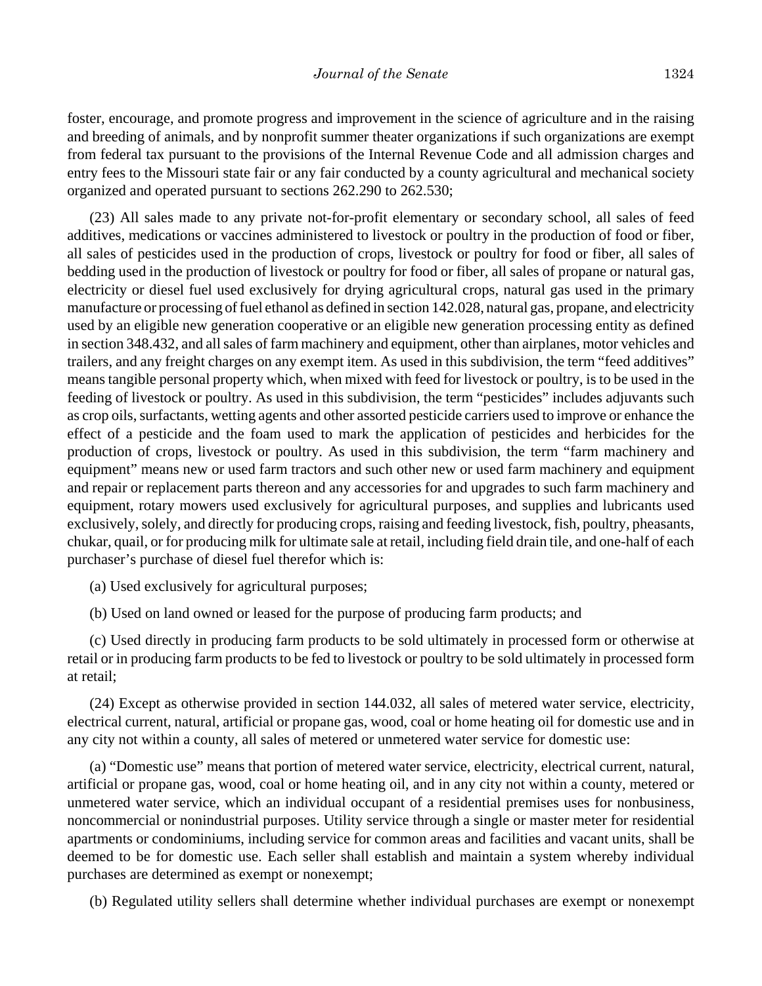foster, encourage, and promote progress and improvement in the science of agriculture and in the raising and breeding of animals, and by nonprofit summer theater organizations if such organizations are exempt from federal tax pursuant to the provisions of the Internal Revenue Code and all admission charges and entry fees to the Missouri state fair or any fair conducted by a county agricultural and mechanical society organized and operated pursuant to sections 262.290 to 262.530;

(23) All sales made to any private not-for-profit elementary or secondary school, all sales of feed additives, medications or vaccines administered to livestock or poultry in the production of food or fiber, all sales of pesticides used in the production of crops, livestock or poultry for food or fiber, all sales of bedding used in the production of livestock or poultry for food or fiber, all sales of propane or natural gas, electricity or diesel fuel used exclusively for drying agricultural crops, natural gas used in the primary manufacture or processing of fuel ethanol as defined in section 142.028, natural gas, propane, and electricity used by an eligible new generation cooperative or an eligible new generation processing entity as defined in section 348.432, and all sales of farm machinery and equipment, other than airplanes, motor vehicles and trailers, and any freight charges on any exempt item. As used in this subdivision, the term "feed additives" means tangible personal property which, when mixed with feed for livestock or poultry, is to be used in the feeding of livestock or poultry. As used in this subdivision, the term "pesticides" includes adjuvants such as crop oils, surfactants, wetting agents and other assorted pesticide carriers used to improve or enhance the effect of a pesticide and the foam used to mark the application of pesticides and herbicides for the production of crops, livestock or poultry. As used in this subdivision, the term "farm machinery and equipment" means new or used farm tractors and such other new or used farm machinery and equipment and repair or replacement parts thereon and any accessories for and upgrades to such farm machinery and equipment, rotary mowers used exclusively for agricultural purposes, and supplies and lubricants used exclusively, solely, and directly for producing crops, raising and feeding livestock, fish, poultry, pheasants, chukar, quail, or for producing milk for ultimate sale at retail, including field drain tile, and one-half of each purchaser's purchase of diesel fuel therefor which is:

(a) Used exclusively for agricultural purposes;

(b) Used on land owned or leased for the purpose of producing farm products; and

(c) Used directly in producing farm products to be sold ultimately in processed form or otherwise at retail or in producing farm products to be fed to livestock or poultry to be sold ultimately in processed form at retail;

(24) Except as otherwise provided in section 144.032, all sales of metered water service, electricity, electrical current, natural, artificial or propane gas, wood, coal or home heating oil for domestic use and in any city not within a county, all sales of metered or unmetered water service for domestic use:

(a) "Domestic use" means that portion of metered water service, electricity, electrical current, natural, artificial or propane gas, wood, coal or home heating oil, and in any city not within a county, metered or unmetered water service, which an individual occupant of a residential premises uses for nonbusiness, noncommercial or nonindustrial purposes. Utility service through a single or master meter for residential apartments or condominiums, including service for common areas and facilities and vacant units, shall be deemed to be for domestic use. Each seller shall establish and maintain a system whereby individual purchases are determined as exempt or nonexempt;

(b) Regulated utility sellers shall determine whether individual purchases are exempt or nonexempt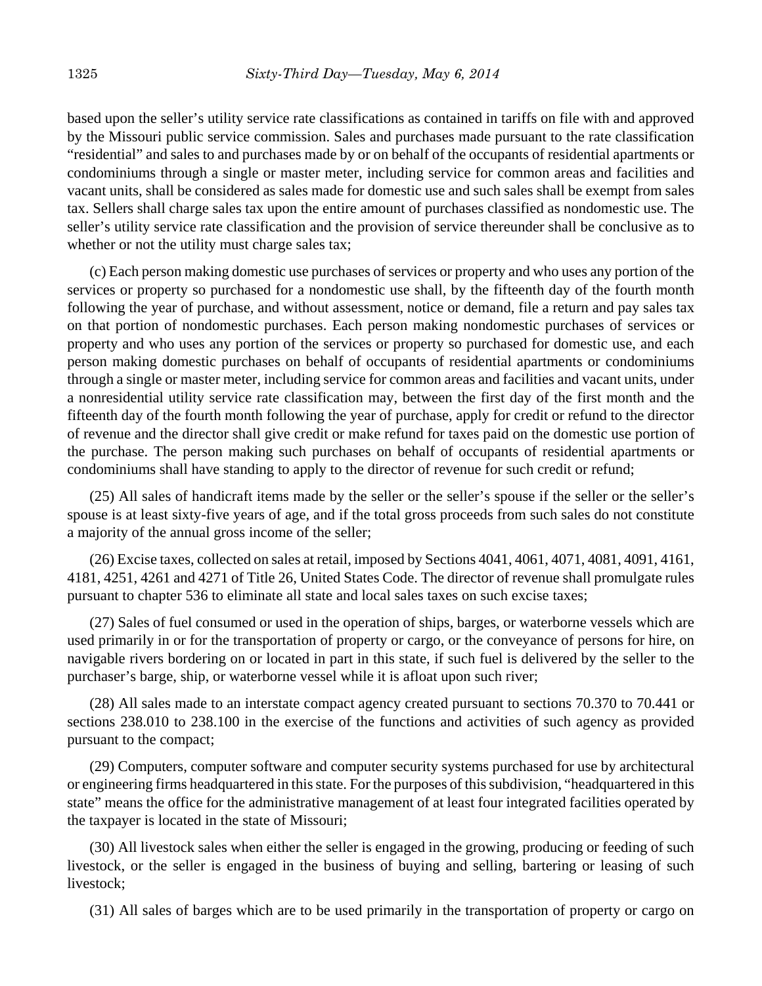based upon the seller's utility service rate classifications as contained in tariffs on file with and approved by the Missouri public service commission. Sales and purchases made pursuant to the rate classification "residential" and sales to and purchases made by or on behalf of the occupants of residential apartments or condominiums through a single or master meter, including service for common areas and facilities and vacant units, shall be considered as sales made for domestic use and such sales shall be exempt from sales tax. Sellers shall charge sales tax upon the entire amount of purchases classified as nondomestic use. The seller's utility service rate classification and the provision of service thereunder shall be conclusive as to whether or not the utility must charge sales tax;

(c) Each person making domestic use purchases of services or property and who uses any portion of the services or property so purchased for a nondomestic use shall, by the fifteenth day of the fourth month following the year of purchase, and without assessment, notice or demand, file a return and pay sales tax on that portion of nondomestic purchases. Each person making nondomestic purchases of services or property and who uses any portion of the services or property so purchased for domestic use, and each person making domestic purchases on behalf of occupants of residential apartments or condominiums through a single or master meter, including service for common areas and facilities and vacant units, under a nonresidential utility service rate classification may, between the first day of the first month and the fifteenth day of the fourth month following the year of purchase, apply for credit or refund to the director of revenue and the director shall give credit or make refund for taxes paid on the domestic use portion of the purchase. The person making such purchases on behalf of occupants of residential apartments or condominiums shall have standing to apply to the director of revenue for such credit or refund;

(25) All sales of handicraft items made by the seller or the seller's spouse if the seller or the seller's spouse is at least sixty-five years of age, and if the total gross proceeds from such sales do not constitute a majority of the annual gross income of the seller;

(26) Excise taxes, collected on sales at retail, imposed by Sections 4041, 4061, 4071, 4081, 4091, 4161, 4181, 4251, 4261 and 4271 of Title 26, United States Code. The director of revenue shall promulgate rules pursuant to chapter 536 to eliminate all state and local sales taxes on such excise taxes;

(27) Sales of fuel consumed or used in the operation of ships, barges, or waterborne vessels which are used primarily in or for the transportation of property or cargo, or the conveyance of persons for hire, on navigable rivers bordering on or located in part in this state, if such fuel is delivered by the seller to the purchaser's barge, ship, or waterborne vessel while it is afloat upon such river;

(28) All sales made to an interstate compact agency created pursuant to sections 70.370 to 70.441 or sections 238.010 to 238.100 in the exercise of the functions and activities of such agency as provided pursuant to the compact;

(29) Computers, computer software and computer security systems purchased for use by architectural or engineering firms headquartered in this state. For the purposes of this subdivision, "headquartered in this state" means the office for the administrative management of at least four integrated facilities operated by the taxpayer is located in the state of Missouri;

(30) All livestock sales when either the seller is engaged in the growing, producing or feeding of such livestock, or the seller is engaged in the business of buying and selling, bartering or leasing of such livestock;

(31) All sales of barges which are to be used primarily in the transportation of property or cargo on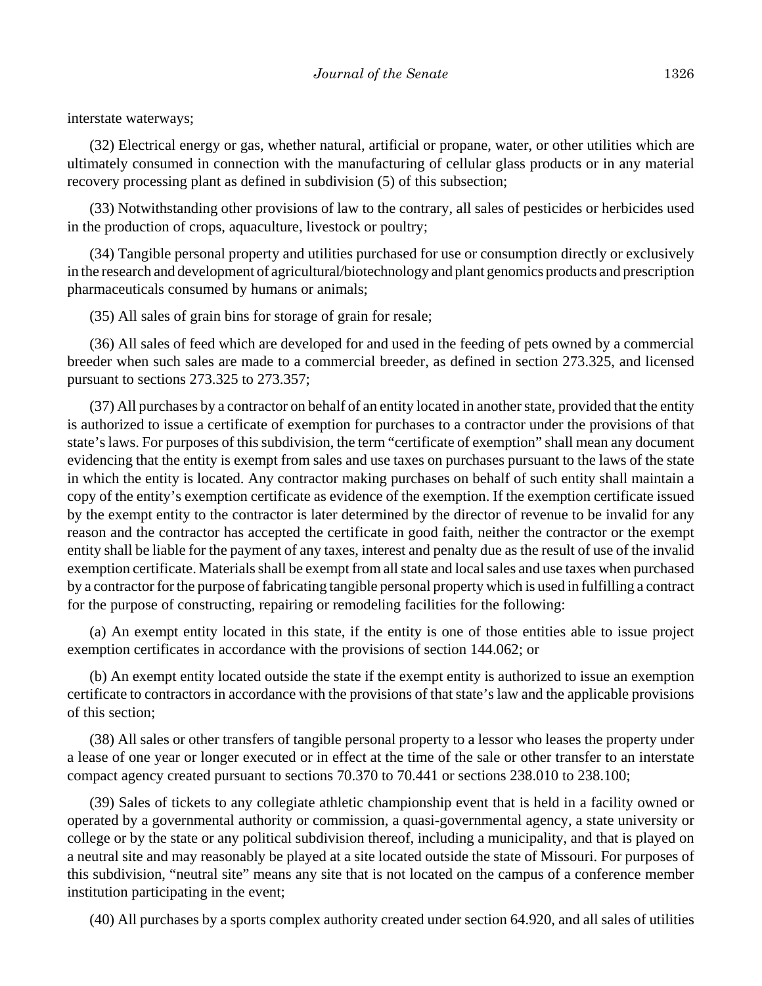interstate waterways;

(32) Electrical energy or gas, whether natural, artificial or propane, water, or other utilities which are ultimately consumed in connection with the manufacturing of cellular glass products or in any material recovery processing plant as defined in subdivision (5) of this subsection;

(33) Notwithstanding other provisions of law to the contrary, all sales of pesticides or herbicides used in the production of crops, aquaculture, livestock or poultry;

(34) Tangible personal property and utilities purchased for use or consumption directly or exclusively in the research and development of agricultural/biotechnology and plant genomics products and prescription pharmaceuticals consumed by humans or animals;

(35) All sales of grain bins for storage of grain for resale;

(36) All sales of feed which are developed for and used in the feeding of pets owned by a commercial breeder when such sales are made to a commercial breeder, as defined in section 273.325, and licensed pursuant to sections 273.325 to 273.357;

(37) All purchases by a contractor on behalf of an entity located in another state, provided that the entity is authorized to issue a certificate of exemption for purchases to a contractor under the provisions of that state's laws. For purposes of this subdivision, the term "certificate of exemption" shall mean any document evidencing that the entity is exempt from sales and use taxes on purchases pursuant to the laws of the state in which the entity is located. Any contractor making purchases on behalf of such entity shall maintain a copy of the entity's exemption certificate as evidence of the exemption. If the exemption certificate issued by the exempt entity to the contractor is later determined by the director of revenue to be invalid for any reason and the contractor has accepted the certificate in good faith, neither the contractor or the exempt entity shall be liable for the payment of any taxes, interest and penalty due as the result of use of the invalid exemption certificate. Materials shall be exempt from all state and local sales and use taxes when purchased by a contractor for the purpose of fabricating tangible personal property which is used in fulfilling a contract for the purpose of constructing, repairing or remodeling facilities for the following:

(a) An exempt entity located in this state, if the entity is one of those entities able to issue project exemption certificates in accordance with the provisions of section 144.062; or

(b) An exempt entity located outside the state if the exempt entity is authorized to issue an exemption certificate to contractors in accordance with the provisions of that state's law and the applicable provisions of this section;

(38) All sales or other transfers of tangible personal property to a lessor who leases the property under a lease of one year or longer executed or in effect at the time of the sale or other transfer to an interstate compact agency created pursuant to sections 70.370 to 70.441 or sections 238.010 to 238.100;

(39) Sales of tickets to any collegiate athletic championship event that is held in a facility owned or operated by a governmental authority or commission, a quasi-governmental agency, a state university or college or by the state or any political subdivision thereof, including a municipality, and that is played on a neutral site and may reasonably be played at a site located outside the state of Missouri. For purposes of this subdivision, "neutral site" means any site that is not located on the campus of a conference member institution participating in the event;

(40) All purchases by a sports complex authority created under section 64.920, and all sales of utilities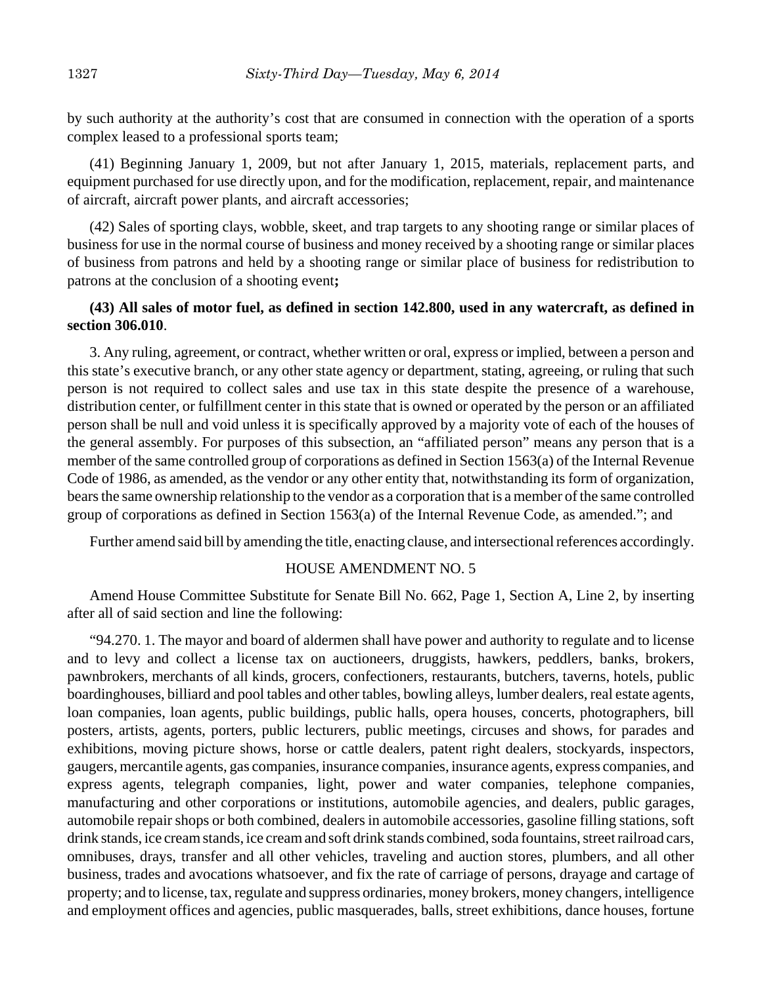by such authority at the authority's cost that are consumed in connection with the operation of a sports complex leased to a professional sports team;

(41) Beginning January 1, 2009, but not after January 1, 2015, materials, replacement parts, and equipment purchased for use directly upon, and for the modification, replacement, repair, and maintenance of aircraft, aircraft power plants, and aircraft accessories;

(42) Sales of sporting clays, wobble, skeet, and trap targets to any shooting range or similar places of business for use in the normal course of business and money received by a shooting range or similar places of business from patrons and held by a shooting range or similar place of business for redistribution to patrons at the conclusion of a shooting event**;**

## **(43) All sales of motor fuel, as defined in section 142.800, used in any watercraft, as defined in section 306.010**.

3. Any ruling, agreement, or contract, whether written or oral, express or implied, between a person and this state's executive branch, or any other state agency or department, stating, agreeing, or ruling that such person is not required to collect sales and use tax in this state despite the presence of a warehouse, distribution center, or fulfillment center in this state that is owned or operated by the person or an affiliated person shall be null and void unless it is specifically approved by a majority vote of each of the houses of the general assembly. For purposes of this subsection, an "affiliated person" means any person that is a member of the same controlled group of corporations as defined in Section 1563(a) of the Internal Revenue Code of 1986, as amended, as the vendor or any other entity that, notwithstanding its form of organization, bears the same ownership relationship to the vendor as a corporation that is a member of the same controlled group of corporations as defined in Section 1563(a) of the Internal Revenue Code, as amended."; and

Further amend said bill by amending the title, enacting clause, and intersectional references accordingly.

#### HOUSE AMENDMENT NO. 5

Amend House Committee Substitute for Senate Bill No. 662, Page 1, Section A, Line 2, by inserting after all of said section and line the following:

"94.270. 1. The mayor and board of aldermen shall have power and authority to regulate and to license and to levy and collect a license tax on auctioneers, druggists, hawkers, peddlers, banks, brokers, pawnbrokers, merchants of all kinds, grocers, confectioners, restaurants, butchers, taverns, hotels, public boardinghouses, billiard and pool tables and other tables, bowling alleys, lumber dealers, real estate agents, loan companies, loan agents, public buildings, public halls, opera houses, concerts, photographers, bill posters, artists, agents, porters, public lecturers, public meetings, circuses and shows, for parades and exhibitions, moving picture shows, horse or cattle dealers, patent right dealers, stockyards, inspectors, gaugers, mercantile agents, gas companies, insurance companies, insurance agents, express companies, and express agents, telegraph companies, light, power and water companies, telephone companies, manufacturing and other corporations or institutions, automobile agencies, and dealers, public garages, automobile repair shops or both combined, dealers in automobile accessories, gasoline filling stations, soft drink stands, ice cream stands, ice cream and soft drink stands combined, soda fountains, street railroad cars, omnibuses, drays, transfer and all other vehicles, traveling and auction stores, plumbers, and all other business, trades and avocations whatsoever, and fix the rate of carriage of persons, drayage and cartage of property; and to license, tax, regulate and suppress ordinaries, money brokers, money changers, intelligence and employment offices and agencies, public masquerades, balls, street exhibitions, dance houses, fortune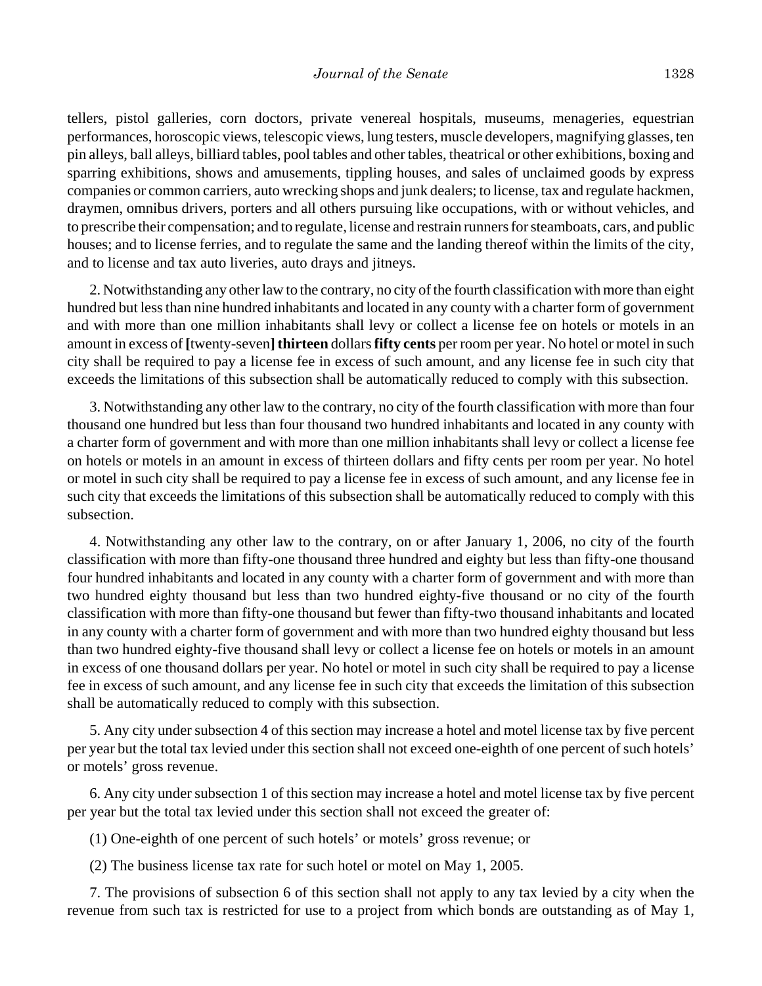tellers, pistol galleries, corn doctors, private venereal hospitals, museums, menageries, equestrian performances, horoscopic views, telescopic views, lung testers, muscle developers, magnifying glasses, ten pin alleys, ball alleys, billiard tables, pool tables and other tables, theatrical or other exhibitions, boxing and sparring exhibitions, shows and amusements, tippling houses, and sales of unclaimed goods by express companies or common carriers, auto wrecking shops and junk dealers; to license, tax and regulate hackmen, draymen, omnibus drivers, porters and all others pursuing like occupations, with or without vehicles, and to prescribe their compensation; and to regulate, license and restrain runners for steamboats, cars, and public houses; and to license ferries, and to regulate the same and the landing thereof within the limits of the city, and to license and tax auto liveries, auto drays and jitneys.

2. Notwithstanding any other law to the contrary, no city of the fourth classification with more than eight hundred but less than nine hundred inhabitants and located in any county with a charter form of government and with more than one million inhabitants shall levy or collect a license fee on hotels or motels in an amount in excess of **[**twenty-seven**] thirteen** dollars **fifty cents** per room per year. No hotel or motel in such city shall be required to pay a license fee in excess of such amount, and any license fee in such city that exceeds the limitations of this subsection shall be automatically reduced to comply with this subsection.

3. Notwithstanding any other law to the contrary, no city of the fourth classification with more than four thousand one hundred but less than four thousand two hundred inhabitants and located in any county with a charter form of government and with more than one million inhabitants shall levy or collect a license fee on hotels or motels in an amount in excess of thirteen dollars and fifty cents per room per year. No hotel or motel in such city shall be required to pay a license fee in excess of such amount, and any license fee in such city that exceeds the limitations of this subsection shall be automatically reduced to comply with this subsection.

4. Notwithstanding any other law to the contrary, on or after January 1, 2006, no city of the fourth classification with more than fifty-one thousand three hundred and eighty but less than fifty-one thousand four hundred inhabitants and located in any county with a charter form of government and with more than two hundred eighty thousand but less than two hundred eighty-five thousand or no city of the fourth classification with more than fifty-one thousand but fewer than fifty-two thousand inhabitants and located in any county with a charter form of government and with more than two hundred eighty thousand but less than two hundred eighty-five thousand shall levy or collect a license fee on hotels or motels in an amount in excess of one thousand dollars per year. No hotel or motel in such city shall be required to pay a license fee in excess of such amount, and any license fee in such city that exceeds the limitation of this subsection shall be automatically reduced to comply with this subsection.

5. Any city under subsection 4 of this section may increase a hotel and motel license tax by five percent per year but the total tax levied under this section shall not exceed one-eighth of one percent of such hotels' or motels' gross revenue.

6. Any city under subsection 1 of this section may increase a hotel and motel license tax by five percent per year but the total tax levied under this section shall not exceed the greater of:

(1) One-eighth of one percent of such hotels' or motels' gross revenue; or

(2) The business license tax rate for such hotel or motel on May 1, 2005.

7. The provisions of subsection 6 of this section shall not apply to any tax levied by a city when the revenue from such tax is restricted for use to a project from which bonds are outstanding as of May 1,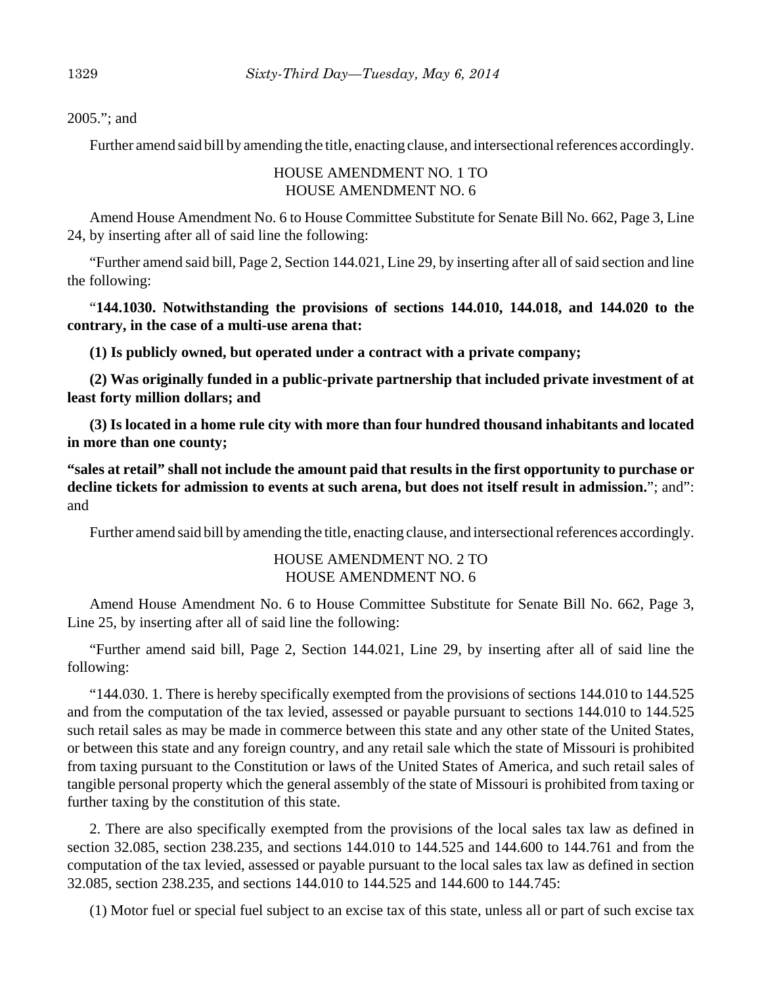2005."; and

Further amend said bill by amending the title, enacting clause, and intersectional references accordingly.

# HOUSE AMENDMENT NO. 1 TO HOUSE AMENDMENT NO. 6

Amend House Amendment No. 6 to House Committee Substitute for Senate Bill No. 662, Page 3, Line 24, by inserting after all of said line the following:

"Further amend said bill, Page 2, Section 144.021, Line 29, by inserting after all of said section and line the following:

"**144.1030. Notwithstanding the provisions of sections 144.010, 144.018, and 144.020 to the contrary, in the case of a multi-use arena that:**

**(1) Is publicly owned, but operated under a contract with a private company;**

**(2) Was originally funded in a public-private partnership that included private investment of at least forty million dollars; and**

**(3) Is located in a home rule city with more than four hundred thousand inhabitants and located in more than one county;**

**"sales at retail" shall not include the amount paid that results in the first opportunity to purchase or decline tickets for admission to events at such arena, but does not itself result in admission.**"; and": and

Further amend said bill by amending the title, enacting clause, and intersectional references accordingly.

# HOUSE AMENDMENT NO. 2 TO HOUSE AMENDMENT NO. 6

Amend House Amendment No. 6 to House Committee Substitute for Senate Bill No. 662, Page 3, Line 25, by inserting after all of said line the following:

"Further amend said bill, Page 2, Section 144.021, Line 29, by inserting after all of said line the following:

"144.030. 1. There is hereby specifically exempted from the provisions of sections 144.010 to 144.525 and from the computation of the tax levied, assessed or payable pursuant to sections 144.010 to 144.525 such retail sales as may be made in commerce between this state and any other state of the United States, or between this state and any foreign country, and any retail sale which the state of Missouri is prohibited from taxing pursuant to the Constitution or laws of the United States of America, and such retail sales of tangible personal property which the general assembly of the state of Missouri is prohibited from taxing or further taxing by the constitution of this state.

2. There are also specifically exempted from the provisions of the local sales tax law as defined in section 32.085, section 238.235, and sections 144.010 to 144.525 and 144.600 to 144.761 and from the computation of the tax levied, assessed or payable pursuant to the local sales tax law as defined in section 32.085, section 238.235, and sections 144.010 to 144.525 and 144.600 to 144.745:

(1) Motor fuel or special fuel subject to an excise tax of this state, unless all or part of such excise tax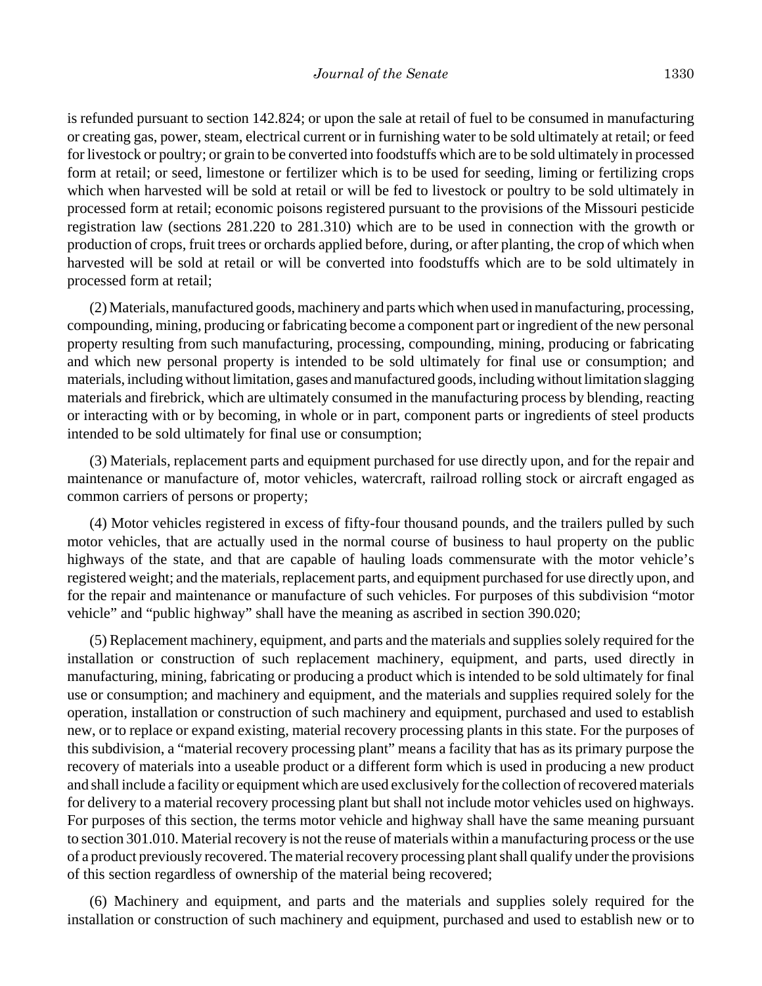is refunded pursuant to section 142.824; or upon the sale at retail of fuel to be consumed in manufacturing or creating gas, power, steam, electrical current or in furnishing water to be sold ultimately at retail; or feed for livestock or poultry; or grain to be converted into foodstuffs which are to be sold ultimately in processed form at retail; or seed, limestone or fertilizer which is to be used for seeding, liming or fertilizing crops which when harvested will be sold at retail or will be fed to livestock or poultry to be sold ultimately in processed form at retail; economic poisons registered pursuant to the provisions of the Missouri pesticide registration law (sections 281.220 to 281.310) which are to be used in connection with the growth or production of crops, fruit trees or orchards applied before, during, or after planting, the crop of which when harvested will be sold at retail or will be converted into foodstuffs which are to be sold ultimately in processed form at retail;

(2) Materials, manufactured goods, machinery and parts which when used in manufacturing, processing, compounding, mining, producing or fabricating become a component part or ingredient of the new personal property resulting from such manufacturing, processing, compounding, mining, producing or fabricating and which new personal property is intended to be sold ultimately for final use or consumption; and materials, including without limitation, gases and manufactured goods, including without limitation slagging materials and firebrick, which are ultimately consumed in the manufacturing process by blending, reacting or interacting with or by becoming, in whole or in part, component parts or ingredients of steel products intended to be sold ultimately for final use or consumption;

(3) Materials, replacement parts and equipment purchased for use directly upon, and for the repair and maintenance or manufacture of, motor vehicles, watercraft, railroad rolling stock or aircraft engaged as common carriers of persons or property;

(4) Motor vehicles registered in excess of fifty-four thousand pounds, and the trailers pulled by such motor vehicles, that are actually used in the normal course of business to haul property on the public highways of the state, and that are capable of hauling loads commensurate with the motor vehicle's registered weight; and the materials, replacement parts, and equipment purchased for use directly upon, and for the repair and maintenance or manufacture of such vehicles. For purposes of this subdivision "motor vehicle" and "public highway" shall have the meaning as ascribed in section 390.020;

(5) Replacement machinery, equipment, and parts and the materials and supplies solely required for the installation or construction of such replacement machinery, equipment, and parts, used directly in manufacturing, mining, fabricating or producing a product which is intended to be sold ultimately for final use or consumption; and machinery and equipment, and the materials and supplies required solely for the operation, installation or construction of such machinery and equipment, purchased and used to establish new, or to replace or expand existing, material recovery processing plants in this state. For the purposes of this subdivision, a "material recovery processing plant" means a facility that has as its primary purpose the recovery of materials into a useable product or a different form which is used in producing a new product and shall include a facility or equipment which are used exclusively for the collection of recovered materials for delivery to a material recovery processing plant but shall not include motor vehicles used on highways. For purposes of this section, the terms motor vehicle and highway shall have the same meaning pursuant to section 301.010. Material recovery is not the reuse of materials within a manufacturing process or the use of a product previously recovered. The material recovery processing plant shall qualify under the provisions of this section regardless of ownership of the material being recovered;

(6) Machinery and equipment, and parts and the materials and supplies solely required for the installation or construction of such machinery and equipment, purchased and used to establish new or to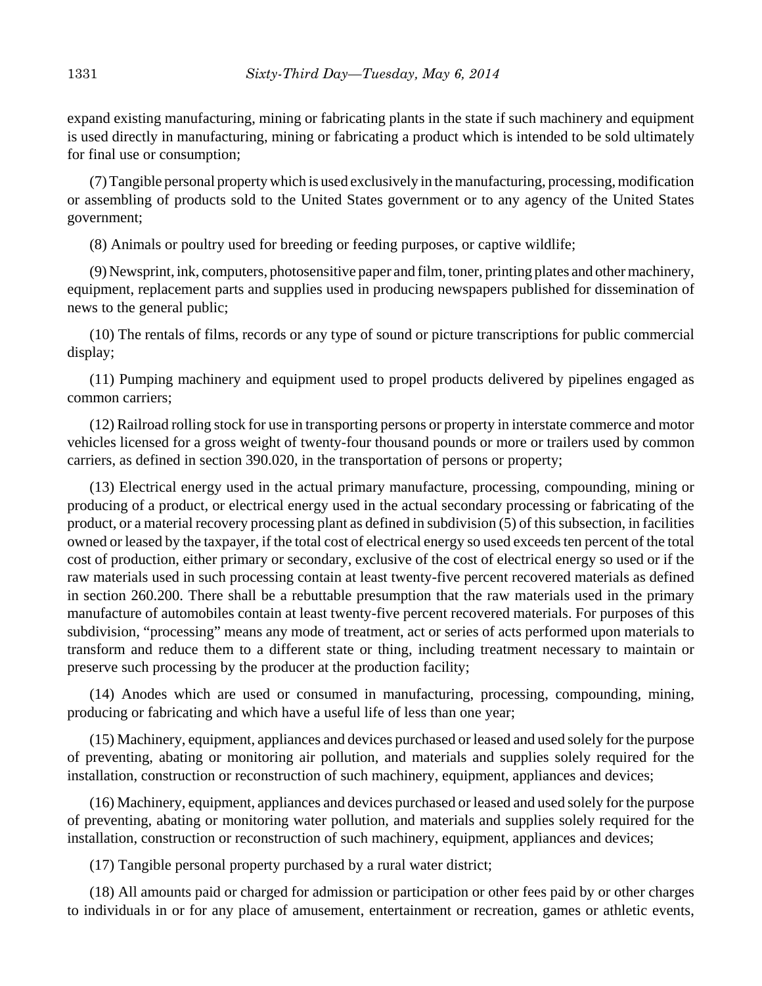expand existing manufacturing, mining or fabricating plants in the state if such machinery and equipment is used directly in manufacturing, mining or fabricating a product which is intended to be sold ultimately for final use or consumption;

(7) Tangible personal property which is used exclusively in the manufacturing, processing, modification or assembling of products sold to the United States government or to any agency of the United States government;

(8) Animals or poultry used for breeding or feeding purposes, or captive wildlife;

(9) Newsprint, ink, computers, photosensitive paper and film, toner, printing plates and other machinery, equipment, replacement parts and supplies used in producing newspapers published for dissemination of news to the general public;

(10) The rentals of films, records or any type of sound or picture transcriptions for public commercial display;

(11) Pumping machinery and equipment used to propel products delivered by pipelines engaged as common carriers;

(12) Railroad rolling stock for use in transporting persons or property in interstate commerce and motor vehicles licensed for a gross weight of twenty-four thousand pounds or more or trailers used by common carriers, as defined in section 390.020, in the transportation of persons or property;

(13) Electrical energy used in the actual primary manufacture, processing, compounding, mining or producing of a product, or electrical energy used in the actual secondary processing or fabricating of the product, or a material recovery processing plant as defined in subdivision (5) of this subsection, in facilities owned or leased by the taxpayer, if the total cost of electrical energy so used exceeds ten percent of the total cost of production, either primary or secondary, exclusive of the cost of electrical energy so used or if the raw materials used in such processing contain at least twenty-five percent recovered materials as defined in section 260.200. There shall be a rebuttable presumption that the raw materials used in the primary manufacture of automobiles contain at least twenty-five percent recovered materials. For purposes of this subdivision, "processing" means any mode of treatment, act or series of acts performed upon materials to transform and reduce them to a different state or thing, including treatment necessary to maintain or preserve such processing by the producer at the production facility;

(14) Anodes which are used or consumed in manufacturing, processing, compounding, mining, producing or fabricating and which have a useful life of less than one year;

(15) Machinery, equipment, appliances and devices purchased or leased and used solely for the purpose of preventing, abating or monitoring air pollution, and materials and supplies solely required for the installation, construction or reconstruction of such machinery, equipment, appliances and devices;

(16) Machinery, equipment, appliances and devices purchased or leased and used solely for the purpose of preventing, abating or monitoring water pollution, and materials and supplies solely required for the installation, construction or reconstruction of such machinery, equipment, appliances and devices;

(17) Tangible personal property purchased by a rural water district;

(18) All amounts paid or charged for admission or participation or other fees paid by or other charges to individuals in or for any place of amusement, entertainment or recreation, games or athletic events,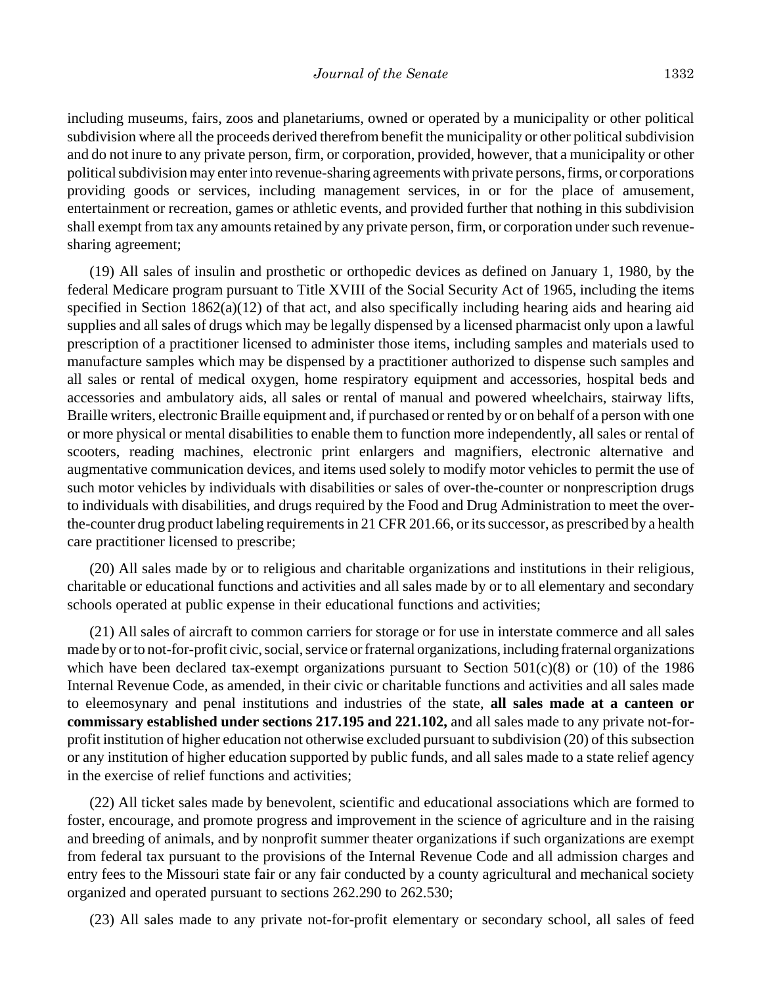including museums, fairs, zoos and planetariums, owned or operated by a municipality or other political subdivision where all the proceeds derived therefrom benefit the municipality or other political subdivision and do not inure to any private person, firm, or corporation, provided, however, that a municipality or other political subdivision may enter into revenue-sharing agreements with private persons, firms, or corporations providing goods or services, including management services, in or for the place of amusement, entertainment or recreation, games or athletic events, and provided further that nothing in this subdivision shall exempt from tax any amounts retained by any private person, firm, or corporation under such revenuesharing agreement;

(19) All sales of insulin and prosthetic or orthopedic devices as defined on January 1, 1980, by the federal Medicare program pursuant to Title XVIII of the Social Security Act of 1965, including the items specified in Section 1862(a)(12) of that act, and also specifically including hearing aids and hearing aid supplies and all sales of drugs which may be legally dispensed by a licensed pharmacist only upon a lawful prescription of a practitioner licensed to administer those items, including samples and materials used to manufacture samples which may be dispensed by a practitioner authorized to dispense such samples and all sales or rental of medical oxygen, home respiratory equipment and accessories, hospital beds and accessories and ambulatory aids, all sales or rental of manual and powered wheelchairs, stairway lifts, Braille writers, electronic Braille equipment and, if purchased or rented by or on behalf of a person with one or more physical or mental disabilities to enable them to function more independently, all sales or rental of scooters, reading machines, electronic print enlargers and magnifiers, electronic alternative and augmentative communication devices, and items used solely to modify motor vehicles to permit the use of such motor vehicles by individuals with disabilities or sales of over-the-counter or nonprescription drugs to individuals with disabilities, and drugs required by the Food and Drug Administration to meet the overthe-counter drug product labeling requirements in 21 CFR 201.66, or its successor, as prescribed by a health care practitioner licensed to prescribe;

(20) All sales made by or to religious and charitable organizations and institutions in their religious, charitable or educational functions and activities and all sales made by or to all elementary and secondary schools operated at public expense in their educational functions and activities;

(21) All sales of aircraft to common carriers for storage or for use in interstate commerce and all sales made by or to not-for-profit civic, social, service or fraternal organizations, including fraternal organizations which have been declared tax-exempt organizations pursuant to Section  $501(c)(8)$  or (10) of the 1986 Internal Revenue Code, as amended, in their civic or charitable functions and activities and all sales made to eleemosynary and penal institutions and industries of the state, **all sales made at a canteen or commissary established under sections 217.195 and 221.102,** and all sales made to any private not-forprofit institution of higher education not otherwise excluded pursuant to subdivision (20) of this subsection or any institution of higher education supported by public funds, and all sales made to a state relief agency in the exercise of relief functions and activities;

(22) All ticket sales made by benevolent, scientific and educational associations which are formed to foster, encourage, and promote progress and improvement in the science of agriculture and in the raising and breeding of animals, and by nonprofit summer theater organizations if such organizations are exempt from federal tax pursuant to the provisions of the Internal Revenue Code and all admission charges and entry fees to the Missouri state fair or any fair conducted by a county agricultural and mechanical society organized and operated pursuant to sections 262.290 to 262.530;

(23) All sales made to any private not-for-profit elementary or secondary school, all sales of feed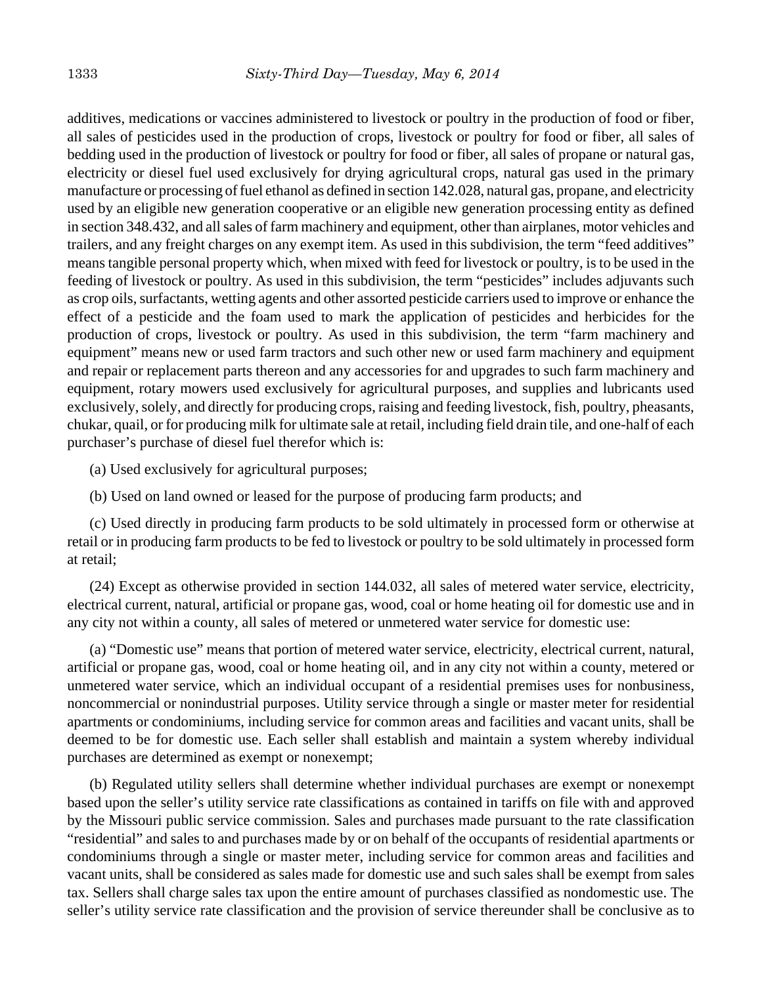additives, medications or vaccines administered to livestock or poultry in the production of food or fiber, all sales of pesticides used in the production of crops, livestock or poultry for food or fiber, all sales of bedding used in the production of livestock or poultry for food or fiber, all sales of propane or natural gas, electricity or diesel fuel used exclusively for drying agricultural crops, natural gas used in the primary manufacture or processing of fuel ethanol as defined in section 142.028, natural gas, propane, and electricity used by an eligible new generation cooperative or an eligible new generation processing entity as defined in section 348.432, and all sales of farm machinery and equipment, other than airplanes, motor vehicles and trailers, and any freight charges on any exempt item. As used in this subdivision, the term "feed additives" means tangible personal property which, when mixed with feed for livestock or poultry, is to be used in the feeding of livestock or poultry. As used in this subdivision, the term "pesticides" includes adjuvants such as crop oils, surfactants, wetting agents and other assorted pesticide carriers used to improve or enhance the effect of a pesticide and the foam used to mark the application of pesticides and herbicides for the production of crops, livestock or poultry. As used in this subdivision, the term "farm machinery and equipment" means new or used farm tractors and such other new or used farm machinery and equipment and repair or replacement parts thereon and any accessories for and upgrades to such farm machinery and equipment, rotary mowers used exclusively for agricultural purposes, and supplies and lubricants used exclusively, solely, and directly for producing crops, raising and feeding livestock, fish, poultry, pheasants, chukar, quail, or for producing milk for ultimate sale at retail, including field drain tile, and one-half of each purchaser's purchase of diesel fuel therefor which is:

(a) Used exclusively for agricultural purposes;

(b) Used on land owned or leased for the purpose of producing farm products; and

(c) Used directly in producing farm products to be sold ultimately in processed form or otherwise at retail or in producing farm products to be fed to livestock or poultry to be sold ultimately in processed form at retail;

(24) Except as otherwise provided in section 144.032, all sales of metered water service, electricity, electrical current, natural, artificial or propane gas, wood, coal or home heating oil for domestic use and in any city not within a county, all sales of metered or unmetered water service for domestic use:

(a) "Domestic use" means that portion of metered water service, electricity, electrical current, natural, artificial or propane gas, wood, coal or home heating oil, and in any city not within a county, metered or unmetered water service, which an individual occupant of a residential premises uses for nonbusiness, noncommercial or nonindustrial purposes. Utility service through a single or master meter for residential apartments or condominiums, including service for common areas and facilities and vacant units, shall be deemed to be for domestic use. Each seller shall establish and maintain a system whereby individual purchases are determined as exempt or nonexempt;

(b) Regulated utility sellers shall determine whether individual purchases are exempt or nonexempt based upon the seller's utility service rate classifications as contained in tariffs on file with and approved by the Missouri public service commission. Sales and purchases made pursuant to the rate classification "residential" and sales to and purchases made by or on behalf of the occupants of residential apartments or condominiums through a single or master meter, including service for common areas and facilities and vacant units, shall be considered as sales made for domestic use and such sales shall be exempt from sales tax. Sellers shall charge sales tax upon the entire amount of purchases classified as nondomestic use. The seller's utility service rate classification and the provision of service thereunder shall be conclusive as to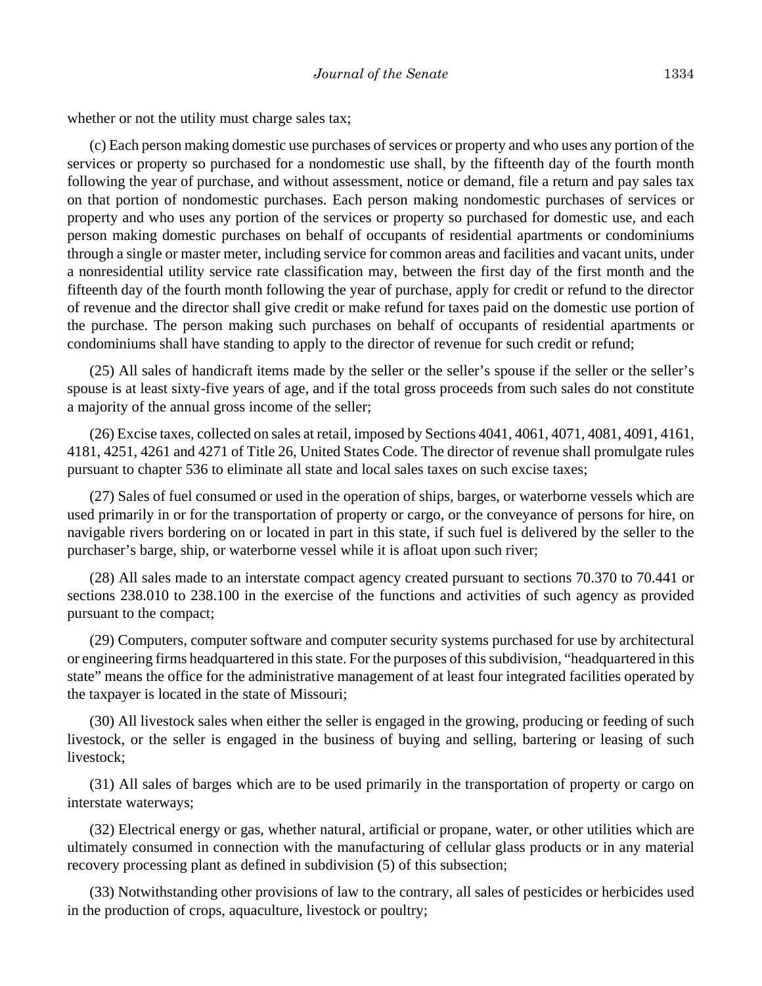whether or not the utility must charge sales tax;

(c) Each person making domestic use purchases of services or property and who uses any portion of the services or property so purchased for a nondomestic use shall, by the fifteenth day of the fourth month following the year of purchase, and without assessment, notice or demand, file a return and pay sales tax on that portion of nondomestic purchases. Each person making nondomestic purchases of services or property and who uses any portion of the services or property so purchased for domestic use, and each person making domestic purchases on behalf of occupants of residential apartments or condominiums through a single or master meter, including service for common areas and facilities and vacant units, under a nonresidential utility service rate classification may, between the first day of the first month and the fifteenth day of the fourth month following the year of purchase, apply for credit or refund to the director of revenue and the director shall give credit or make refund for taxes paid on the domestic use portion of the purchase. The person making such purchases on behalf of occupants of residential apartments or condominiums shall have standing to apply to the director of revenue for such credit or refund;

(25) All sales of handicraft items made by the seller or the seller's spouse if the seller or the seller's spouse is at least sixty-five years of age, and if the total gross proceeds from such sales do not constitute a majority of the annual gross income of the seller;

(26) Excise taxes, collected on sales at retail, imposed by Sections 4041, 4061, 4071, 4081, 4091, 4161, 4181, 4251, 4261 and 4271 of Title 26, United States Code. The director of revenue shall promulgate rules pursuant to chapter 536 to eliminate all state and local sales taxes on such excise taxes;

(27) Sales of fuel consumed or used in the operation of ships, barges, or waterborne vessels which are used primarily in or for the transportation of property or cargo, or the conveyance of persons for hire, on navigable rivers bordering on or located in part in this state, if such fuel is delivered by the seller to the purchaser's barge, ship, or waterborne vessel while it is afloat upon such river;

(28) All sales made to an interstate compact agency created pursuant to sections 70.370 to 70.441 or sections 238.010 to 238.100 in the exercise of the functions and activities of such agency as provided pursuant to the compact;

(29) Computers, computer software and computer security systems purchased for use by architectural or engineering firms headquartered in this state. For the purposes of this subdivision, "headquartered in this state" means the office for the administrative management of at least four integrated facilities operated by the taxpayer is located in the state of Missouri;

(30) All livestock sales when either the seller is engaged in the growing, producing or feeding of such livestock, or the seller is engaged in the business of buying and selling, bartering or leasing of such livestock;

(31) All sales of barges which are to be used primarily in the transportation of property or cargo on interstate waterways;

(32) Electrical energy or gas, whether natural, artificial or propane, water, or other utilities which are ultimately consumed in connection with the manufacturing of cellular glass products or in any material recovery processing plant as defined in subdivision (5) of this subsection;

(33) Notwithstanding other provisions of law to the contrary, all sales of pesticides or herbicides used in the production of crops, aquaculture, livestock or poultry;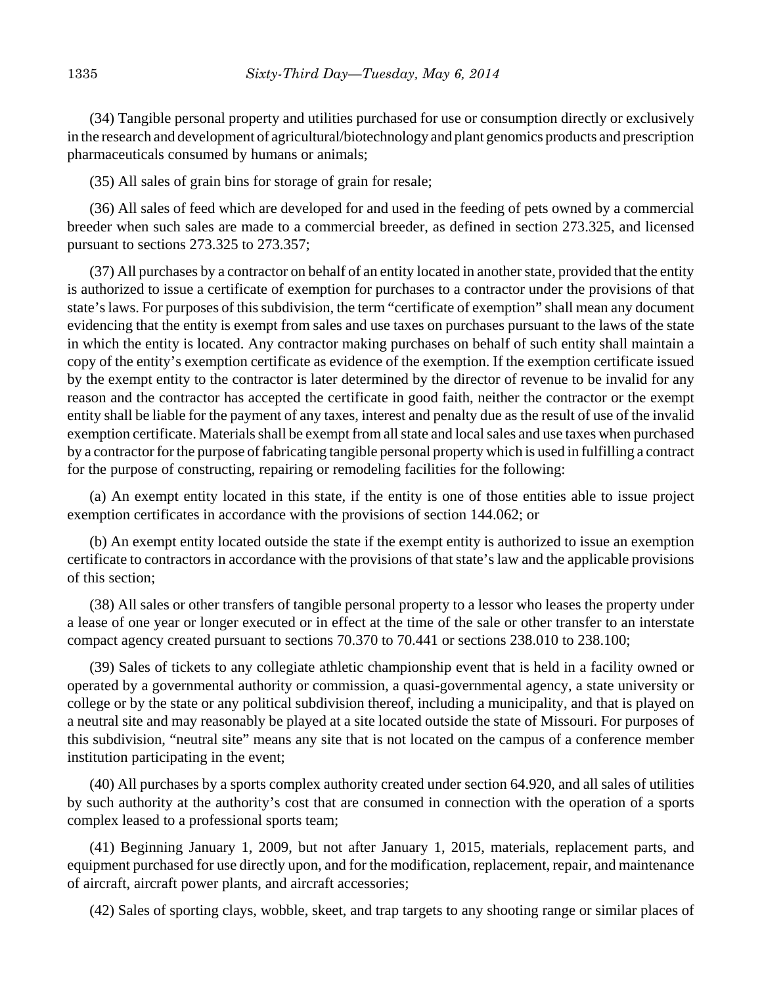(34) Tangible personal property and utilities purchased for use or consumption directly or exclusively in the research and development of agricultural/biotechnology and plant genomics products and prescription pharmaceuticals consumed by humans or animals;

(35) All sales of grain bins for storage of grain for resale;

(36) All sales of feed which are developed for and used in the feeding of pets owned by a commercial breeder when such sales are made to a commercial breeder, as defined in section 273.325, and licensed pursuant to sections 273.325 to 273.357;

(37) All purchases by a contractor on behalf of an entity located in another state, provided that the entity is authorized to issue a certificate of exemption for purchases to a contractor under the provisions of that state's laws. For purposes of this subdivision, the term "certificate of exemption" shall mean any document evidencing that the entity is exempt from sales and use taxes on purchases pursuant to the laws of the state in which the entity is located. Any contractor making purchases on behalf of such entity shall maintain a copy of the entity's exemption certificate as evidence of the exemption. If the exemption certificate issued by the exempt entity to the contractor is later determined by the director of revenue to be invalid for any reason and the contractor has accepted the certificate in good faith, neither the contractor or the exempt entity shall be liable for the payment of any taxes, interest and penalty due as the result of use of the invalid exemption certificate. Materials shall be exempt from all state and local sales and use taxes when purchased by a contractor for the purpose of fabricating tangible personal property which is used in fulfilling a contract for the purpose of constructing, repairing or remodeling facilities for the following:

(a) An exempt entity located in this state, if the entity is one of those entities able to issue project exemption certificates in accordance with the provisions of section 144.062; or

(b) An exempt entity located outside the state if the exempt entity is authorized to issue an exemption certificate to contractors in accordance with the provisions of that state's law and the applicable provisions of this section;

(38) All sales or other transfers of tangible personal property to a lessor who leases the property under a lease of one year or longer executed or in effect at the time of the sale or other transfer to an interstate compact agency created pursuant to sections 70.370 to 70.441 or sections 238.010 to 238.100;

(39) Sales of tickets to any collegiate athletic championship event that is held in a facility owned or operated by a governmental authority or commission, a quasi-governmental agency, a state university or college or by the state or any political subdivision thereof, including a municipality, and that is played on a neutral site and may reasonably be played at a site located outside the state of Missouri. For purposes of this subdivision, "neutral site" means any site that is not located on the campus of a conference member institution participating in the event;

(40) All purchases by a sports complex authority created under section 64.920, and all sales of utilities by such authority at the authority's cost that are consumed in connection with the operation of a sports complex leased to a professional sports team;

(41) Beginning January 1, 2009, but not after January 1, 2015, materials, replacement parts, and equipment purchased for use directly upon, and for the modification, replacement, repair, and maintenance of aircraft, aircraft power plants, and aircraft accessories;

(42) Sales of sporting clays, wobble, skeet, and trap targets to any shooting range or similar places of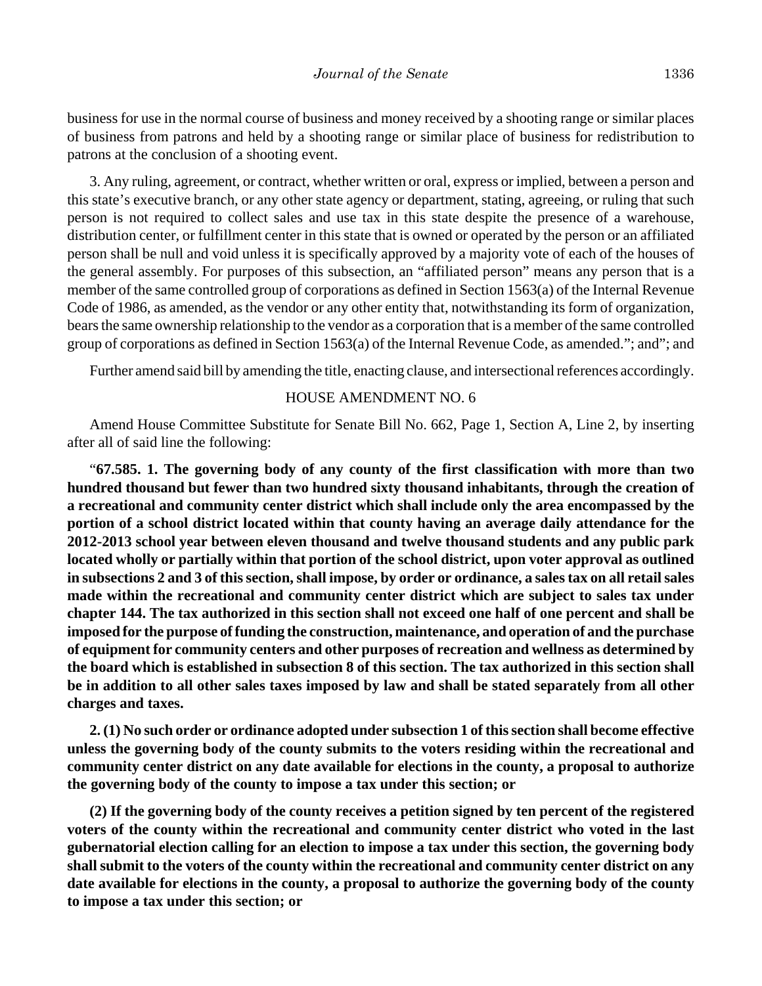business for use in the normal course of business and money received by a shooting range or similar places of business from patrons and held by a shooting range or similar place of business for redistribution to patrons at the conclusion of a shooting event.

3. Any ruling, agreement, or contract, whether written or oral, express or implied, between a person and this state's executive branch, or any other state agency or department, stating, agreeing, or ruling that such person is not required to collect sales and use tax in this state despite the presence of a warehouse, distribution center, or fulfillment center in this state that is owned or operated by the person or an affiliated person shall be null and void unless it is specifically approved by a majority vote of each of the houses of the general assembly. For purposes of this subsection, an "affiliated person" means any person that is a member of the same controlled group of corporations as defined in Section 1563(a) of the Internal Revenue Code of 1986, as amended, as the vendor or any other entity that, notwithstanding its form of organization, bears the same ownership relationship to the vendor as a corporation that is a member of the same controlled group of corporations as defined in Section 1563(a) of the Internal Revenue Code, as amended."; and"; and

Further amend said bill by amending the title, enacting clause, and intersectional references accordingly.

#### HOUSE AMENDMENT NO. 6

Amend House Committee Substitute for Senate Bill No. 662, Page 1, Section A, Line 2, by inserting after all of said line the following:

"**67.585. 1. The governing body of any county of the first classification with more than two hundred thousand but fewer than two hundred sixty thousand inhabitants, through the creation of a recreational and community center district which shall include only the area encompassed by the portion of a school district located within that county having an average daily attendance for the 2012-2013 school year between eleven thousand and twelve thousand students and any public park located wholly or partially within that portion of the school district, upon voter approval as outlined in subsections 2 and 3 of this section, shall impose, by order or ordinance, a sales tax on all retail sales made within the recreational and community center district which are subject to sales tax under chapter 144. The tax authorized in this section shall not exceed one half of one percent and shall be imposed for the purpose of funding the construction, maintenance, and operation of and the purchase of equipment for community centers and other purposes of recreation and wellness as determined by the board which is established in subsection 8 of this section. The tax authorized in this section shall be in addition to all other sales taxes imposed by law and shall be stated separately from all other charges and taxes.**

**2. (1) No such order or ordinance adopted under subsection 1 of this section shall become effective unless the governing body of the county submits to the voters residing within the recreational and community center district on any date available for elections in the county, a proposal to authorize the governing body of the county to impose a tax under this section; or**

**(2) If the governing body of the county receives a petition signed by ten percent of the registered voters of the county within the recreational and community center district who voted in the last gubernatorial election calling for an election to impose a tax under this section, the governing body shall submit to the voters of the county within the recreational and community center district on any date available for elections in the county, a proposal to authorize the governing body of the county to impose a tax under this section; or**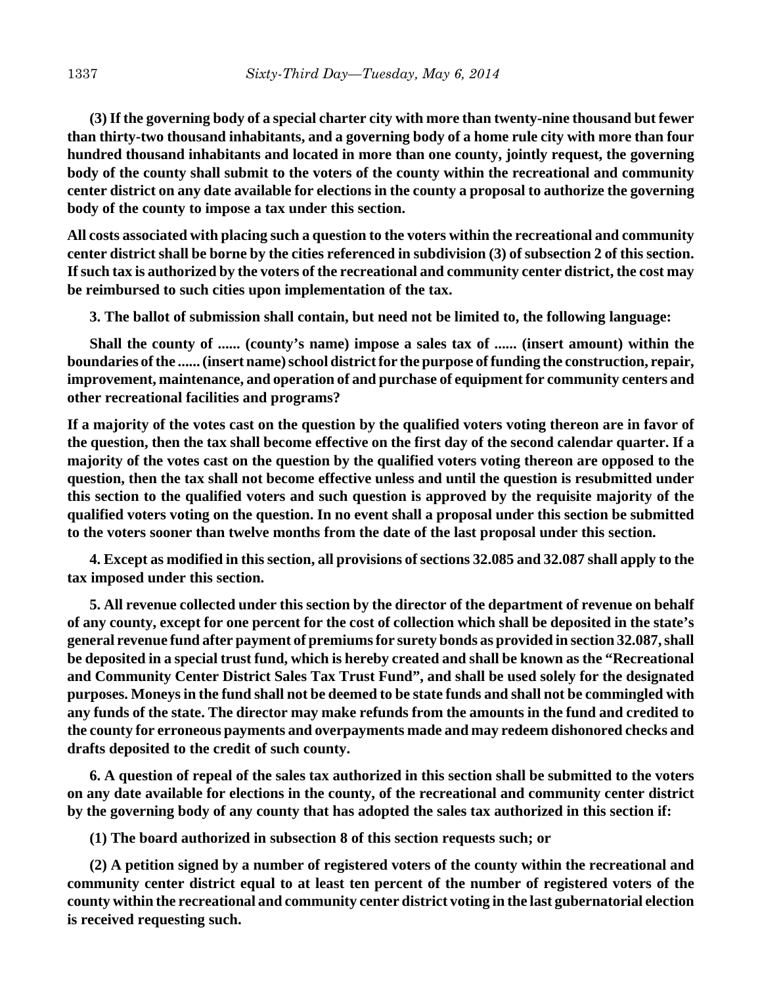**(3) If the governing body of a special charter city with more than twenty-nine thousand but fewer than thirty-two thousand inhabitants, and a governing body of a home rule city with more than four hundred thousand inhabitants and located in more than one county, jointly request, the governing body of the county shall submit to the voters of the county within the recreational and community center district on any date available for elections in the county a proposal to authorize the governing body of the county to impose a tax under this section.**

**All costs associated with placing such a question to the voters within the recreational and community center district shall be borne by the cities referenced in subdivision (3) of subsection 2 of this section. If such tax is authorized by the voters of the recreational and community center district, the cost may be reimbursed to such cities upon implementation of the tax.**

**3. The ballot of submission shall contain, but need not be limited to, the following language:**

**Shall the county of ...... (county's name) impose a sales tax of ...... (insert amount) within the boundaries of the ...... (insert name) school district for the purpose of funding the construction, repair, improvement, maintenance, and operation of and purchase of equipment for community centers and other recreational facilities and programs?**

**If a majority of the votes cast on the question by the qualified voters voting thereon are in favor of the question, then the tax shall become effective on the first day of the second calendar quarter. If a majority of the votes cast on the question by the qualified voters voting thereon are opposed to the question, then the tax shall not become effective unless and until the question is resubmitted under this section to the qualified voters and such question is approved by the requisite majority of the qualified voters voting on the question. In no event shall a proposal under this section be submitted to the voters sooner than twelve months from the date of the last proposal under this section.**

**4. Except as modified in this section, all provisions of sections 32.085 and 32.087 shall apply to the tax imposed under this section.**

**5. All revenue collected under this section by the director of the department of revenue on behalf of any county, except for one percent for the cost of collection which shall be deposited in the state's general revenue fund after payment of premiums for surety bonds as provided in section 32.087, shall be deposited in a special trust fund, which is hereby created and shall be known as the "Recreational and Community Center District Sales Tax Trust Fund", and shall be used solely for the designated purposes. Moneys in the fund shall not be deemed to be state funds and shall not be commingled with any funds of the state. The director may make refunds from the amounts in the fund and credited to the county for erroneous payments and overpayments made and may redeem dishonored checks and drafts deposited to the credit of such county.**

**6. A question of repeal of the sales tax authorized in this section shall be submitted to the voters on any date available for elections in the county, of the recreational and community center district by the governing body of any county that has adopted the sales tax authorized in this section if:**

**(1) The board authorized in subsection 8 of this section requests such; or**

**(2) A petition signed by a number of registered voters of the county within the recreational and community center district equal to at least ten percent of the number of registered voters of the county within the recreational and community center district voting in the last gubernatorial election is received requesting such.**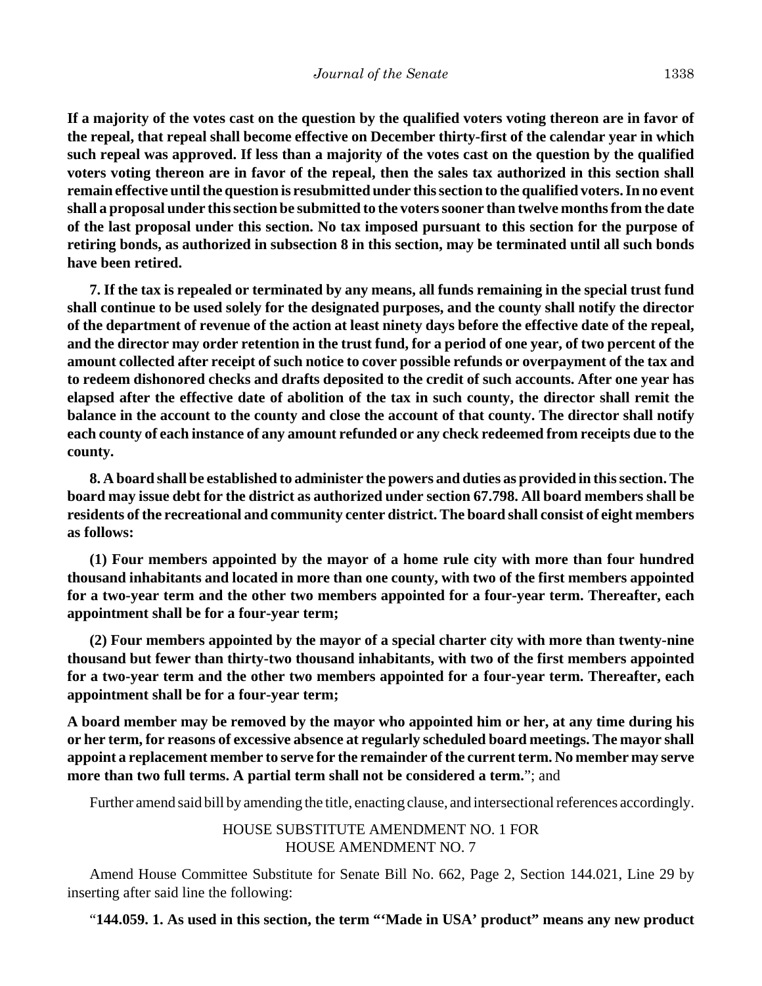**If a majority of the votes cast on the question by the qualified voters voting thereon are in favor of the repeal, that repeal shall become effective on December thirty-first of the calendar year in which such repeal was approved. If less than a majority of the votes cast on the question by the qualified voters voting thereon are in favor of the repeal, then the sales tax authorized in this section shall remain effective until the question is resubmitted under this section to the qualified voters. In no event shall a proposal under this section be submitted to the voters sooner than twelve months from the date of the last proposal under this section. No tax imposed pursuant to this section for the purpose of retiring bonds, as authorized in subsection 8 in this section, may be terminated until all such bonds have been retired.**

**7. If the tax is repealed or terminated by any means, all funds remaining in the special trust fund shall continue to be used solely for the designated purposes, and the county shall notify the director of the department of revenue of the action at least ninety days before the effective date of the repeal, and the director may order retention in the trust fund, for a period of one year, of two percent of the amount collected after receipt of such notice to cover possible refunds or overpayment of the tax and to redeem dishonored checks and drafts deposited to the credit of such accounts. After one year has elapsed after the effective date of abolition of the tax in such county, the director shall remit the balance in the account to the county and close the account of that county. The director shall notify each county of each instance of any amount refunded or any check redeemed from receipts due to the county.**

**8. A board shall be established to administer the powers and duties as provided in this section. The board may issue debt for the district as authorized under section 67.798. All board members shall be residents of the recreational and community center district. The board shall consist of eight members as follows:**

**(1) Four members appointed by the mayor of a home rule city with more than four hundred thousand inhabitants and located in more than one county, with two of the first members appointed for a two-year term and the other two members appointed for a four-year term. Thereafter, each appointment shall be for a four-year term;**

**(2) Four members appointed by the mayor of a special charter city with more than twenty-nine thousand but fewer than thirty-two thousand inhabitants, with two of the first members appointed for a two-year term and the other two members appointed for a four-year term. Thereafter, each appointment shall be for a four-year term;**

**A board member may be removed by the mayor who appointed him or her, at any time during his or her term, for reasons of excessive absence at regularly scheduled board meetings. The mayor shall appoint a replacement member to serve for the remainder of the current term. No member may serve more than two full terms. A partial term shall not be considered a term.**"; and

Further amend said bill by amending the title, enacting clause, and intersectional references accordingly.

HOUSE SUBSTITUTE AMENDMENT NO. 1 FOR HOUSE AMENDMENT NO. 7

Amend House Committee Substitute for Senate Bill No. 662, Page 2, Section 144.021, Line 29 by inserting after said line the following:

"**144.059. 1. As used in this section, the term "'Made in USA' product" means any new product**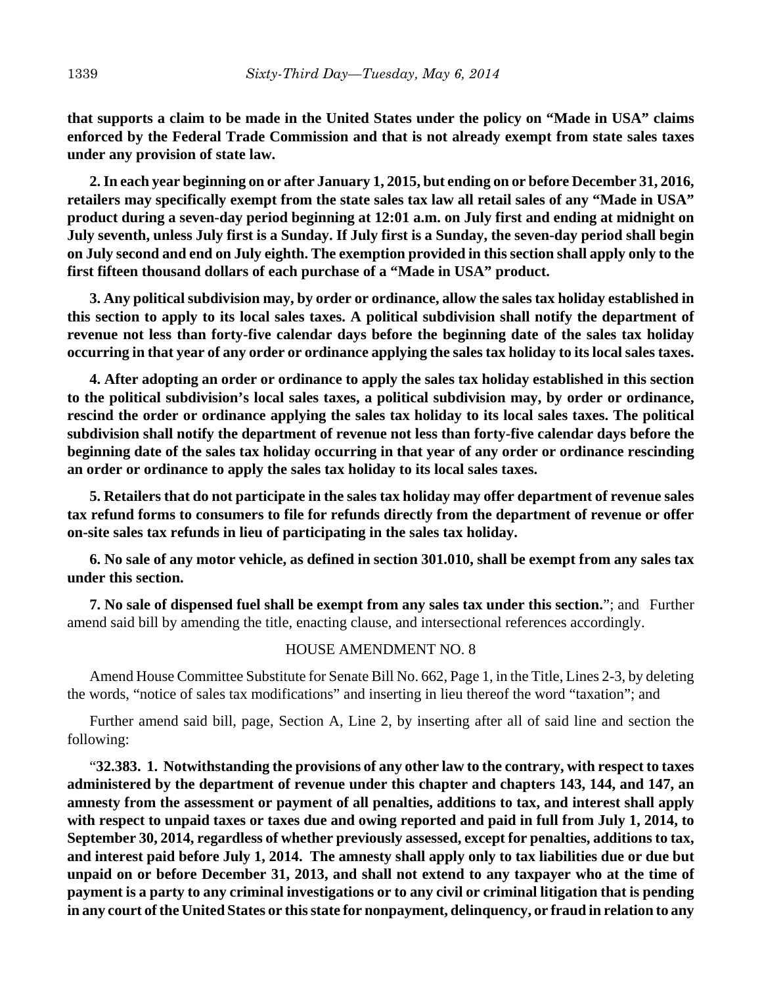**that supports a claim to be made in the United States under the policy on "Made in USA" claims enforced by the Federal Trade Commission and that is not already exempt from state sales taxes under any provision of state law.**

**2. In each year beginning on or after January 1, 2015, but ending on or before December 31, 2016, retailers may specifically exempt from the state sales tax law all retail sales of any "Made in USA" product during a seven-day period beginning at 12:01 a.m. on July first and ending at midnight on July seventh, unless July first is a Sunday. If July first is a Sunday, the seven-day period shall begin on July second and end on July eighth. The exemption provided in this section shall apply only to the first fifteen thousand dollars of each purchase of a "Made in USA" product.**

**3. Any political subdivision may, by order or ordinance, allow the sales tax holiday established in this section to apply to its local sales taxes. A political subdivision shall notify the department of revenue not less than forty-five calendar days before the beginning date of the sales tax holiday occurring in that year of any order or ordinance applying the sales tax holiday to its local sales taxes.**

**4. After adopting an order or ordinance to apply the sales tax holiday established in this section to the political subdivision's local sales taxes, a political subdivision may, by order or ordinance, rescind the order or ordinance applying the sales tax holiday to its local sales taxes. The political subdivision shall notify the department of revenue not less than forty-five calendar days before the beginning date of the sales tax holiday occurring in that year of any order or ordinance rescinding an order or ordinance to apply the sales tax holiday to its local sales taxes.**

**5. Retailers that do not participate in the sales tax holiday may offer department of revenue sales tax refund forms to consumers to file for refunds directly from the department of revenue or offer on-site sales tax refunds in lieu of participating in the sales tax holiday.**

**6. No sale of any motor vehicle, as defined in section 301.010, shall be exempt from any sales tax under this section.**

**7. No sale of dispensed fuel shall be exempt from any sales tax under this section.**"; and Further amend said bill by amending the title, enacting clause, and intersectional references accordingly.

#### HOUSE AMENDMENT NO. 8

Amend House Committee Substitute for Senate Bill No. 662, Page 1, in the Title, Lines 2-3, by deleting the words, "notice of sales tax modifications" and inserting in lieu thereof the word "taxation"; and

Further amend said bill, page, Section A, Line 2, by inserting after all of said line and section the following:

"**32.383. 1. Notwithstanding the provisions of any other law to the contrary, with respect to taxes administered by the department of revenue under this chapter and chapters 143, 144, and 147, an amnesty from the assessment or payment of all penalties, additions to tax, and interest shall apply with respect to unpaid taxes or taxes due and owing reported and paid in full from July 1, 2014, to September 30, 2014, regardless of whether previously assessed, except for penalties, additions to tax, and interest paid before July 1, 2014. The amnesty shall apply only to tax liabilities due or due but unpaid on or before December 31, 2013, and shall not extend to any taxpayer who at the time of payment is a party to any criminal investigations or to any civil or criminal litigation that is pending in any court of the United States or this state for nonpayment, delinquency, or fraud in relation to any**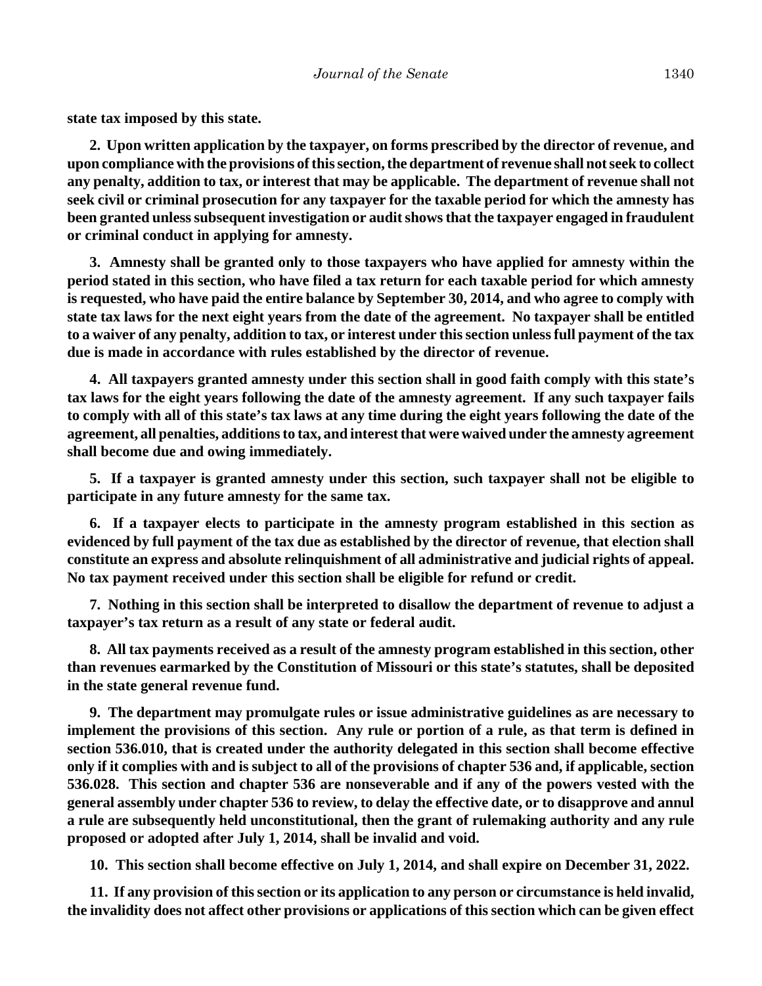**state tax imposed by this state.**

**2. Upon written application by the taxpayer, on forms prescribed by the director of revenue, and upon compliance with the provisions of this section, the department of revenue shall not seek to collect any penalty, addition to tax, or interest that may be applicable. The department of revenue shall not seek civil or criminal prosecution for any taxpayer for the taxable period for which the amnesty has been granted unless subsequent investigation or audit shows that the taxpayer engaged in fraudulent or criminal conduct in applying for amnesty.**

**3. Amnesty shall be granted only to those taxpayers who have applied for amnesty within the period stated in this section, who have filed a tax return for each taxable period for which amnesty is requested, who have paid the entire balance by September 30, 2014, and who agree to comply with state tax laws for the next eight years from the date of the agreement. No taxpayer shall be entitled to a waiver of any penalty, addition to tax, or interest under this section unless full payment of the tax due is made in accordance with rules established by the director of revenue.**

**4. All taxpayers granted amnesty under this section shall in good faith comply with this state's tax laws for the eight years following the date of the amnesty agreement. If any such taxpayer fails to comply with all of this state's tax laws at any time during the eight years following the date of the agreement, all penalties, additions to tax, and interest that were waived under the amnesty agreement shall become due and owing immediately.**

**5. If a taxpayer is granted amnesty under this section, such taxpayer shall not be eligible to participate in any future amnesty for the same tax.**

**6. If a taxpayer elects to participate in the amnesty program established in this section as evidenced by full payment of the tax due as established by the director of revenue, that election shall constitute an express and absolute relinquishment of all administrative and judicial rights of appeal. No tax payment received under this section shall be eligible for refund or credit.**

**7. Nothing in this section shall be interpreted to disallow the department of revenue to adjust a taxpayer's tax return as a result of any state or federal audit.**

**8. All tax payments received as a result of the amnesty program established in this section, other than revenues earmarked by the Constitution of Missouri or this state's statutes, shall be deposited in the state general revenue fund.**

**9. The department may promulgate rules or issue administrative guidelines as are necessary to implement the provisions of this section. Any rule or portion of a rule, as that term is defined in section 536.010, that is created under the authority delegated in this section shall become effective only if it complies with and is subject to all of the provisions of chapter 536 and, if applicable, section 536.028. This section and chapter 536 are nonseverable and if any of the powers vested with the general assembly under chapter 536 to review, to delay the effective date, or to disapprove and annul a rule are subsequently held unconstitutional, then the grant of rulemaking authority and any rule proposed or adopted after July 1, 2014, shall be invalid and void.**

**10. This section shall become effective on July 1, 2014, and shall expire on December 31, 2022.**

**11. If any provision of this section or its application to any person or circumstance is held invalid, the invalidity does not affect other provisions or applications of this section which can be given effect**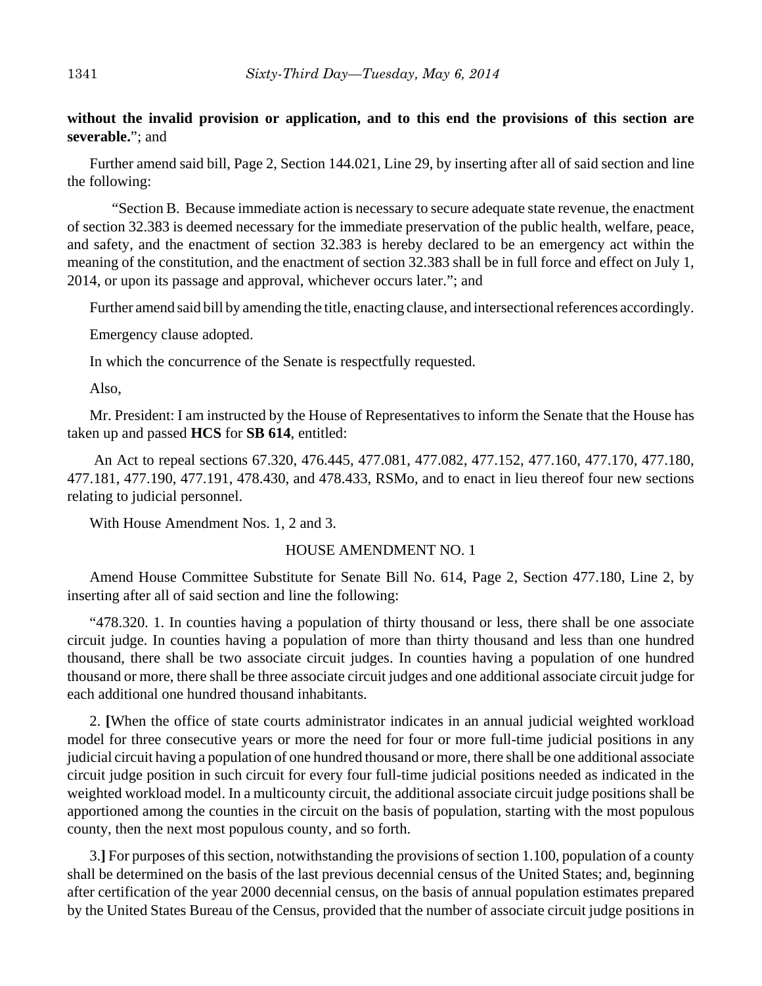## **without the invalid provision or application, and to this end the provisions of this section are severable.**"; and

Further amend said bill, Page 2, Section 144.021, Line 29, by inserting after all of said section and line the following:

"Section B. Because immediate action is necessary to secure adequate state revenue, the enactment of section 32.383 is deemed necessary for the immediate preservation of the public health, welfare, peace, and safety, and the enactment of section 32.383 is hereby declared to be an emergency act within the meaning of the constitution, and the enactment of section 32.383 shall be in full force and effect on July 1, 2014, or upon its passage and approval, whichever occurs later."; and

Further amend said bill by amending the title, enacting clause, and intersectional references accordingly.

Emergency clause adopted.

In which the concurrence of the Senate is respectfully requested.

Also,

Mr. President: I am instructed by the House of Representatives to inform the Senate that the House has taken up and passed **HCS** for **SB 614**, entitled:

 An Act to repeal sections 67.320, 476.445, 477.081, 477.082, 477.152, 477.160, 477.170, 477.180, 477.181, 477.190, 477.191, 478.430, and 478.433, RSMo, and to enact in lieu thereof four new sections relating to judicial personnel.

With House Amendment Nos. 1, 2 and 3.

#### HOUSE AMENDMENT NO. 1

Amend House Committee Substitute for Senate Bill No. 614, Page 2, Section 477.180, Line 2, by inserting after all of said section and line the following:

"478.320. 1. In counties having a population of thirty thousand or less, there shall be one associate circuit judge. In counties having a population of more than thirty thousand and less than one hundred thousand, there shall be two associate circuit judges. In counties having a population of one hundred thousand or more, there shall be three associate circuit judges and one additional associate circuit judge for each additional one hundred thousand inhabitants.

2. **[**When the office of state courts administrator indicates in an annual judicial weighted workload model for three consecutive years or more the need for four or more full-time judicial positions in any judicial circuit having a population of one hundred thousand or more, there shall be one additional associate circuit judge position in such circuit for every four full-time judicial positions needed as indicated in the weighted workload model. In a multicounty circuit, the additional associate circuit judge positions shall be apportioned among the counties in the circuit on the basis of population, starting with the most populous county, then the next most populous county, and so forth.

3.**]** For purposes of this section, notwithstanding the provisions of section 1.100, population of a county shall be determined on the basis of the last previous decennial census of the United States; and, beginning after certification of the year 2000 decennial census, on the basis of annual population estimates prepared by the United States Bureau of the Census, provided that the number of associate circuit judge positions in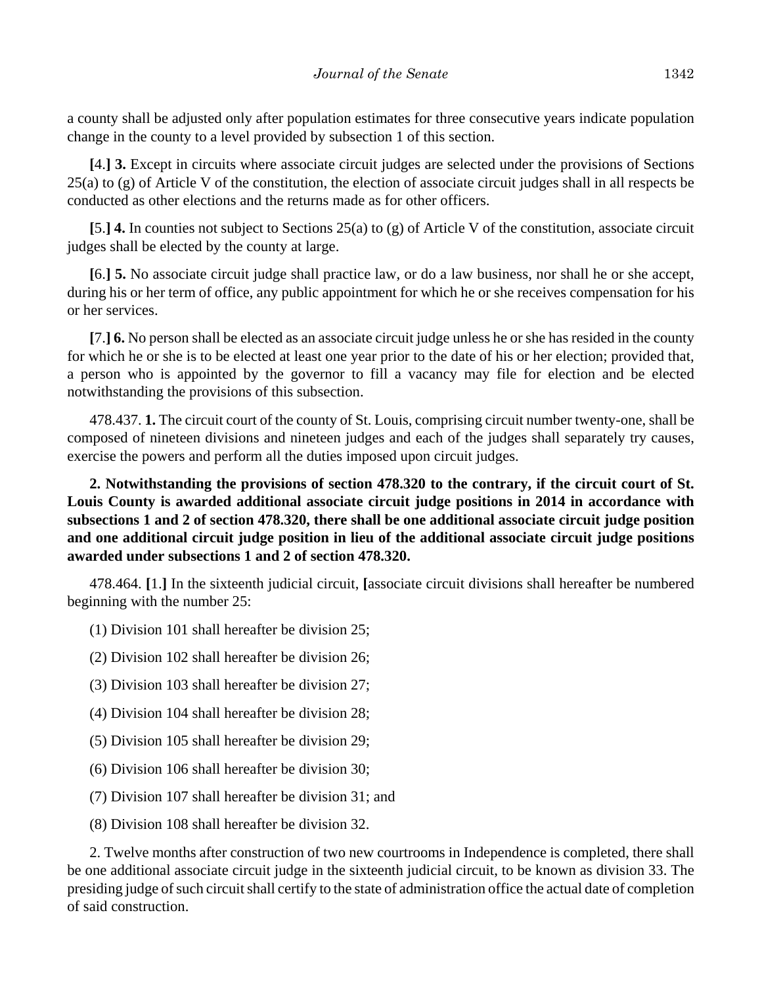a county shall be adjusted only after population estimates for three consecutive years indicate population change in the county to a level provided by subsection 1 of this section.

**[**4.**] 3.** Except in circuits where associate circuit judges are selected under the provisions of Sections  $25(a)$  to (g) of Article V of the constitution, the election of associate circuit judges shall in all respects be conducted as other elections and the returns made as for other officers.

**[**5.**] 4.** In counties not subject to Sections 25(a) to (g) of Article V of the constitution, associate circuit judges shall be elected by the county at large.

**[**6.**] 5.** No associate circuit judge shall practice law, or do a law business, nor shall he or she accept, during his or her term of office, any public appointment for which he or she receives compensation for his or her services.

**[**7.**] 6.** No person shall be elected as an associate circuit judge unless he or she has resided in the county for which he or she is to be elected at least one year prior to the date of his or her election; provided that, a person who is appointed by the governor to fill a vacancy may file for election and be elected notwithstanding the provisions of this subsection.

478.437. **1.** The circuit court of the county of St. Louis, comprising circuit number twenty-one, shall be composed of nineteen divisions and nineteen judges and each of the judges shall separately try causes, exercise the powers and perform all the duties imposed upon circuit judges.

**2. Notwithstanding the provisions of section 478.320 to the contrary, if the circuit court of St. Louis County is awarded additional associate circuit judge positions in 2014 in accordance with subsections 1 and 2 of section 478.320, there shall be one additional associate circuit judge position and one additional circuit judge position in lieu of the additional associate circuit judge positions awarded under subsections 1 and 2 of section 478.320.**

478.464. **[**1.**]** In the sixteenth judicial circuit, **[**associate circuit divisions shall hereafter be numbered beginning with the number 25:

- (1) Division 101 shall hereafter be division 25;
- (2) Division 102 shall hereafter be division 26;
- (3) Division 103 shall hereafter be division 27;
- (4) Division 104 shall hereafter be division 28;
- (5) Division 105 shall hereafter be division 29;
- (6) Division 106 shall hereafter be division 30;
- (7) Division 107 shall hereafter be division 31; and
- (8) Division 108 shall hereafter be division 32.

2. Twelve months after construction of two new courtrooms in Independence is completed, there shall be one additional associate circuit judge in the sixteenth judicial circuit, to be known as division 33. The presiding judge of such circuit shall certify to the state of administration office the actual date of completion of said construction.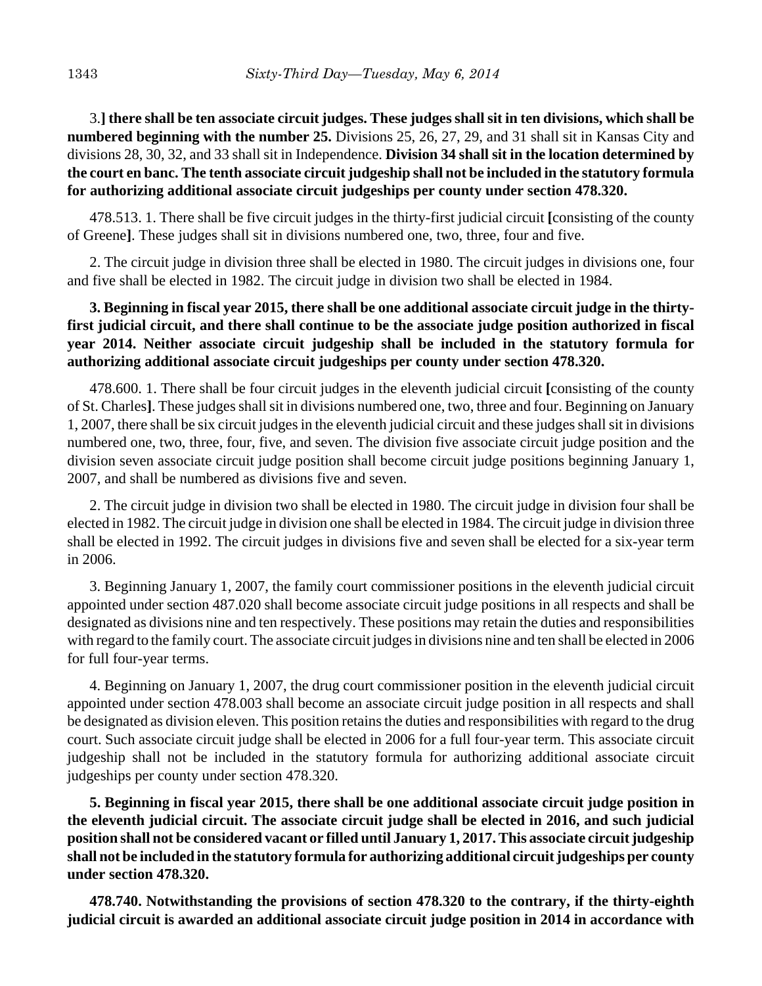3.**] there shall be ten associate circuit judges. These judges shall sit in ten divisions, which shall be numbered beginning with the number 25.** Divisions 25, 26, 27, 29, and 31 shall sit in Kansas City and divisions 28, 30, 32, and 33 shall sit in Independence. **Division 34 shall sit in the location determined by the court en banc. The tenth associate circuit judgeship shall not be included in the statutory formula for authorizing additional associate circuit judgeships per county under section 478.320.**

478.513. 1. There shall be five circuit judges in the thirty-first judicial circuit **[**consisting of the county of Greene**]**. These judges shall sit in divisions numbered one, two, three, four and five.

2. The circuit judge in division three shall be elected in 1980. The circuit judges in divisions one, four and five shall be elected in 1982. The circuit judge in division two shall be elected in 1984.

# **3. Beginning in fiscal year 2015, there shall be one additional associate circuit judge in the thirtyfirst judicial circuit, and there shall continue to be the associate judge position authorized in fiscal year 2014. Neither associate circuit judgeship shall be included in the statutory formula for authorizing additional associate circuit judgeships per county under section 478.320.**

478.600. 1. There shall be four circuit judges in the eleventh judicial circuit **[**consisting of the county of St. Charles**]**. These judges shall sit in divisions numbered one, two, three and four. Beginning on January 1, 2007, there shall be six circuit judges in the eleventh judicial circuit and these judges shall sit in divisions numbered one, two, three, four, five, and seven. The division five associate circuit judge position and the division seven associate circuit judge position shall become circuit judge positions beginning January 1, 2007, and shall be numbered as divisions five and seven.

2. The circuit judge in division two shall be elected in 1980. The circuit judge in division four shall be elected in 1982. The circuit judge in division one shall be elected in 1984. The circuit judge in division three shall be elected in 1992. The circuit judges in divisions five and seven shall be elected for a six-year term in 2006.

3. Beginning January 1, 2007, the family court commissioner positions in the eleventh judicial circuit appointed under section 487.020 shall become associate circuit judge positions in all respects and shall be designated as divisions nine and ten respectively. These positions may retain the duties and responsibilities with regard to the family court. The associate circuit judges in divisions nine and ten shall be elected in 2006 for full four-year terms.

4. Beginning on January 1, 2007, the drug court commissioner position in the eleventh judicial circuit appointed under section 478.003 shall become an associate circuit judge position in all respects and shall be designated as division eleven. This position retains the duties and responsibilities with regard to the drug court. Such associate circuit judge shall be elected in 2006 for a full four-year term. This associate circuit judgeship shall not be included in the statutory formula for authorizing additional associate circuit judgeships per county under section 478.320.

**5. Beginning in fiscal year 2015, there shall be one additional associate circuit judge position in the eleventh judicial circuit. The associate circuit judge shall be elected in 2016, and such judicial position shall not be considered vacant or filled until January 1, 2017. This associate circuit judgeship shall not be included in the statutory formula for authorizing additional circuit judgeships per county under section 478.320.**

**478.740. Notwithstanding the provisions of section 478.320 to the contrary, if the thirty-eighth judicial circuit is awarded an additional associate circuit judge position in 2014 in accordance with**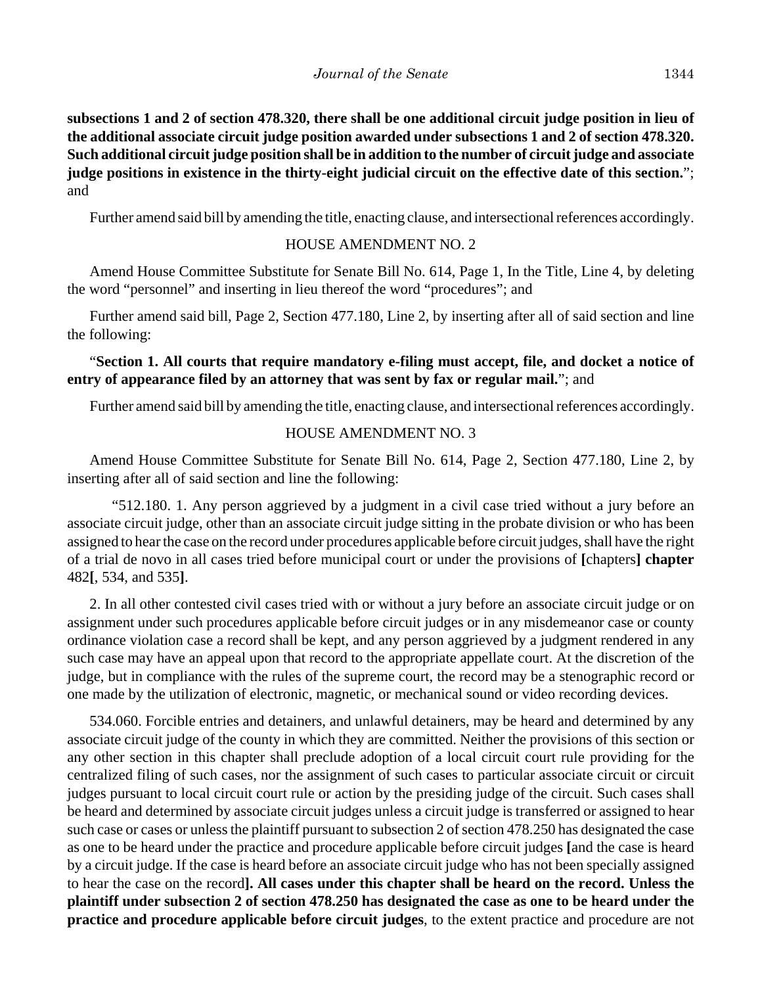**subsections 1 and 2 of section 478.320, there shall be one additional circuit judge position in lieu of the additional associate circuit judge position awarded under subsections 1 and 2 of section 478.320. Such additional circuit judge position shall be in addition to the number of circuit judge and associate judge positions in existence in the thirty-eight judicial circuit on the effective date of this section.**"; and

Further amend said bill by amending the title, enacting clause, and intersectional references accordingly.

#### HOUSE AMENDMENT NO. 2

Amend House Committee Substitute for Senate Bill No. 614, Page 1, In the Title, Line 4, by deleting the word "personnel" and inserting in lieu thereof the word "procedures"; and

Further amend said bill, Page 2, Section 477.180, Line 2, by inserting after all of said section and line the following:

# "**Section 1. All courts that require mandatory e-filing must accept, file, and docket a notice of entry of appearance filed by an attorney that was sent by fax or regular mail.**"; and

Further amend said bill by amending the title, enacting clause, and intersectional references accordingly.

## HOUSE AMENDMENT NO. 3

Amend House Committee Substitute for Senate Bill No. 614, Page 2, Section 477.180, Line 2, by inserting after all of said section and line the following:

"512.180. 1. Any person aggrieved by a judgment in a civil case tried without a jury before an associate circuit judge, other than an associate circuit judge sitting in the probate division or who has been assigned to hear the case on the record under procedures applicable before circuit judges, shall have the right of a trial de novo in all cases tried before municipal court or under the provisions of **[**chapters**] chapter** 482**[**, 534, and 535**]**.

2. In all other contested civil cases tried with or without a jury before an associate circuit judge or on assignment under such procedures applicable before circuit judges or in any misdemeanor case or county ordinance violation case a record shall be kept, and any person aggrieved by a judgment rendered in any such case may have an appeal upon that record to the appropriate appellate court. At the discretion of the judge, but in compliance with the rules of the supreme court, the record may be a stenographic record or one made by the utilization of electronic, magnetic, or mechanical sound or video recording devices.

534.060. Forcible entries and detainers, and unlawful detainers, may be heard and determined by any associate circuit judge of the county in which they are committed. Neither the provisions of this section or any other section in this chapter shall preclude adoption of a local circuit court rule providing for the centralized filing of such cases, nor the assignment of such cases to particular associate circuit or circuit judges pursuant to local circuit court rule or action by the presiding judge of the circuit. Such cases shall be heard and determined by associate circuit judges unless a circuit judge is transferred or assigned to hear such case or cases or unless the plaintiff pursuant to subsection 2 of section 478.250 has designated the case as one to be heard under the practice and procedure applicable before circuit judges **[**and the case is heard by a circuit judge. If the case is heard before an associate circuit judge who has not been specially assigned to hear the case on the record**]. All cases under this chapter shall be heard on the record. Unless the plaintiff under subsection 2 of section 478.250 has designated the case as one to be heard under the practice and procedure applicable before circuit judges**, to the extent practice and procedure are not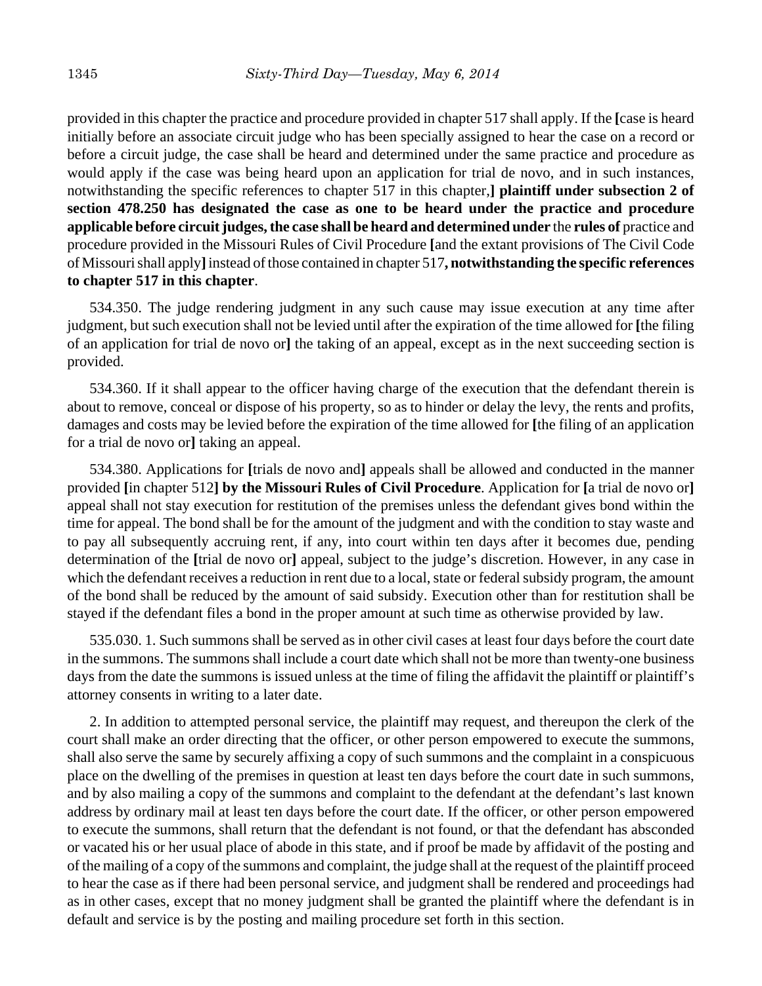provided in this chapter the practice and procedure provided in chapter 517 shall apply. If the **[**case is heard initially before an associate circuit judge who has been specially assigned to hear the case on a record or before a circuit judge, the case shall be heard and determined under the same practice and procedure as would apply if the case was being heard upon an application for trial de novo, and in such instances, notwithstanding the specific references to chapter 517 in this chapter,**] plaintiff under subsection 2 of section 478.250 has designated the case as one to be heard under the practice and procedure applicable before circuit judges, the case shall be heard and determined under** the **rules of** practice and procedure provided in the Missouri Rules of Civil Procedure **[**and the extant provisions of The Civil Code of Missouri shall apply**]** instead of those contained in chapter 517**, notwithstanding the specific references to chapter 517 in this chapter**.

534.350. The judge rendering judgment in any such cause may issue execution at any time after judgment, but such execution shall not be levied until after the expiration of the time allowed for **[**the filing of an application for trial de novo or**]** the taking of an appeal, except as in the next succeeding section is provided.

534.360. If it shall appear to the officer having charge of the execution that the defendant therein is about to remove, conceal or dispose of his property, so as to hinder or delay the levy, the rents and profits, damages and costs may be levied before the expiration of the time allowed for **[**the filing of an application for a trial de novo or**]** taking an appeal.

534.380. Applications for **[**trials de novo and**]** appeals shall be allowed and conducted in the manner provided **[**in chapter 512**] by the Missouri Rules of Civil Procedure**. Application for **[**a trial de novo or**]** appeal shall not stay execution for restitution of the premises unless the defendant gives bond within the time for appeal. The bond shall be for the amount of the judgment and with the condition to stay waste and to pay all subsequently accruing rent, if any, into court within ten days after it becomes due, pending determination of the **[**trial de novo or**]** appeal, subject to the judge's discretion. However, in any case in which the defendant receives a reduction in rent due to a local, state or federal subsidy program, the amount of the bond shall be reduced by the amount of said subsidy. Execution other than for restitution shall be stayed if the defendant files a bond in the proper amount at such time as otherwise provided by law.

535.030. 1. Such summons shall be served as in other civil cases at least four days before the court date in the summons. The summons shall include a court date which shall not be more than twenty-one business days from the date the summons is issued unless at the time of filing the affidavit the plaintiff or plaintiff's attorney consents in writing to a later date.

2. In addition to attempted personal service, the plaintiff may request, and thereupon the clerk of the court shall make an order directing that the officer, or other person empowered to execute the summons, shall also serve the same by securely affixing a copy of such summons and the complaint in a conspicuous place on the dwelling of the premises in question at least ten days before the court date in such summons, and by also mailing a copy of the summons and complaint to the defendant at the defendant's last known address by ordinary mail at least ten days before the court date. If the officer, or other person empowered to execute the summons, shall return that the defendant is not found, or that the defendant has absconded or vacated his or her usual place of abode in this state, and if proof be made by affidavit of the posting and of the mailing of a copy of the summons and complaint, the judge shall at the request of the plaintiff proceed to hear the case as if there had been personal service, and judgment shall be rendered and proceedings had as in other cases, except that no money judgment shall be granted the plaintiff where the defendant is in default and service is by the posting and mailing procedure set forth in this section.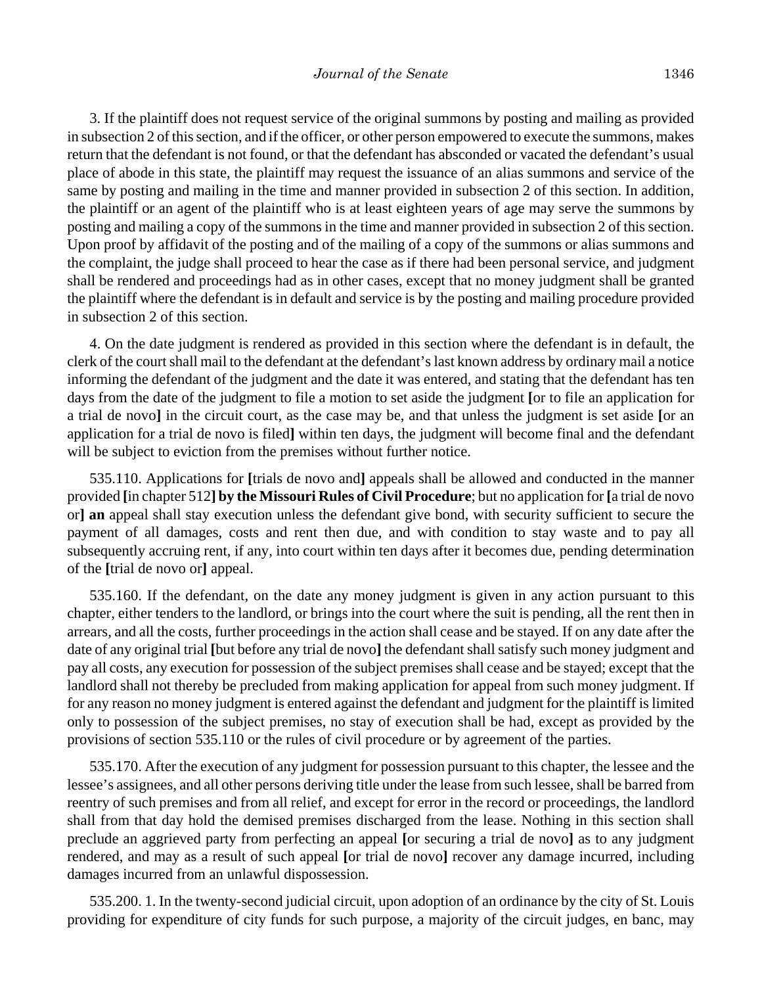3. If the plaintiff does not request service of the original summons by posting and mailing as provided in subsection 2 of this section, and if the officer, or other person empowered to execute the summons, makes return that the defendant is not found, or that the defendant has absconded or vacated the defendant's usual place of abode in this state, the plaintiff may request the issuance of an alias summons and service of the same by posting and mailing in the time and manner provided in subsection 2 of this section. In addition, the plaintiff or an agent of the plaintiff who is at least eighteen years of age may serve the summons by posting and mailing a copy of the summons in the time and manner provided in subsection 2 of this section. Upon proof by affidavit of the posting and of the mailing of a copy of the summons or alias summons and the complaint, the judge shall proceed to hear the case as if there had been personal service, and judgment shall be rendered and proceedings had as in other cases, except that no money judgment shall be granted the plaintiff where the defendant is in default and service is by the posting and mailing procedure provided in subsection 2 of this section.

4. On the date judgment is rendered as provided in this section where the defendant is in default, the clerk of the court shall mail to the defendant at the defendant's last known address by ordinary mail a notice informing the defendant of the judgment and the date it was entered, and stating that the defendant has ten days from the date of the judgment to file a motion to set aside the judgment **[**or to file an application for a trial de novo**]** in the circuit court, as the case may be, and that unless the judgment is set aside **[**or an application for a trial de novo is filed**]** within ten days, the judgment will become final and the defendant will be subject to eviction from the premises without further notice.

535.110. Applications for **[**trials de novo and**]** appeals shall be allowed and conducted in the manner provided **[**in chapter 512**] by the Missouri Rules of Civil Procedure**; but no application for **[**a trial de novo or**] an** appeal shall stay execution unless the defendant give bond, with security sufficient to secure the payment of all damages, costs and rent then due, and with condition to stay waste and to pay all subsequently accruing rent, if any, into court within ten days after it becomes due, pending determination of the **[**trial de novo or**]** appeal.

535.160. If the defendant, on the date any money judgment is given in any action pursuant to this chapter, either tenders to the landlord, or brings into the court where the suit is pending, all the rent then in arrears, and all the costs, further proceedings in the action shall cease and be stayed. If on any date after the date of any original trial **[**but before any trial de novo**]** the defendant shall satisfy such money judgment and pay all costs, any execution for possession of the subject premises shall cease and be stayed; except that the landlord shall not thereby be precluded from making application for appeal from such money judgment. If for any reason no money judgment is entered against the defendant and judgment for the plaintiff is limited only to possession of the subject premises, no stay of execution shall be had, except as provided by the provisions of section 535.110 or the rules of civil procedure or by agreement of the parties.

535.170. After the execution of any judgment for possession pursuant to this chapter, the lessee and the lessee's assignees, and all other persons deriving title under the lease from such lessee, shall be barred from reentry of such premises and from all relief, and except for error in the record or proceedings, the landlord shall from that day hold the demised premises discharged from the lease. Nothing in this section shall preclude an aggrieved party from perfecting an appeal **[**or securing a trial de novo**]** as to any judgment rendered, and may as a result of such appeal **[**or trial de novo**]** recover any damage incurred, including damages incurred from an unlawful dispossession.

535.200. 1. In the twenty-second judicial circuit, upon adoption of an ordinance by the city of St. Louis providing for expenditure of city funds for such purpose, a majority of the circuit judges, en banc, may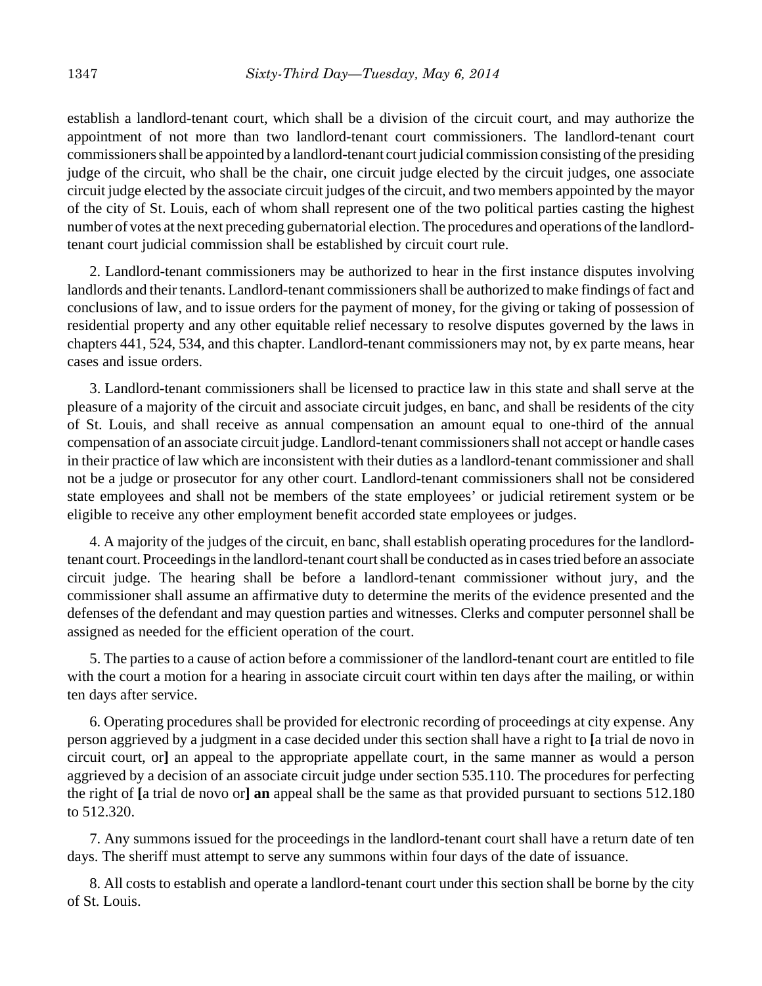establish a landlord-tenant court, which shall be a division of the circuit court, and may authorize the appointment of not more than two landlord-tenant court commissioners. The landlord-tenant court commissioners shall be appointed by a landlord-tenant court judicial commission consisting of the presiding judge of the circuit, who shall be the chair, one circuit judge elected by the circuit judges, one associate circuit judge elected by the associate circuit judges of the circuit, and two members appointed by the mayor of the city of St. Louis, each of whom shall represent one of the two political parties casting the highest number of votes at the next preceding gubernatorial election. The procedures and operations of the landlordtenant court judicial commission shall be established by circuit court rule.

2. Landlord-tenant commissioners may be authorized to hear in the first instance disputes involving landlords and their tenants. Landlord-tenant commissioners shall be authorized to make findings of fact and conclusions of law, and to issue orders for the payment of money, for the giving or taking of possession of residential property and any other equitable relief necessary to resolve disputes governed by the laws in chapters 441, 524, 534, and this chapter. Landlord-tenant commissioners may not, by ex parte means, hear cases and issue orders.

3. Landlord-tenant commissioners shall be licensed to practice law in this state and shall serve at the pleasure of a majority of the circuit and associate circuit judges, en banc, and shall be residents of the city of St. Louis, and shall receive as annual compensation an amount equal to one-third of the annual compensation of an associate circuit judge. Landlord-tenant commissioners shall not accept or handle cases in their practice of law which are inconsistent with their duties as a landlord-tenant commissioner and shall not be a judge or prosecutor for any other court. Landlord-tenant commissioners shall not be considered state employees and shall not be members of the state employees' or judicial retirement system or be eligible to receive any other employment benefit accorded state employees or judges.

4. A majority of the judges of the circuit, en banc, shall establish operating procedures for the landlordtenant court. Proceedings in the landlord-tenant court shall be conducted as in cases tried before an associate circuit judge. The hearing shall be before a landlord-tenant commissioner without jury, and the commissioner shall assume an affirmative duty to determine the merits of the evidence presented and the defenses of the defendant and may question parties and witnesses. Clerks and computer personnel shall be assigned as needed for the efficient operation of the court.

5. The parties to a cause of action before a commissioner of the landlord-tenant court are entitled to file with the court a motion for a hearing in associate circuit court within ten days after the mailing, or within ten days after service.

6. Operating procedures shall be provided for electronic recording of proceedings at city expense. Any person aggrieved by a judgment in a case decided under this section shall have a right to **[**a trial de novo in circuit court, or**]** an appeal to the appropriate appellate court, in the same manner as would a person aggrieved by a decision of an associate circuit judge under section 535.110. The procedures for perfecting the right of **[**a trial de novo or**] an** appeal shall be the same as that provided pursuant to sections 512.180 to 512.320.

7. Any summons issued for the proceedings in the landlord-tenant court shall have a return date of ten days. The sheriff must attempt to serve any summons within four days of the date of issuance.

8. All costs to establish and operate a landlord-tenant court under this section shall be borne by the city of St. Louis.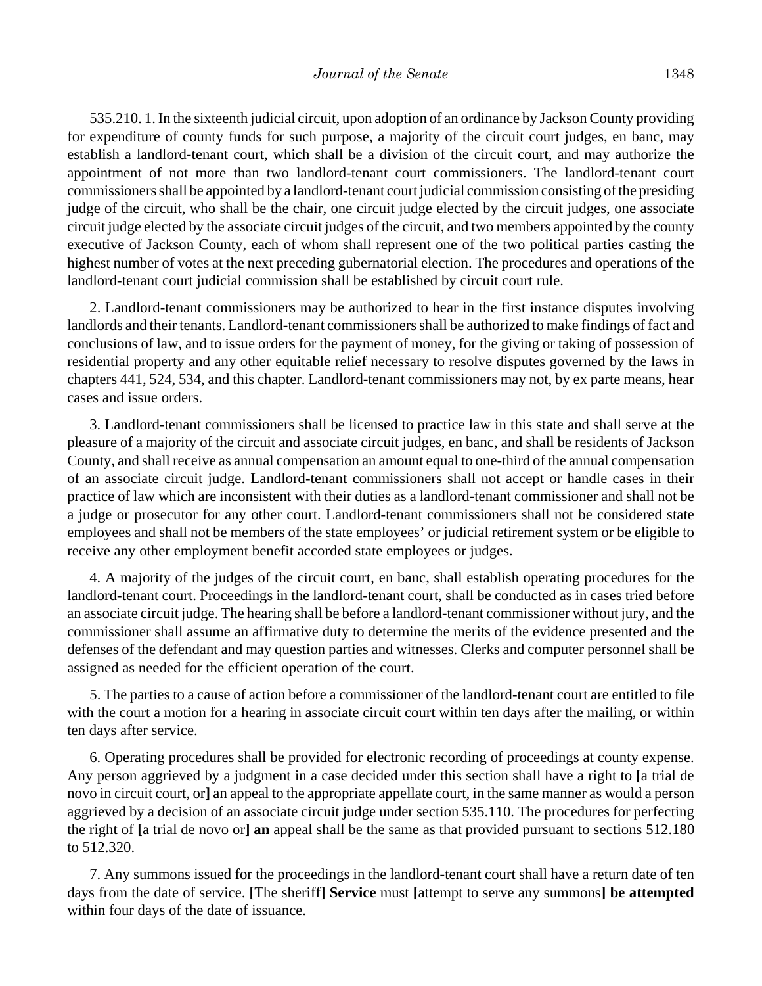535.210. 1. In the sixteenth judicial circuit, upon adoption of an ordinance by Jackson County providing for expenditure of county funds for such purpose, a majority of the circuit court judges, en banc, may establish a landlord-tenant court, which shall be a division of the circuit court, and may authorize the appointment of not more than two landlord-tenant court commissioners. The landlord-tenant court commissioners shall be appointed by a landlord-tenant court judicial commission consisting of the presiding judge of the circuit, who shall be the chair, one circuit judge elected by the circuit judges, one associate circuit judge elected by the associate circuit judges of the circuit, and two members appointed by the county executive of Jackson County, each of whom shall represent one of the two political parties casting the highest number of votes at the next preceding gubernatorial election. The procedures and operations of the landlord-tenant court judicial commission shall be established by circuit court rule.

2. Landlord-tenant commissioners may be authorized to hear in the first instance disputes involving landlords and their tenants. Landlord-tenant commissioners shall be authorized to make findings of fact and conclusions of law, and to issue orders for the payment of money, for the giving or taking of possession of residential property and any other equitable relief necessary to resolve disputes governed by the laws in chapters 441, 524, 534, and this chapter. Landlord-tenant commissioners may not, by ex parte means, hear cases and issue orders.

3. Landlord-tenant commissioners shall be licensed to practice law in this state and shall serve at the pleasure of a majority of the circuit and associate circuit judges, en banc, and shall be residents of Jackson County, and shall receive as annual compensation an amount equal to one-third of the annual compensation of an associate circuit judge. Landlord-tenant commissioners shall not accept or handle cases in their practice of law which are inconsistent with their duties as a landlord-tenant commissioner and shall not be a judge or prosecutor for any other court. Landlord-tenant commissioners shall not be considered state employees and shall not be members of the state employees' or judicial retirement system or be eligible to receive any other employment benefit accorded state employees or judges.

4. A majority of the judges of the circuit court, en banc, shall establish operating procedures for the landlord-tenant court. Proceedings in the landlord-tenant court, shall be conducted as in cases tried before an associate circuit judge. The hearing shall be before a landlord-tenant commissioner without jury, and the commissioner shall assume an affirmative duty to determine the merits of the evidence presented and the defenses of the defendant and may question parties and witnesses. Clerks and computer personnel shall be assigned as needed for the efficient operation of the court.

5. The parties to a cause of action before a commissioner of the landlord-tenant court are entitled to file with the court a motion for a hearing in associate circuit court within ten days after the mailing, or within ten days after service.

6. Operating procedures shall be provided for electronic recording of proceedings at county expense. Any person aggrieved by a judgment in a case decided under this section shall have a right to **[**a trial de novo in circuit court, or**]** an appeal to the appropriate appellate court, in the same manner as would a person aggrieved by a decision of an associate circuit judge under section 535.110. The procedures for perfecting the right of **[**a trial de novo or**] an** appeal shall be the same as that provided pursuant to sections 512.180 to 512.320.

7. Any summons issued for the proceedings in the landlord-tenant court shall have a return date of ten days from the date of service. **[**The sheriff**] Service** must **[**attempt to serve any summons**] be attempted** within four days of the date of issuance.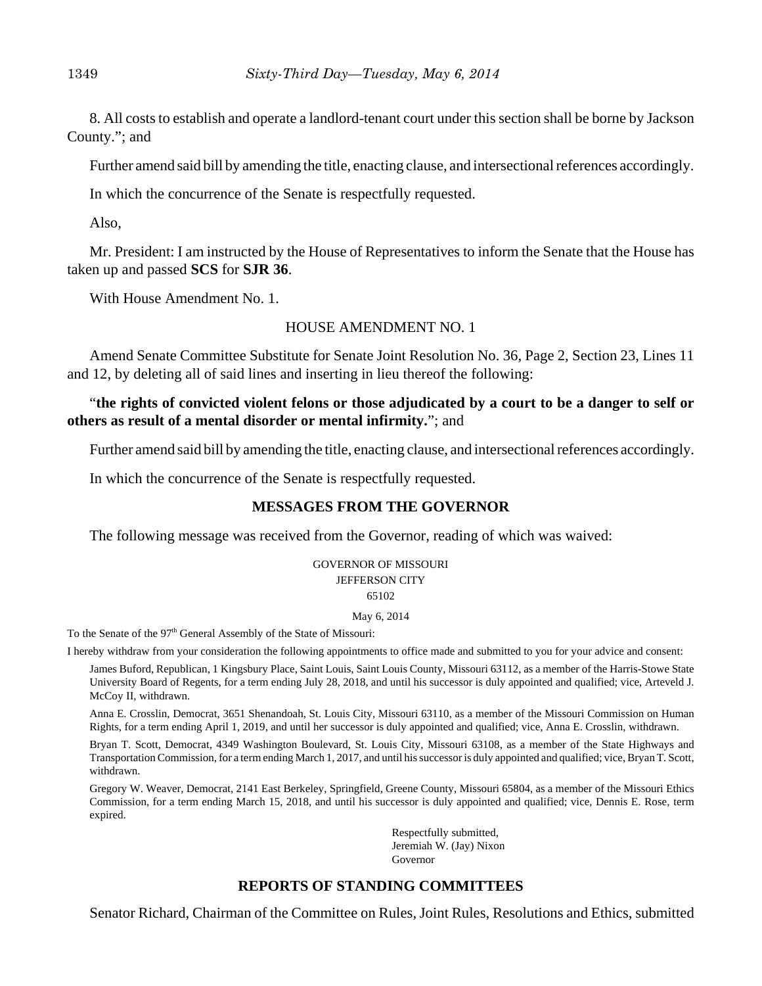8. All costs to establish and operate a landlord-tenant court under this section shall be borne by Jackson County."; and

Further amend said bill by amending the title, enacting clause, and intersectional references accordingly.

In which the concurrence of the Senate is respectfully requested.

Also,

Mr. President: I am instructed by the House of Representatives to inform the Senate that the House has taken up and passed **SCS** for **SJR 36**.

With House Amendment No. 1.

#### HOUSE AMENDMENT NO. 1

Amend Senate Committee Substitute for Senate Joint Resolution No. 36, Page 2, Section 23, Lines 11 and 12, by deleting all of said lines and inserting in lieu thereof the following:

## "**the rights of convicted violent felons or those adjudicated by a court to be a danger to self or others as result of a mental disorder or mental infirmity.**"; and

Further amend said bill by amending the title, enacting clause, and intersectional references accordingly.

In which the concurrence of the Senate is respectfully requested.

# **MESSAGES FROM THE GOVERNOR**

The following message was received from the Governor, reading of which was waived:

# GOVERNOR OF MISSOURI JEFFERSON CITY

## 65102

#### May 6, 2014

To the Senate of the 97<sup>th</sup> General Assembly of the State of Missouri:

I hereby withdraw from your consideration the following appointments to office made and submitted to you for your advice and consent:

James Buford, Republican, 1 Kingsbury Place, Saint Louis, Saint Louis County, Missouri 63112, as a member of the Harris-Stowe State University Board of Regents, for a term ending July 28, 2018, and until his successor is duly appointed and qualified; vice, Arteveld J. McCoy II, withdrawn.

Anna E. Crosslin, Democrat, 3651 Shenandoah, St. Louis City, Missouri 63110, as a member of the Missouri Commission on Human Rights, for a term ending April 1, 2019, and until her successor is duly appointed and qualified; vice, Anna E. Crosslin, withdrawn.

Bryan T. Scott, Democrat, 4349 Washington Boulevard, St. Louis City, Missouri 63108, as a member of the State Highways and Transportation Commission, for a term ending March 1, 2017, and until his successor is duly appointed and qualified; vice, Bryan T. Scott, withdrawn.

Gregory W. Weaver, Democrat, 2141 East Berkeley, Springfield, Greene County, Missouri 65804, as a member of the Missouri Ethics Commission, for a term ending March 15, 2018, and until his successor is duly appointed and qualified; vice, Dennis E. Rose, term expired.

> Respectfully submitted, Jeremiah W. (Jay) Nixon Governor

# **REPORTS OF STANDING COMMITTEES**

Senator Richard, Chairman of the Committee on Rules, Joint Rules, Resolutions and Ethics, submitted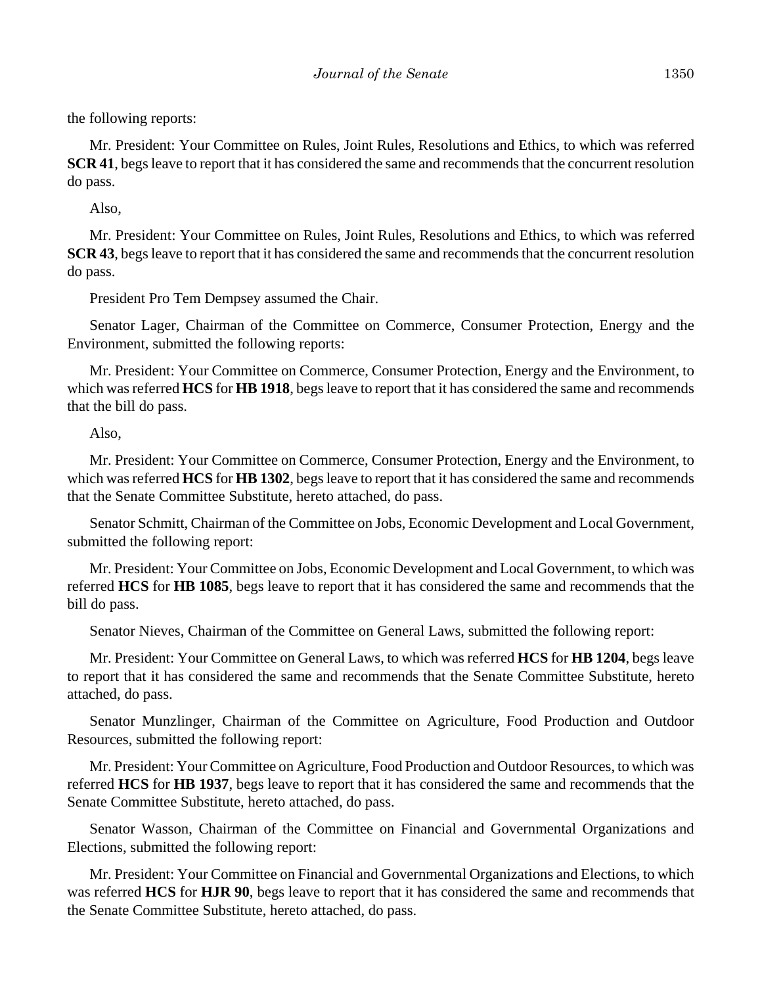the following reports:

Mr. President: Your Committee on Rules, Joint Rules, Resolutions and Ethics, to which was referred **SCR 41**, begs leave to report that it has considered the same and recommends that the concurrent resolution do pass.

Also,

Mr. President: Your Committee on Rules, Joint Rules, Resolutions and Ethics, to which was referred **SCR 43**, begs leave to report that it has considered the same and recommends that the concurrent resolution do pass.

President Pro Tem Dempsey assumed the Chair.

Senator Lager, Chairman of the Committee on Commerce, Consumer Protection, Energy and the Environment, submitted the following reports:

Mr. President: Your Committee on Commerce, Consumer Protection, Energy and the Environment, to which was referred **HCS** for **HB 1918**, begs leave to report that it has considered the same and recommends that the bill do pass.

Also,

Mr. President: Your Committee on Commerce, Consumer Protection, Energy and the Environment, to which was referred **HCS** for **HB 1302**, begs leave to report that it has considered the same and recommends that the Senate Committee Substitute, hereto attached, do pass.

Senator Schmitt, Chairman of the Committee on Jobs, Economic Development and Local Government, submitted the following report:

Mr. President: Your Committee on Jobs, Economic Development and Local Government, to which was referred **HCS** for **HB 1085**, begs leave to report that it has considered the same and recommends that the bill do pass.

Senator Nieves, Chairman of the Committee on General Laws, submitted the following report:

Mr. President: Your Committee on General Laws, to which was referred **HCS** for **HB 1204**, begs leave to report that it has considered the same and recommends that the Senate Committee Substitute, hereto attached, do pass.

Senator Munzlinger, Chairman of the Committee on Agriculture, Food Production and Outdoor Resources, submitted the following report:

Mr. President: Your Committee on Agriculture, Food Production and Outdoor Resources, to which was referred **HCS** for **HB 1937**, begs leave to report that it has considered the same and recommends that the Senate Committee Substitute, hereto attached, do pass.

Senator Wasson, Chairman of the Committee on Financial and Governmental Organizations and Elections, submitted the following report:

Mr. President: Your Committee on Financial and Governmental Organizations and Elections, to which was referred **HCS** for **HJR 90**, begs leave to report that it has considered the same and recommends that the Senate Committee Substitute, hereto attached, do pass.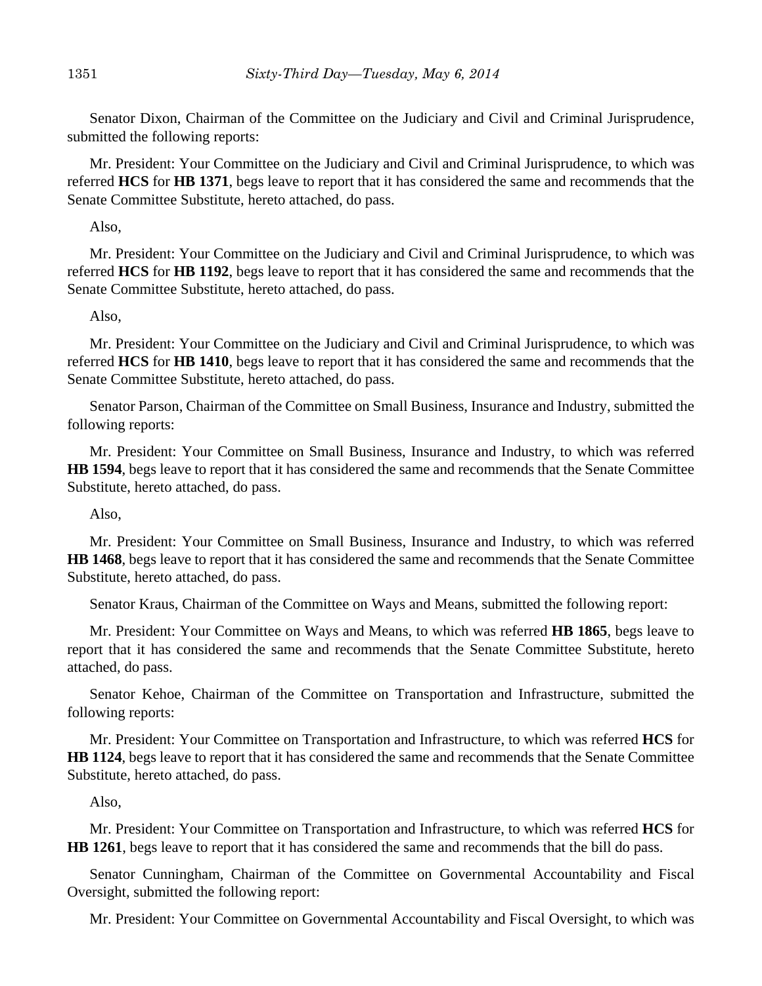Senator Dixon, Chairman of the Committee on the Judiciary and Civil and Criminal Jurisprudence, submitted the following reports:

Mr. President: Your Committee on the Judiciary and Civil and Criminal Jurisprudence, to which was referred **HCS** for **HB 1371**, begs leave to report that it has considered the same and recommends that the Senate Committee Substitute, hereto attached, do pass.

Also,

Mr. President: Your Committee on the Judiciary and Civil and Criminal Jurisprudence, to which was referred **HCS** for **HB 1192**, begs leave to report that it has considered the same and recommends that the Senate Committee Substitute, hereto attached, do pass.

Also,

Mr. President: Your Committee on the Judiciary and Civil and Criminal Jurisprudence, to which was referred **HCS** for **HB 1410**, begs leave to report that it has considered the same and recommends that the Senate Committee Substitute, hereto attached, do pass.

Senator Parson, Chairman of the Committee on Small Business, Insurance and Industry, submitted the following reports:

Mr. President: Your Committee on Small Business, Insurance and Industry, to which was referred **HB 1594**, begs leave to report that it has considered the same and recommends that the Senate Committee Substitute, hereto attached, do pass.

Also,

Mr. President: Your Committee on Small Business, Insurance and Industry, to which was referred **HB 1468**, begs leave to report that it has considered the same and recommends that the Senate Committee Substitute, hereto attached, do pass.

Senator Kraus, Chairman of the Committee on Ways and Means, submitted the following report:

Mr. President: Your Committee on Ways and Means, to which was referred **HB 1865**, begs leave to report that it has considered the same and recommends that the Senate Committee Substitute, hereto attached, do pass.

Senator Kehoe, Chairman of the Committee on Transportation and Infrastructure, submitted the following reports:

Mr. President: Your Committee on Transportation and Infrastructure, to which was referred **HCS** for **HB 1124**, begs leave to report that it has considered the same and recommends that the Senate Committee Substitute, hereto attached, do pass.

Also,

Mr. President: Your Committee on Transportation and Infrastructure, to which was referred **HCS** for **HB 1261**, begs leave to report that it has considered the same and recommends that the bill do pass.

Senator Cunningham, Chairman of the Committee on Governmental Accountability and Fiscal Oversight, submitted the following report:

Mr. President: Your Committee on Governmental Accountability and Fiscal Oversight, to which was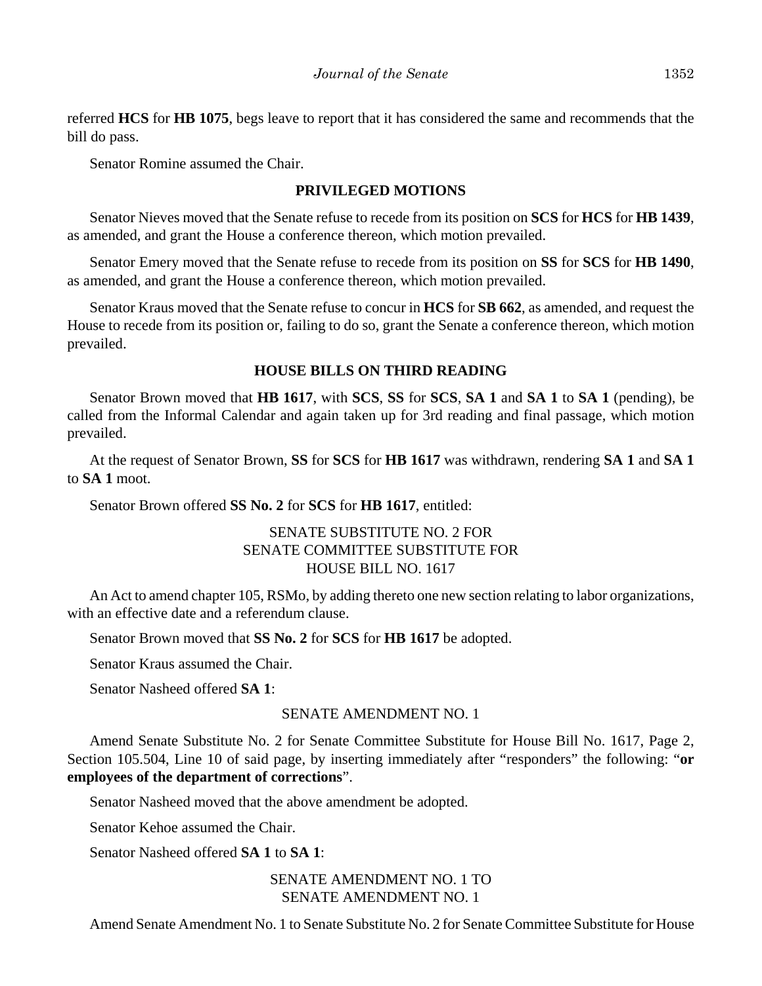referred **HCS** for **HB 1075**, begs leave to report that it has considered the same and recommends that the bill do pass.

Senator Romine assumed the Chair.

#### **PRIVILEGED MOTIONS**

Senator Nieves moved that the Senate refuse to recede from its position on **SCS** for **HCS** for **HB 1439**, as amended, and grant the House a conference thereon, which motion prevailed.

Senator Emery moved that the Senate refuse to recede from its position on **SS** for **SCS** for **HB 1490**, as amended, and grant the House a conference thereon, which motion prevailed.

Senator Kraus moved that the Senate refuse to concur in **HCS** for **SB 662**, as amended, and request the House to recede from its position or, failing to do so, grant the Senate a conference thereon, which motion prevailed.

## **HOUSE BILLS ON THIRD READING**

Senator Brown moved that **HB 1617**, with **SCS**, **SS** for **SCS**, **SA 1** and **SA 1** to **SA 1** (pending), be called from the Informal Calendar and again taken up for 3rd reading and final passage, which motion prevailed.

At the request of Senator Brown, **SS** for **SCS** for **HB 1617** was withdrawn, rendering **SA 1** and **SA 1** to **SA 1** moot.

Senator Brown offered **SS No. 2** for **SCS** for **HB 1617**, entitled:

## SENATE SUBSTITUTE NO. 2 FOR SENATE COMMITTEE SUBSTITUTE FOR HOUSE BILL NO. 1617

An Act to amend chapter 105, RSMo, by adding thereto one new section relating to labor organizations, with an effective date and a referendum clause.

Senator Brown moved that **SS No. 2** for **SCS** for **HB 1617** be adopted.

Senator Kraus assumed the Chair.

Senator Nasheed offered **SA 1**:

## SENATE AMENDMENT NO. 1

Amend Senate Substitute No. 2 for Senate Committee Substitute for House Bill No. 1617, Page 2, Section 105.504, Line 10 of said page, by inserting immediately after "responders" the following: "**or employees of the department of corrections**".

Senator Nasheed moved that the above amendment be adopted.

Senator Kehoe assumed the Chair.

Senator Nasheed offered **SA 1** to **SA 1**:

SENATE AMENDMENT NO. 1 TO SENATE AMENDMENT NO. 1

Amend Senate Amendment No. 1 to Senate Substitute No. 2 for Senate Committee Substitute for House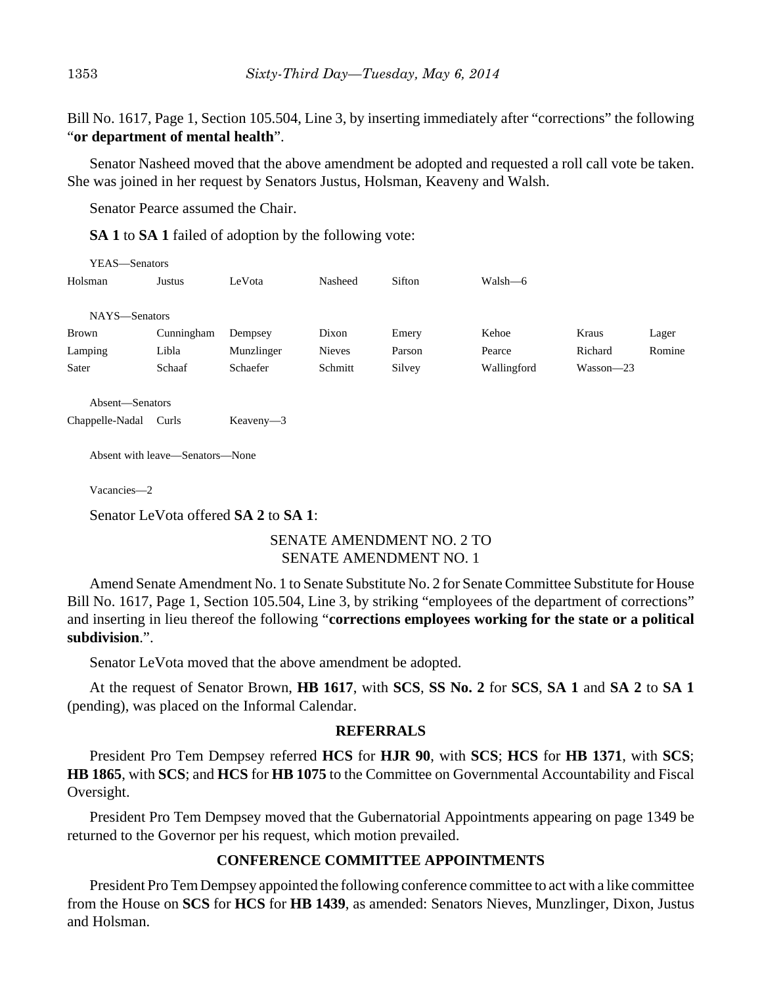Bill No. 1617, Page 1, Section 105.504, Line 3, by inserting immediately after "corrections" the following "**or department of mental health**".

Senator Nasheed moved that the above amendment be adopted and requested a roll call vote be taken. She was joined in her request by Senators Justus, Holsman, Keaveny and Walsh.

Senator Pearce assumed the Chair.

**SA 1** to **SA 1** failed of adoption by the following vote:

| YEAS—Senators |            |            |               |        |             |           |        |
|---------------|------------|------------|---------------|--------|-------------|-----------|--------|
| Holsman       | Justus     | LeVota     | Nasheed       | Sifton | Walsh—6     |           |        |
|               |            |            |               |        |             |           |        |
| NAYS-Senators |            |            |               |        |             |           |        |
| Brown         | Cunningham | Dempsey    | Dixon         | Emery  | Kehoe       | Kraus     | Lager  |
| Lamping       | Libla      | Munzlinger | <b>Nieves</b> | Parson | Pearce      | Richard   | Romine |
| Sater         | Schaaf     | Schaefer   | Schmitt       | Silvey | Wallingford | Wasson-23 |        |
|               |            |            |               |        |             |           |        |

Absent—Senators

Chappelle-Nadal Curls Keaveny—3

Absent with leave—Senators—None

Vacancies—2

Senator LeVota offered **SA 2** to **SA 1**:

## SENATE AMENDMENT NO. 2 TO SENATE AMENDMENT NO. 1

Amend Senate Amendment No. 1 to Senate Substitute No. 2 for Senate Committee Substitute for House Bill No. 1617, Page 1, Section 105.504, Line 3, by striking "employees of the department of corrections" and inserting in lieu thereof the following "**corrections employees working for the state or a political subdivision**.".

Senator LeVota moved that the above amendment be adopted.

At the request of Senator Brown, **HB 1617**, with **SCS**, **SS No. 2** for **SCS**, **SA 1** and **SA 2** to **SA 1** (pending), was placed on the Informal Calendar.

#### **REFERRALS**

President Pro Tem Dempsey referred **HCS** for **HJR 90**, with **SCS**; **HCS** for **HB 1371**, with **SCS**; **HB 1865**, with **SCS**; and **HCS** for **HB 1075** to the Committee on Governmental Accountability and Fiscal Oversight.

President Pro Tem Dempsey moved that the Gubernatorial Appointments appearing on page 1349 be returned to the Governor per his request, which motion prevailed.

#### **CONFERENCE COMMITTEE APPOINTMENTS**

President Pro Tem Dempsey appointed the following conference committee to act with a like committee from the House on **SCS** for **HCS** for **HB 1439**, as amended: Senators Nieves, Munzlinger, Dixon, Justus and Holsman.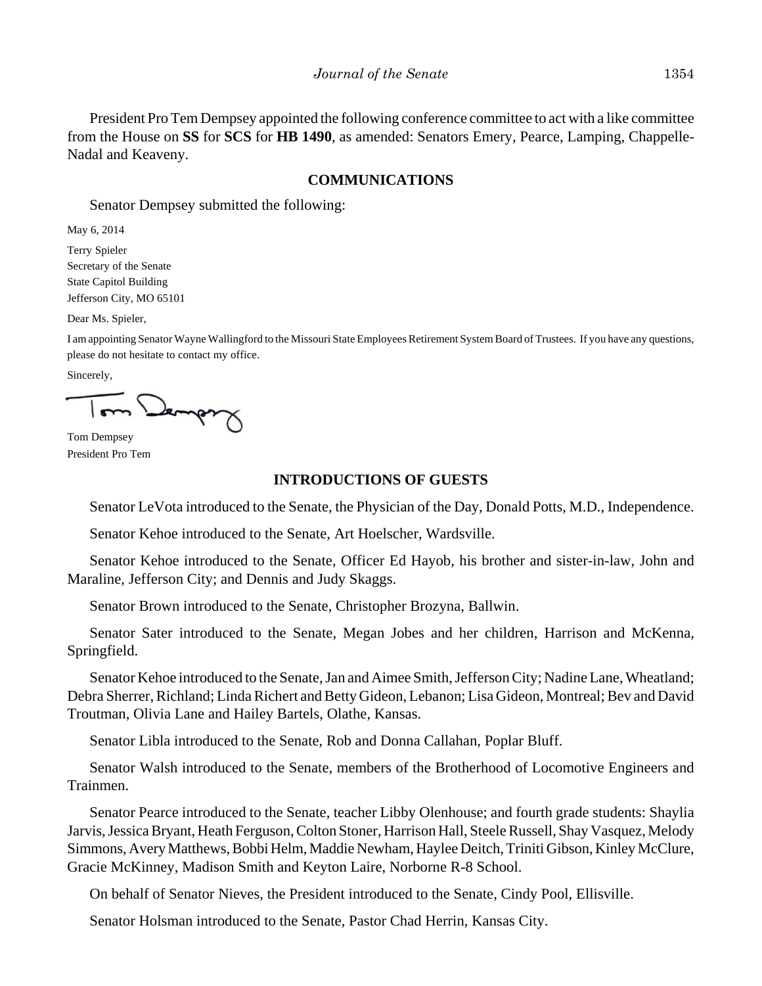President Pro Tem Dempsey appointed the following conference committee to act with a like committee from the House on **SS** for **SCS** for **HB 1490**, as amended: Senators Emery, Pearce, Lamping, Chappelle-Nadal and Keaveny.

#### **COMMUNICATIONS**

Senator Dempsey submitted the following:

May 6, 2014

Terry Spieler Secretary of the Senate State Capitol Building Jefferson City, MO 65101

Dear Ms. Spieler,

I am appointing Senator Wayne Wallingford to the Missouri State Employees Retirement System Board of Trustees. If you have any questions, please do not hesitate to contact my office.

Sincerely,

Dempr

Tom Dempsey President Pro Tem

## **INTRODUCTIONS OF GUESTS**

Senator LeVota introduced to the Senate, the Physician of the Day, Donald Potts, M.D., Independence.

Senator Kehoe introduced to the Senate, Art Hoelscher, Wardsville.

Senator Kehoe introduced to the Senate, Officer Ed Hayob, his brother and sister-in-law, John and Maraline, Jefferson City; and Dennis and Judy Skaggs.

Senator Brown introduced to the Senate, Christopher Brozyna, Ballwin.

Senator Sater introduced to the Senate, Megan Jobes and her children, Harrison and McKenna, Springfield.

Senator Kehoe introduced to the Senate, Jan and Aimee Smith, Jefferson City; Nadine Lane, Wheatland; Debra Sherrer, Richland; Linda Richert and Betty Gideon, Lebanon; Lisa Gideon, Montreal; Bev and David Troutman, Olivia Lane and Hailey Bartels, Olathe, Kansas.

Senator Libla introduced to the Senate, Rob and Donna Callahan, Poplar Bluff.

Senator Walsh introduced to the Senate, members of the Brotherhood of Locomotive Engineers and Trainmen.

Senator Pearce introduced to the Senate, teacher Libby Olenhouse; and fourth grade students: Shaylia Jarvis, Jessica Bryant, Heath Ferguson, Colton Stoner, Harrison Hall, Steele Russell, Shay Vasquez, Melody Simmons, Avery Matthews, Bobbi Helm, Maddie Newham, Haylee Deitch, Triniti Gibson, Kinley McClure, Gracie McKinney, Madison Smith and Keyton Laire, Norborne R-8 School.

On behalf of Senator Nieves, the President introduced to the Senate, Cindy Pool, Ellisville.

Senator Holsman introduced to the Senate, Pastor Chad Herrin, Kansas City.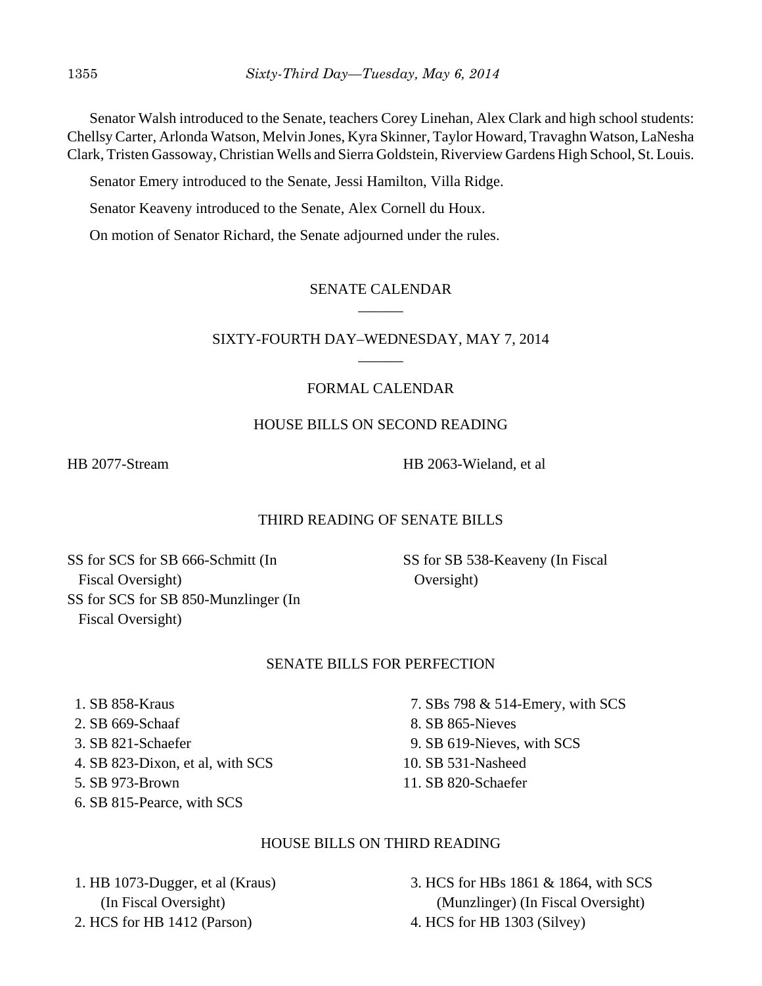Senator Walsh introduced to the Senate, teachers Corey Linehan, Alex Clark and high school students: Chellsy Carter, Arlonda Watson, Melvin Jones, Kyra Skinner, Taylor Howard, Travaghn Watson, LaNesha Clark, Tristen Gassoway, Christian Wells and Sierra Goldstein, Riverview Gardens High School, St. Louis.

Senator Emery introduced to the Senate, Jessi Hamilton, Villa Ridge.

Senator Keaveny introduced to the Senate, Alex Cornell du Houx.

On motion of Senator Richard, the Senate adjourned under the rules.

## SENATE CALENDAR  $\overline{\phantom{a}}$

## SIXTY-FOURTH DAY–WEDNESDAY, MAY 7, 2014  $\overline{\phantom{a}}$

# FORMAL CALENDAR

## HOUSE BILLS ON SECOND READING

HB 2077-Stream HB 2063-Wieland, et al

# THIRD READING OF SENATE BILLS

SS for SCS for SB 666-Schmitt (In Fiscal Oversight) SS for SCS for SB 850-Munzlinger (In Fiscal Oversight)

SS for SB 538-Keaveny (In Fiscal Oversight)

# SENATE BILLS FOR PERFECTION

1. SB 858-Kraus

- 2. SB 669-Schaaf
- 3. SB 821-Schaefer
- 4. SB 823-Dixon, et al, with SCS
- 5. SB 973-Brown
- 6. SB 815-Pearce, with SCS

 7. SBs 798 & 514-Emery, with SCS 8. SB 865-Nieves 9. SB 619-Nieves, with SCS 10. SB 531-Nasheed 11. SB 820-Schaefer

# HOUSE BILLS ON THIRD READING

 1. HB 1073-Dugger, et al (Kraus) (In Fiscal Oversight) 2. HCS for HB 1412 (Parson)

 3. HCS for HBs 1861 & 1864, with SCS (Munzlinger) (In Fiscal Oversight) 4. HCS for HB 1303 (Silvey)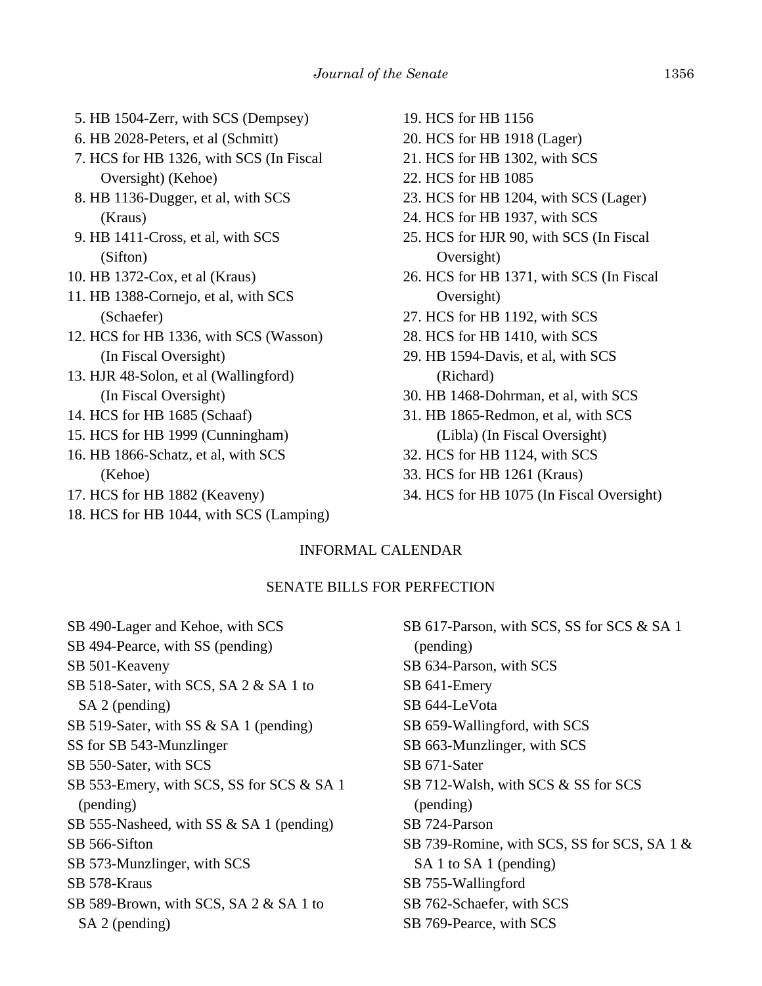- 5. HB 1504-Zerr, with SCS (Dempsey)
- 6. HB 2028-Peters, et al (Schmitt)
- 7. HCS for HB 1326, with SCS (In Fiscal Oversight) (Kehoe)
- 8. HB 1136-Dugger, et al, with SCS (Kraus)
- 9. HB 1411-Cross, et al, with SCS (Sifton)
- 10. HB 1372-Cox, et al (Kraus)
- 11. HB 1388-Cornejo, et al, with SCS (Schaefer)
- 12. HCS for HB 1336, with SCS (Wasson) (In Fiscal Oversight)
- 13. HJR 48-Solon, et al (Wallingford) (In Fiscal Oversight)
- 14. HCS for HB 1685 (Schaaf)
- 15. HCS for HB 1999 (Cunningham)
- 16. HB 1866-Schatz, et al, with SCS (Kehoe)
- 17. HCS for HB 1882 (Keaveny)
- 18. HCS for HB 1044, with SCS (Lamping)
- 19. HCS for HB 1156
- 20. HCS for HB 1918 (Lager)
- 21. HCS for HB 1302, with SCS
- 22. HCS for HB 1085
- 23. HCS for HB 1204, with SCS (Lager)
- 24. HCS for HB 1937, with SCS
- 25. HCS for HJR 90, with SCS (In Fiscal Oversight)
- 26. HCS for HB 1371, with SCS (In Fiscal Oversight)
- 27. HCS for HB 1192, with SCS
- 28. HCS for HB 1410, with SCS
- 29. HB 1594-Davis, et al, with SCS (Richard)
- 30. HB 1468-Dohrman, et al, with SCS
- 31. HB 1865-Redmon, et al, with SCS (Libla) (In Fiscal Oversight)
- 32. HCS for HB 1124, with SCS
- 33. HCS for HB 1261 (Kraus)
- 34. HCS for HB 1075 (In Fiscal Oversight)

# INFORMAL CALENDAR

## SENATE BILLS FOR PERFECTION

SB 490-Lager and Kehoe, with SCS SB 494-Pearce, with SS (pending) SB 501-Keaveny SB 518-Sater, with SCS, SA 2 & SA 1 to SA 2 (pending) SB 519-Sater, with SS & SA 1 (pending) SS for SB 543-Munzlinger SB 550-Sater, with SCS SB 553-Emery, with SCS, SS for SCS & SA 1 (pending) SB 555-Nasheed, with SS & SA 1 (pending) SB 566-Sifton SB 573-Munzlinger, with SCS SB 578-Kraus SB 589-Brown, with SCS, SA 2 & SA 1 to SA 2 (pending)

SB 617-Parson, with SCS, SS for SCS & SA 1 (pending) SB 634-Parson, with SCS SB 641-Emery SB 644-LeVota SB 659-Wallingford, with SCS SB 663-Munzlinger, with SCS SB 671-Sater SB 712-Walsh, with SCS & SS for SCS (pending) SB 724-Parson SB 739-Romine, with SCS, SS for SCS, SA 1 & SA 1 to SA 1 (pending) SB 755-Wallingford SB 762-Schaefer, with SCS SB 769-Pearce, with SCS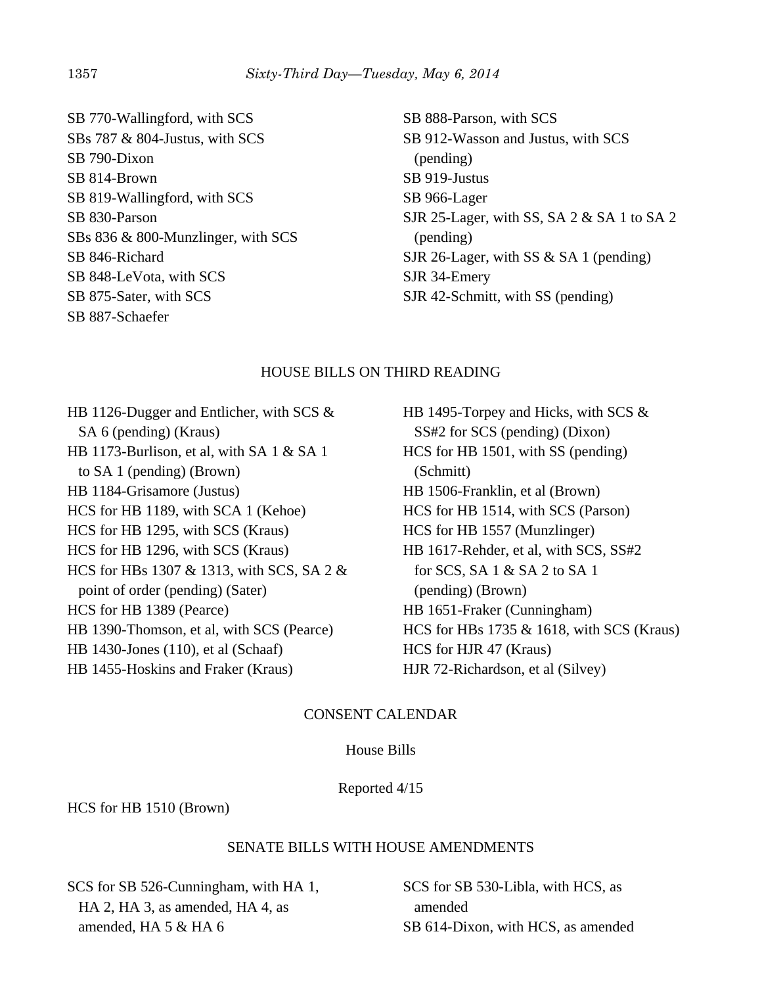SB 770-Wallingford, with SCS SBs 787 & 804-Justus, with SCS SB 790-Dixon SB 814-Brown SB 819-Wallingford, with SCS SB 830-Parson SBs 836 & 800-Munzlinger, with SCS SB 846-Richard SB 848-LeVota, with SCS SB 875-Sater, with SCS SB 887-Schaefer

SB 888-Parson, with SCS SB 912-Wasson and Justus, with SCS (pending) SB 919-Justus SB 966-Lager SJR 25-Lager, with SS, SA 2 & SA 1 to SA 2 (pending) SJR 26-Lager, with SS & SA 1 (pending) SJR 34-Emery SJR 42-Schmitt, with SS (pending)

## HOUSE BILLS ON THIRD READING

HB 1126-Dugger and Entlicher, with SCS & SA 6 (pending) (Kraus) HB 1173-Burlison, et al, with SA 1 & SA 1 to SA 1 (pending) (Brown) HB 1184-Grisamore (Justus) HCS for HB 1189, with SCA 1 (Kehoe) HCS for HB 1295, with SCS (Kraus) HCS for HB 1296, with SCS (Kraus) HCS for HBs 1307 & 1313, with SCS, SA 2 & point of order (pending) (Sater) HCS for HB 1389 (Pearce) HB 1390-Thomson, et al, with SCS (Pearce) HB 1430-Jones (110), et al (Schaaf) HB 1455-Hoskins and Fraker (Kraus)

HB 1495-Torpey and Hicks, with SCS & SS#2 for SCS (pending) (Dixon) HCS for HB 1501, with SS (pending) (Schmitt) HB 1506-Franklin, et al (Brown) HCS for HB 1514, with SCS (Parson) HCS for HB 1557 (Munzlinger) HB 1617-Rehder, et al, with SCS, SS#2 for SCS, SA 1 & SA 2 to SA 1 (pending) (Brown) HB 1651-Fraker (Cunningham) HCS for HBs 1735 & 1618, with SCS (Kraus) HCS for HJR 47 (Kraus) HJR 72-Richardson, et al (Silvey)

# CONSENT CALENDAR

House Bills

Reported 4/15

HCS for HB 1510 (Brown)

## SENATE BILLS WITH HOUSE AMENDMENTS

SCS for SB 526-Cunningham, with HA 1, HA 2, HA 3, as amended, HA 4, as amended, HA 5 & HA 6

SCS for SB 530-Libla, with HCS, as amended SB 614-Dixon, with HCS, as amended